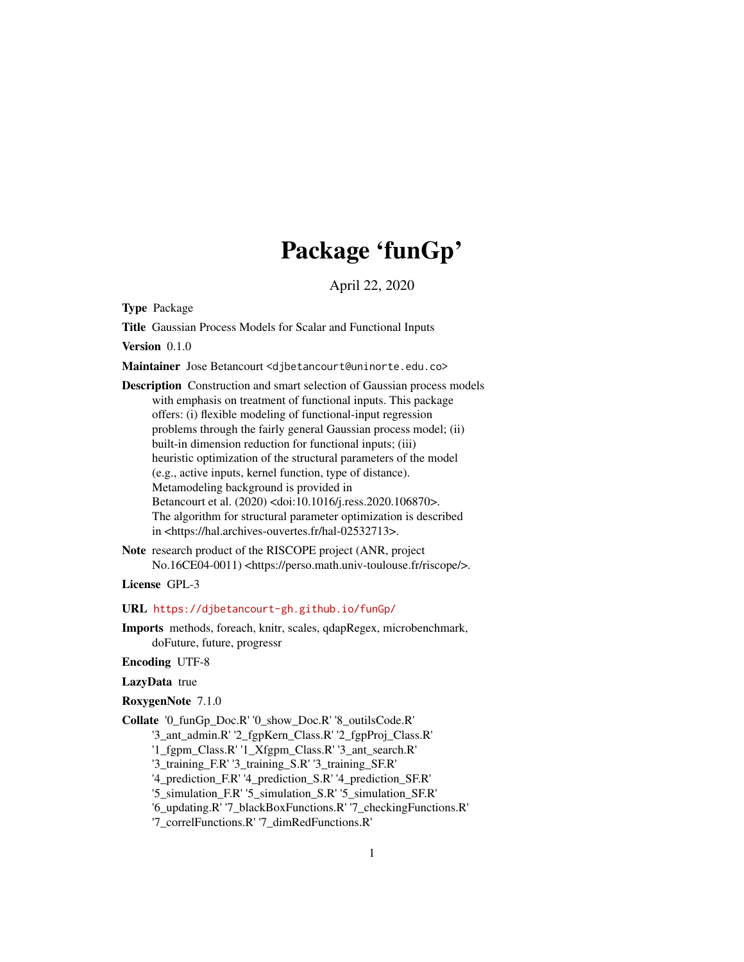# Package 'funGp'

April 22, 2020

<span id="page-0-0"></span>Type Package

Title Gaussian Process Models for Scalar and Functional Inputs

Version 0.1.0

Maintainer Jose Betancourt <djbetancourt@uninorte.edu.co>

Description Construction and smart selection of Gaussian process models with emphasis on treatment of functional inputs. This package offers: (i) flexible modeling of functional-input regression problems through the fairly general Gaussian process model; (ii) built-in dimension reduction for functional inputs; (iii) heuristic optimization of the structural parameters of the model (e.g., active inputs, kernel function, type of distance). Metamodeling background is provided in Betancourt et al. (2020) <doi:10.1016/j.ress.2020.106870>. The algorithm for structural parameter optimization is described in <https://hal.archives-ouvertes.fr/hal-02532713>.

Note research product of the RISCOPE project (ANR, project No.16CE04-0011) <https://perso.math.univ-toulouse.fr/riscope/>.

License GPL-3

URL <https://djbetancourt-gh.github.io/funGp/>

Imports methods, foreach, knitr, scales, qdapRegex, microbenchmark, doFuture, future, progressr

Encoding UTF-8

LazyData true

RoxygenNote 7.1.0

Collate '0\_funGp\_Doc.R' '0\_show\_Doc.R' '8\_outilsCode.R'

'3\_ant\_admin.R' '2\_fgpKern\_Class.R' '2\_fgpProj\_Class.R'

'1\_fgpm\_Class.R' '1\_Xfgpm\_Class.R' '3\_ant\_search.R'

'3\_training\_F.R' '3\_training\_S.R' '3\_training\_SF.R'

'4\_prediction\_F.R' '4\_prediction\_S.R' '4\_prediction\_SF.R'

'5\_simulation\_F.R' '5\_simulation\_S.R' '5\_simulation\_SF.R'

'6\_updating.R' '7\_blackBoxFunctions.R' '7\_checkingFunctions.R'

'7\_correlFunctions.R' '7\_dimRedFunctions.R'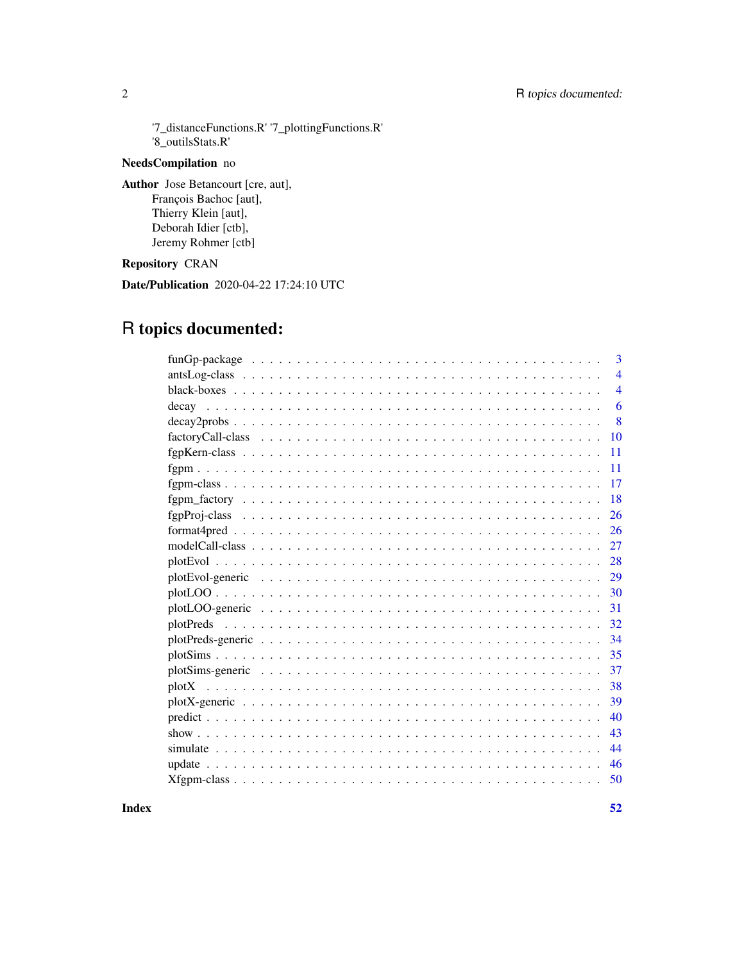## 2 R topics documented:

'7\_distanceFunctions.R' '7\_plottingFunctions.R' '8\_outilsStats.R'

## NeedsCompilation no

Author Jose Betancourt [cre, aut], François Bachoc [aut], Thierry Klein [aut], Deborah Idier [ctb], Jeremy Rohmer [ctb]

## Repository CRAN

Date/Publication 2020-04-22 17:24:10 UTC

## R topics documented:

|                                                                                                               | 3              |
|---------------------------------------------------------------------------------------------------------------|----------------|
|                                                                                                               | $\overline{4}$ |
|                                                                                                               | $\overline{4}$ |
|                                                                                                               | 6              |
|                                                                                                               | 8              |
|                                                                                                               | 10             |
|                                                                                                               | 11             |
|                                                                                                               | 11             |
|                                                                                                               | 17             |
|                                                                                                               | 18             |
|                                                                                                               | 26             |
| $format4pred \dots \dots \dots \dots \dots \dots \dots \dots \dots \dots \dots \dots \dots \dots \dots \dots$ | 26             |
|                                                                                                               | 27             |
|                                                                                                               | 28             |
|                                                                                                               | 29             |
|                                                                                                               | 30             |
|                                                                                                               | 31             |
|                                                                                                               | 32             |
|                                                                                                               | 34             |
|                                                                                                               | 35             |
|                                                                                                               | 37             |
|                                                                                                               | 38             |
|                                                                                                               | 39             |
|                                                                                                               | 40             |
|                                                                                                               | 43             |
|                                                                                                               | 44             |
|                                                                                                               | 46             |
|                                                                                                               | 50             |
|                                                                                                               |                |

**Index** [52](#page-51-0)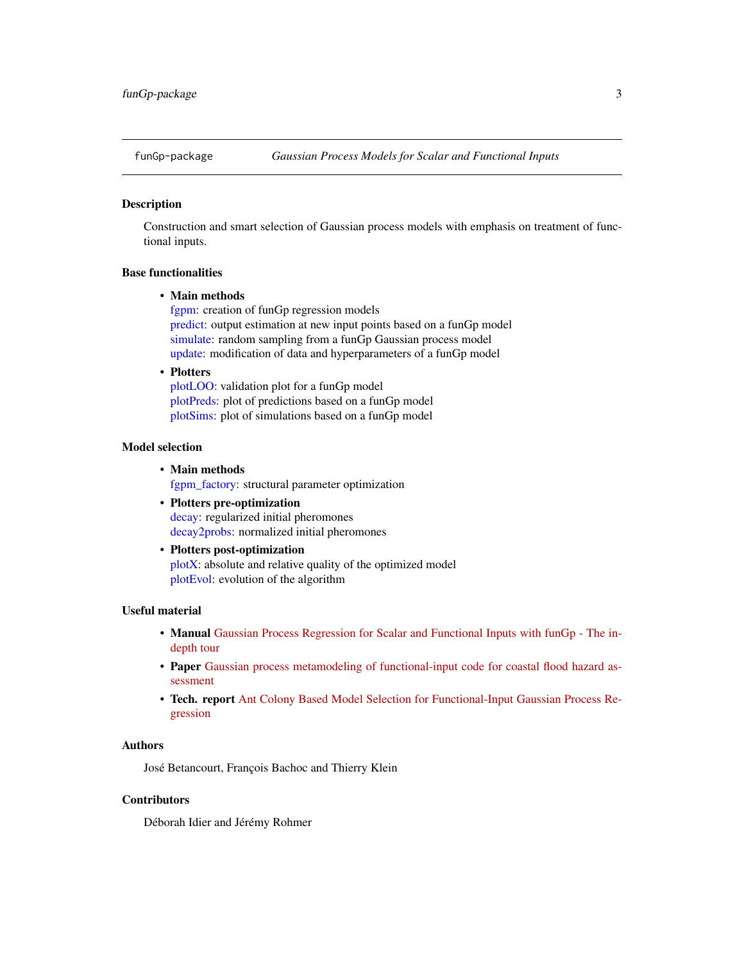<span id="page-2-1"></span><span id="page-2-0"></span>

## **Description**

Construction and smart selection of Gaussian process models with emphasis on treatment of functional inputs.

## Base functionalities

## • Main methods

[fgpm:](#page-10-1) creation of funGp regression models [predict:](#page-39-1) output estimation at new input points based on a funGp model [simulate:](#page-43-1) random sampling from a funGp Gaussian process model [update:](#page-45-1) modification of data and hyperparameters of a funGp model

• Plotters

[plotLOO:](#page-29-1) validation plot for a funGp model [plotPreds:](#page-31-1) plot of predictions based on a funGp model [plotSims:](#page-34-1) plot of simulations based on a funGp model

## Model selection

- Main methods [fgpm\\_factory:](#page-17-1) structural parameter optimization
- Plotters pre-optimization [decay:](#page-5-1) regularized initial pheromones [decay2probs:](#page-7-1) normalized initial pheromones
- Plotters post-optimization [plotX:](#page-37-1) absolute and relative quality of the optimized model [plotEvol:](#page-27-1) evolution of the algorithm

## Useful material

- Manual [Gaussian Process Regression for Scalar and Functional Inputs with funGp The in](https://hal.archives-ouvertes.fr/hal-02536624)[depth tour](https://hal.archives-ouvertes.fr/hal-02536624)
- Paper [Gaussian process metamodeling of functional-input code for coastal flood hazard as](https://www.sciencedirect.com/science/article/abs/pii/S0951832019301693)[sessment](https://www.sciencedirect.com/science/article/abs/pii/S0951832019301693)
- Tech. report [Ant Colony Based Model Selection for Functional-Input Gaussian Process Re](https://hal.archives-ouvertes.fr/hal-02532713)[gression](https://hal.archives-ouvertes.fr/hal-02532713)

## Authors

José Betancourt, François Bachoc and Thierry Klein

## **Contributors**

Déborah Idier and Jérémy Rohmer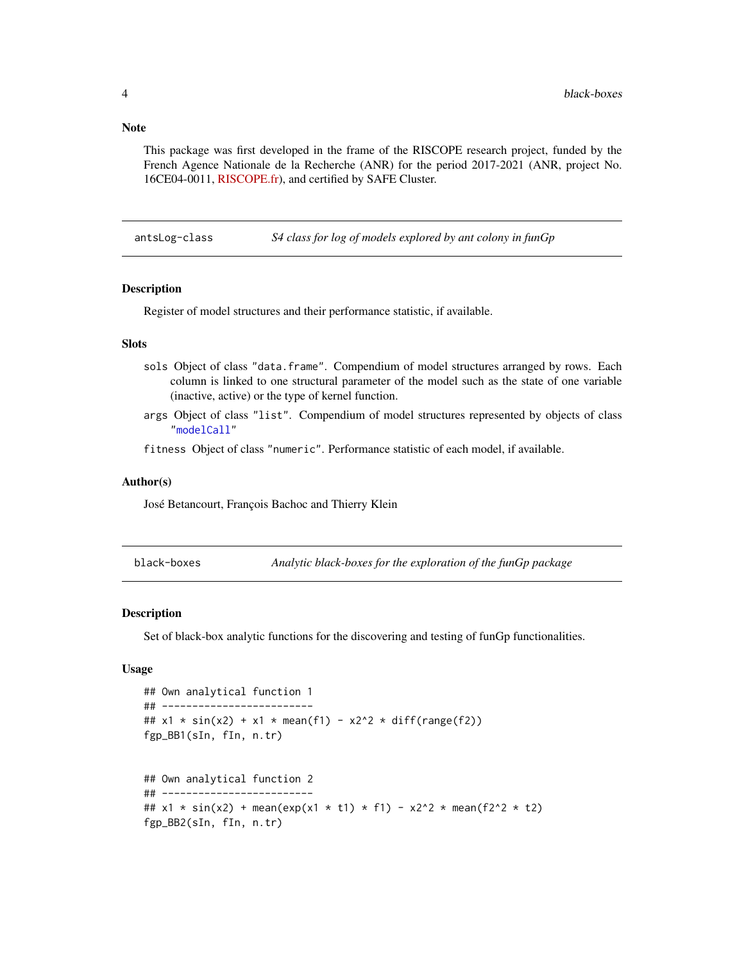<span id="page-3-0"></span>**Note** 

This package was first developed in the frame of the RISCOPE research project, funded by the French Agence Nationale de la Recherche (ANR) for the period 2017-2021 (ANR, project No. 16CE04-0011, [RISCOPE.fr\)](https://perso.math.univ-toulouse.fr/riscope/), and certified by SAFE Cluster.

<span id="page-3-1"></span>antsLog-class *S4 class for log of models explored by ant colony in funGp*

## **Description**

Register of model structures and their performance statistic, if available.

## **Slots**

- sols Object of class "data.frame". Compendium of model structures arranged by rows. Each column is linked to one structural parameter of the model such as the state of one variable (inactive, active) or the type of kernel function.
- args Object of class "list". Compendium of model structures represented by objects of class ["modelCall"](#page-26-1)

fitness Object of class "numeric". Performance statistic of each model, if available.

## Author(s)

José Betancourt, François Bachoc and Thierry Klein

black-boxes *Analytic black-boxes for the exploration of the funGp package*

#### **Description**

Set of black-box analytic functions for the discovering and testing of funGp functionalities.

#### Usage

```
## Own analytical function 1
## -------------------------
## x1 * sin(x2) + x1 * mean(f1) - x2^2 * diff(range(f2))
fgp_BB1(sIn, fIn, n.tr)
## Own analytical function 2
## -------------------------
## x1 * sin(x2) + mean(exp(x1 * t1) * f1) - x2^2 * mean(f2^2 * t2)
fgp_BB2(sIn, fIn, n.tr)
```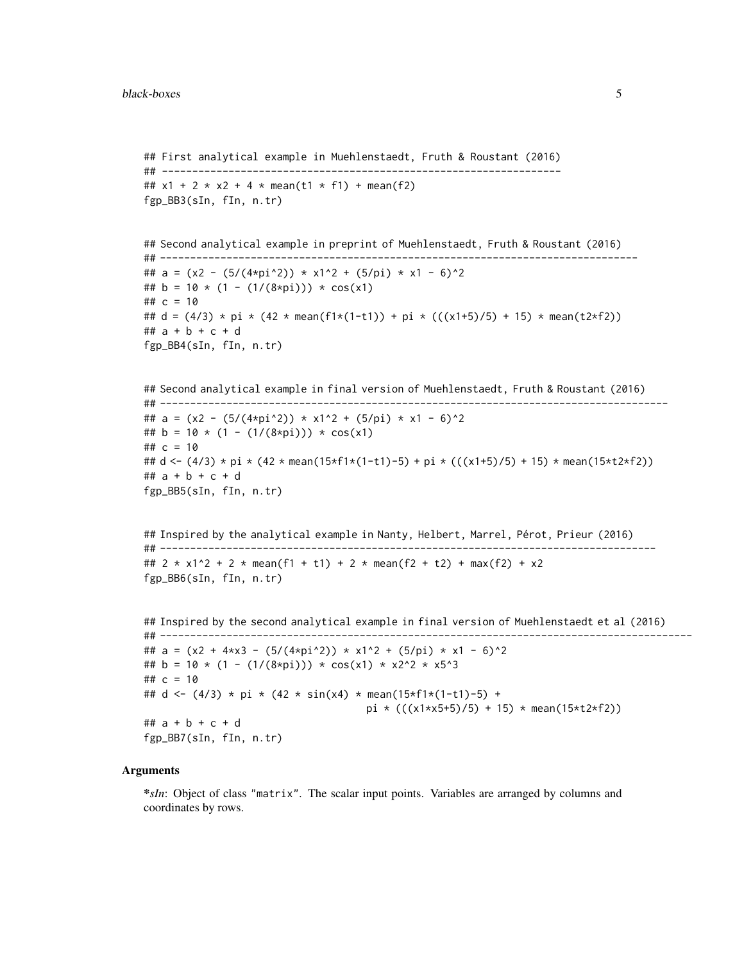```
## First analytical example in Muehlenstaedt, Fruth & Roustant (2016)
## ------------------------------------------------------------------
## x1 + 2 \times x2 + 4 \times \text{mean}(t1 \times f1) + \text{mean}(f2)fgp_BB3(sIn, fIn, n.tr)
## Second analytical example in preprint of Muehlenstaedt, Fruth & Roustant (2016)
## -------------------------------------------------------------------------------
## a = (x2 - (5/(4*pi^2)) * x1^2 + (5/pi) * x1 - 6)^2
## b = 10 \times (1 - (1/(8 \times pi)) \times cos(x1)## c = 10
## d = (4/3) * pi * (42 \times \text{mean}(f1 \times (1-t1)) + \text{pi} \times (((x1+5)/5) + 15) * mean(t2*f2))
## a + b + c + d
fgp_BB4(sIn, fIn, n.tr)
## Second analytical example in final version of Muehlenstaedt, Fruth & Roustant (2016)
## ------------------------------------------------------------------------------------
## a = (x2 - (5/(4*pi^2)) * x1^2 + (5/pi) * x1 - 6)^2## b = 10 \times (1 - (1/(8 \times pi)) \times cos(x1)## c = 10## d <- (4/3) * pi * (42 * mean(15*f1*(1-t1)-5) + pi * (((x1+5)/5) + 15) * mean(15*t2*f2))
## a + b + c + d
fgp_BB5(sIn, fIn, n.tr)
## Inspired by the analytical example in Nanty, Helbert, Marrel, Pérot, Prieur (2016)
## ----------------------------------------------------------------------------------
## 2 * x1^2 + 2 * mean(f1 + t1) + 2 * mean(f2 + t2) + max(f2) + x2
fgp_BB6(sIn, fIn, n.tr)
## Inspired by the second analytical example in final version of Muehlenstaedt et al (2016)
## ----------------------------------------------------------------------------------------
## a = (x2 + 4*x3 - (5/(4*pi^2)) * x1^2 + (5/pi) * x1 - 6)^2
## b = 10 * (1 - (1/(8*pi))) * cos(x1) * x2^2 * x5^3
## c = 10## d <- (4/3) * pi * (42 * sin(x4) * mean(15*f1*(1-t1)-5) +pi * (((x1*x5+5)/5) + 15) * mean(15*t2*f2))
## a + b + c + d
fgp_BB7(sIn, fIn, n.tr)
```
## Arguments

\**sIn*: Object of class "matrix". The scalar input points. Variables are arranged by columns and coordinates by rows.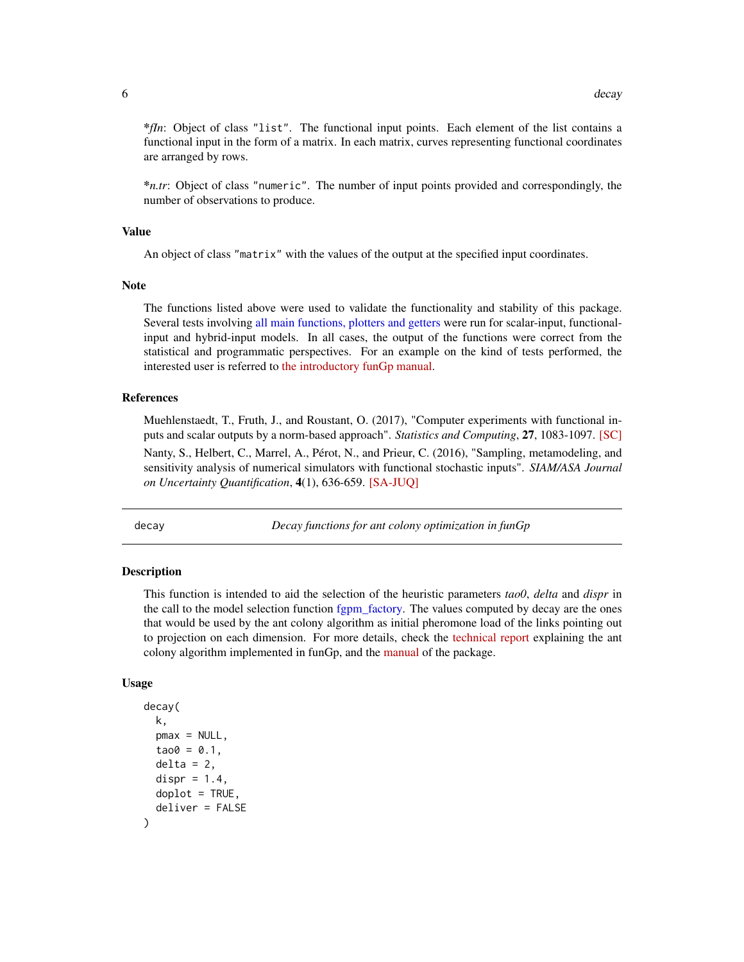<span id="page-5-0"></span>\**fIn*: Object of class "list". The functional input points. Each element of the list contains a functional input in the form of a matrix. In each matrix, curves representing functional coordinates are arranged by rows.

\**n.tr*: Object of class "numeric". The number of input points provided and correspondingly, the number of observations to produce.

#### Value

An object of class "matrix" with the values of the output at the specified input coordinates.

#### **Note**

The functions listed above were used to validate the functionality and stability of this package. Several tests involving [all main functions, plotters and getters](#page-2-1) were run for scalar-input, functionalinput and hybrid-input models. In all cases, the output of the functions were correct from the statistical and programmatic perspectives. For an example on the kind of tests performed, the interested user is referred to [the introductory funGp manual.](https://hal.archives-ouvertes.fr/hal-02536624)

## References

Muehlenstaedt, T., Fruth, J., and Roustant, O. (2017), "Computer experiments with functional inputs and scalar outputs by a norm-based approach". *Statistics and Computing*, 27, 1083-1097. [\[SC\]](https://link.springer.com/article/10.1007/s11222-016-9672-z) Nanty, S., Helbert, C., Marrel, A., Pérot, N., and Prieur, C. (2016), "Sampling, metamodeling, and sensitivity analysis of numerical simulators with functional stochastic inputs". *SIAM/ASA Journal on Uncertainty Quantification*, 4(1), 636-659. [\[SA-JUQ\]](https://epubs.siam.org/doi/10.1137/15M1033319)

<span id="page-5-1"></span>

decay *Decay functions for ant colony optimization in funGp*

## Description

This function is intended to aid the selection of the heuristic parameters *tao0*, *delta* and *dispr* in the call to the model selection function [fgpm\\_factory.](#page-17-1) The values computed by decay are the ones that would be used by the ant colony algorithm as initial pheromone load of the links pointing out to projection on each dimension. For more details, check the [technical report](https://hal.archives-ouvertes.fr/hal-02532713) explaining the ant colony algorithm implemented in funGp, and the [manual](https://hal.archives-ouvertes.fr/hal-02536624) of the package.

#### Usage

```
decay(
  k,
  pmax = NULL,
  tao0 = 0.1,
  delta = 2,
  dispr = 1.4,
  doplot = TRUE,deliver = FALSE
)
```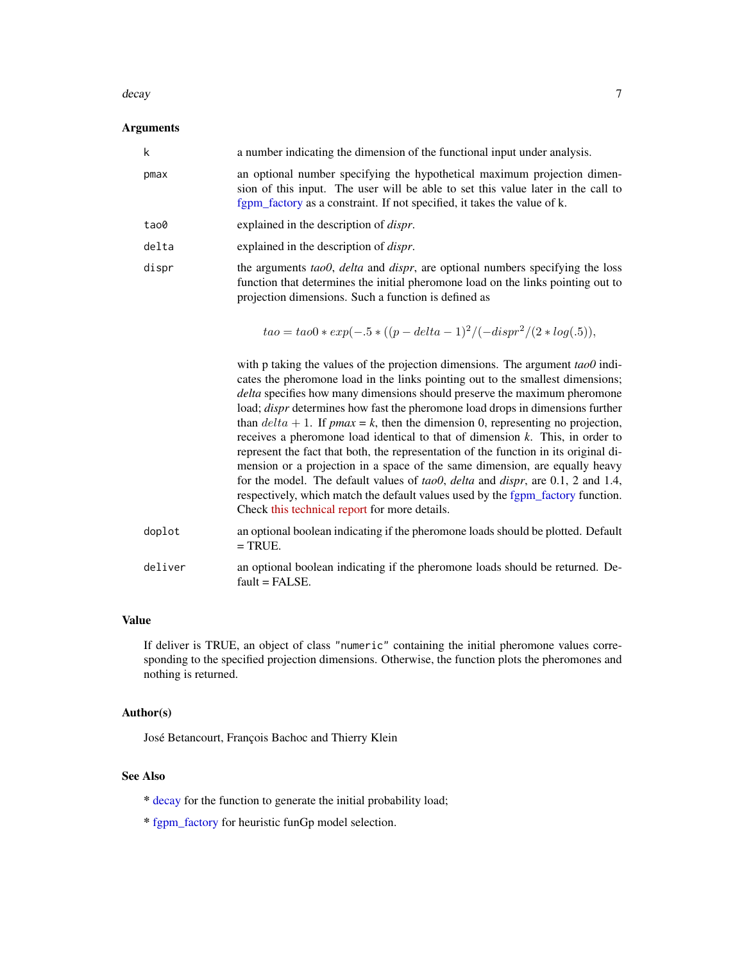#### <span id="page-6-0"></span>decay and the contract of the contract of the contract of the contract of the contract of the contract of the contract of the contract of the contract of the contract of the contract of the contract of the contract of the

#### Arguments

| k     | a number indicating the dimension of the functional input under analysis.                                                                                                                                                                |
|-------|------------------------------------------------------------------------------------------------------------------------------------------------------------------------------------------------------------------------------------------|
| pmax  | an optional number specifying the hypothetical maximum projection dimen-<br>sion of this input. The user will be able to set this value later in the call to<br>fgpm_factory as a constraint. If not specified, it takes the value of k. |
| tao0  | explained in the description of <i>dispr</i> .                                                                                                                                                                                           |
| delta | explained in the description of <i>dispr</i> .                                                                                                                                                                                           |
| dispr | the arguments tao0, delta and dispr, are optional numbers specifying the loss<br>function that determines the initial pheromone load on the links pointing out to<br>projection dimensions. Such a function is defined as                |

$$
tao = tao0 * exp(-.5 * ((p - delta - 1)^{2}/(-dispr^{2}/(2 * log(.5))),
$$

with p taking the values of the projection dimensions. The argument *tao0* indicates the pheromone load in the links pointing out to the smallest dimensions; *delta* specifies how many dimensions should preserve the maximum pheromone load; *dispr* determines how fast the pheromone load drops in dimensions further than  $delta + 1$ . If *pmax* = *k*, then the dimension 0, representing no projection, receives a pheromone load identical to that of dimension *k*. This, in order to represent the fact that both, the representation of the function in its original dimension or a projection in a space of the same dimension, are equally heavy for the model. The default values of *tao0*, *delta* and *dispr*, are 0.1, 2 and 1.4, respectively, which match the default values used by the [fgpm\\_factory](#page-17-1) function. Check [this technical report](https://hal.archives-ouvertes.fr/hal-02532713) for more details.

- doplot an optional boolean indicating if the pheromone loads should be plotted. Default  $=$  TRUE.
- deliver an optional boolean indicating if the pheromone loads should be returned. Default = FALSE.

## Value

If deliver is TRUE, an object of class "numeric" containing the initial pheromone values corresponding to the specified projection dimensions. Otherwise, the function plots the pheromones and nothing is returned.

## Author(s)

José Betancourt, François Bachoc and Thierry Klein

## See Also

- \* [decay](#page-5-1) for the function to generate the initial probability load;
- \* [fgpm\\_factory](#page-17-1) for heuristic funGp model selection.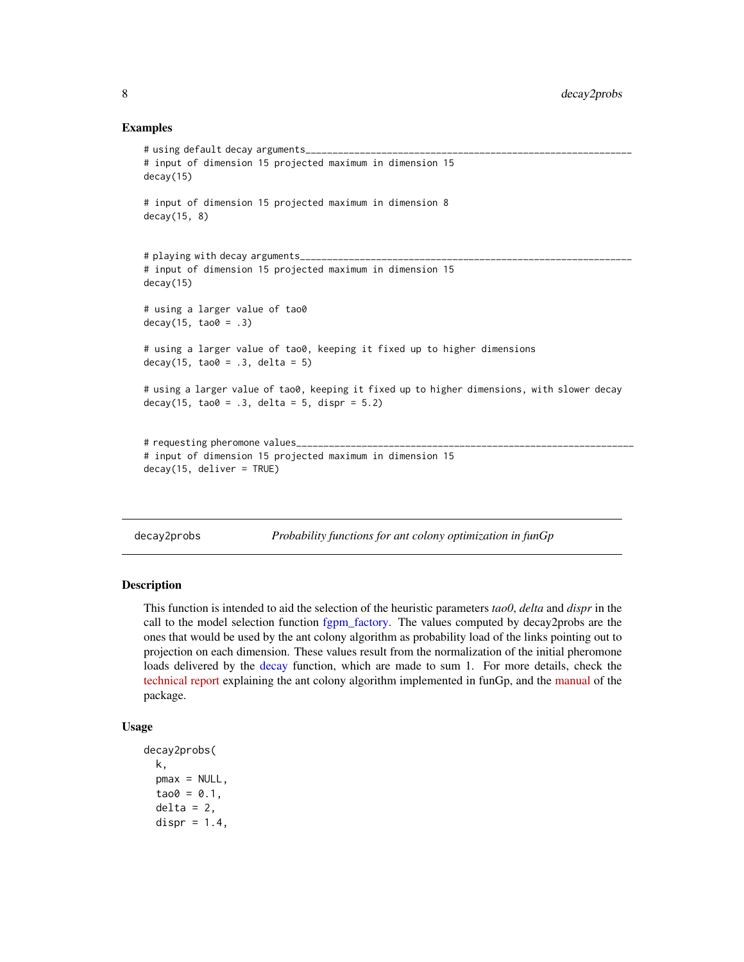## Examples

```
# using default decay arguments_
# input of dimension 15 projected maximum in dimension 15
decay(15)
# input of dimension 15 projected maximum in dimension 8
decay(15, 8)
# playing with decay arguments_
# input of dimension 15 projected maximum in dimension 15
decay(15)
# using a larger value of tao0
decay(15, to 200 = .3)# using a larger value of tao0, keeping it fixed up to higher dimensions
decay(15, tao0 = .3, delta = 5)
# using a larger value of tao0, keeping it fixed up to higher dimensions, with slower decay
decay(15, too = .3, delta = 5, disp = 5.2)# requesting pheromone values_
# input of dimension 15 projected maximum in dimension 15
decay(15, deliver = TRUE)
```
<span id="page-7-1"></span>decay2probs *Probability functions for ant colony optimization in funGp*

## Description

This function is intended to aid the selection of the heuristic parameters *tao0*, *delta* and *dispr* in the call to the model selection function [fgpm\\_factory.](#page-17-1) The values computed by decay2probs are the ones that would be used by the ant colony algorithm as probability load of the links pointing out to projection on each dimension. These values result from the normalization of the initial pheromone loads delivered by the [decay](#page-5-1) function, which are made to sum 1. For more details, check the [technical report](https://hal.archives-ouvertes.fr/hal-02532713) explaining the ant colony algorithm implemented in funGp, and the [manual](https://hal.archives-ouvertes.fr/hal-02536624) of the package.

## Usage

```
decay2probs(
 k,
 pmax = NULL,
 tao0 = 0.1,
  delta = 2,
 dispr = 1.4,
```
<span id="page-7-0"></span>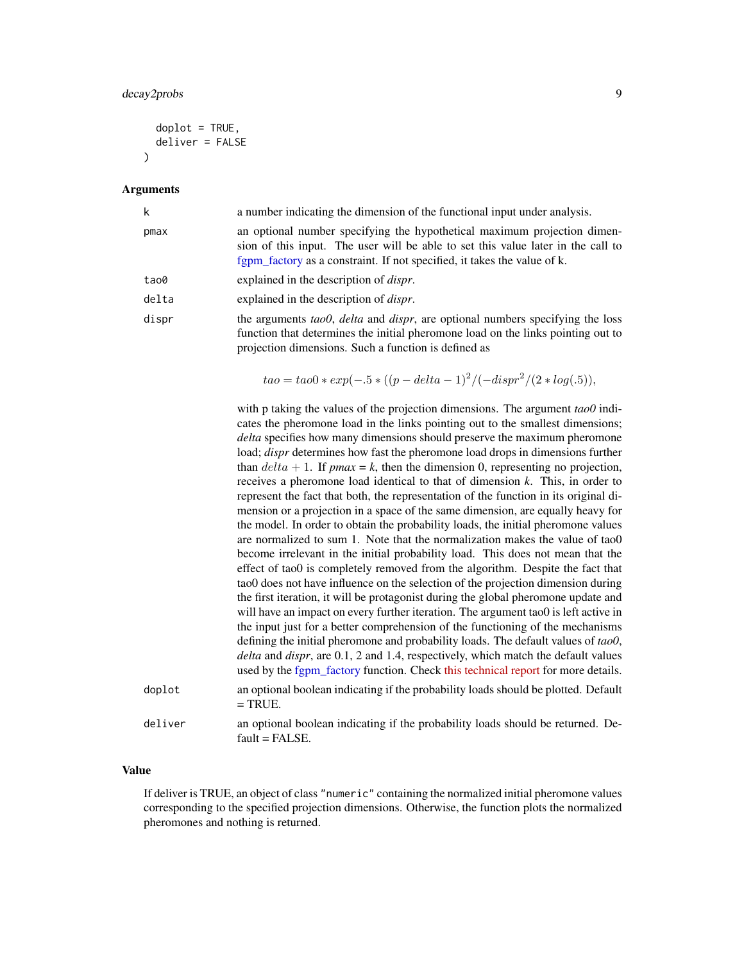## decay2probs 9

```
doplot = TRUE,deliver = FALSE
\mathcal{L}
```
## Arguments

| k      | a number indicating the dimension of the functional input under analysis.                                                                                                                                                                                                                                                                                                                                                                                                                                                                                                                                                                                                                                                                                                                                                                                                                                                                                                                                                                                                                                                                                                                                                                                                                                                                                                                                                                                                                                                                                                                                                                                 |
|--------|-----------------------------------------------------------------------------------------------------------------------------------------------------------------------------------------------------------------------------------------------------------------------------------------------------------------------------------------------------------------------------------------------------------------------------------------------------------------------------------------------------------------------------------------------------------------------------------------------------------------------------------------------------------------------------------------------------------------------------------------------------------------------------------------------------------------------------------------------------------------------------------------------------------------------------------------------------------------------------------------------------------------------------------------------------------------------------------------------------------------------------------------------------------------------------------------------------------------------------------------------------------------------------------------------------------------------------------------------------------------------------------------------------------------------------------------------------------------------------------------------------------------------------------------------------------------------------------------------------------------------------------------------------------|
| pmax   | an optional number specifying the hypothetical maximum projection dimen-<br>sion of this input. The user will be able to set this value later in the call to<br>fgpm_factory as a constraint. If not specified, it takes the value of k.                                                                                                                                                                                                                                                                                                                                                                                                                                                                                                                                                                                                                                                                                                                                                                                                                                                                                                                                                                                                                                                                                                                                                                                                                                                                                                                                                                                                                  |
| tao0   | explained in the description of <i>dispr</i> .                                                                                                                                                                                                                                                                                                                                                                                                                                                                                                                                                                                                                                                                                                                                                                                                                                                                                                                                                                                                                                                                                                                                                                                                                                                                                                                                                                                                                                                                                                                                                                                                            |
| delta  | explained in the description of <i>dispr</i> .                                                                                                                                                                                                                                                                                                                                                                                                                                                                                                                                                                                                                                                                                                                                                                                                                                                                                                                                                                                                                                                                                                                                                                                                                                                                                                                                                                                                                                                                                                                                                                                                            |
| dispr  | the arguments tao0, delta and dispr, are optional numbers specifying the loss<br>function that determines the initial pheromone load on the links pointing out to<br>projection dimensions. Such a function is defined as                                                                                                                                                                                                                                                                                                                                                                                                                                                                                                                                                                                                                                                                                                                                                                                                                                                                                                                                                                                                                                                                                                                                                                                                                                                                                                                                                                                                                                 |
|        | $tao = tao0 * exp(-.5 * ((p - delta - 1)^{2}/(-dispr^{2}/(2 * log(.5))),$                                                                                                                                                                                                                                                                                                                                                                                                                                                                                                                                                                                                                                                                                                                                                                                                                                                                                                                                                                                                                                                                                                                                                                                                                                                                                                                                                                                                                                                                                                                                                                                 |
|        | with p taking the values of the projection dimensions. The argument $tao0$ indi-<br>cates the pheromone load in the links pointing out to the smallest dimensions;<br>delta specifies how many dimensions should preserve the maximum pheromone<br>load; <i>dispr</i> determines how fast the pheromone load drops in dimensions further<br>than $delta + 1$ . If $pmax = k$ , then the dimension 0, representing no projection,<br>receives a pheromone load identical to that of dimension $k$ . This, in order to<br>represent the fact that both, the representation of the function in its original di-<br>mension or a projection in a space of the same dimension, are equally heavy for<br>the model. In order to obtain the probability loads, the initial pheromone values<br>are normalized to sum 1. Note that the normalization makes the value of tao0<br>become irrelevant in the initial probability load. This does not mean that the<br>effect of tao0 is completely removed from the algorithm. Despite the fact that<br>tao0 does not have influence on the selection of the projection dimension during<br>the first iteration, it will be protagonist during the global pheromone update and<br>will have an impact on every further iteration. The argument tao0 is left active in<br>the input just for a better comprehension of the functioning of the mechanisms<br>defining the initial pheromone and probability loads. The default values of tao0,<br>delta and dispr, are 0.1, 2 and 1.4, respectively, which match the default values<br>used by the fgpm_factory function. Check this technical report for more details. |
| doplot | an optional boolean indicating if the probability loads should be plotted. Default<br>$=$ TRUE.                                                                                                                                                                                                                                                                                                                                                                                                                                                                                                                                                                                                                                                                                                                                                                                                                                                                                                                                                                                                                                                                                                                                                                                                                                                                                                                                                                                                                                                                                                                                                           |
|        |                                                                                                                                                                                                                                                                                                                                                                                                                                                                                                                                                                                                                                                                                                                                                                                                                                                                                                                                                                                                                                                                                                                                                                                                                                                                                                                                                                                                                                                                                                                                                                                                                                                           |

deliver an optional boolean indicating if the probability loads should be returned. Default = FALSE.

## Value

If deliver is TRUE, an object of class "numeric" containing the normalized initial pheromone values corresponding to the specified projection dimensions. Otherwise, the function plots the normalized pheromones and nothing is returned.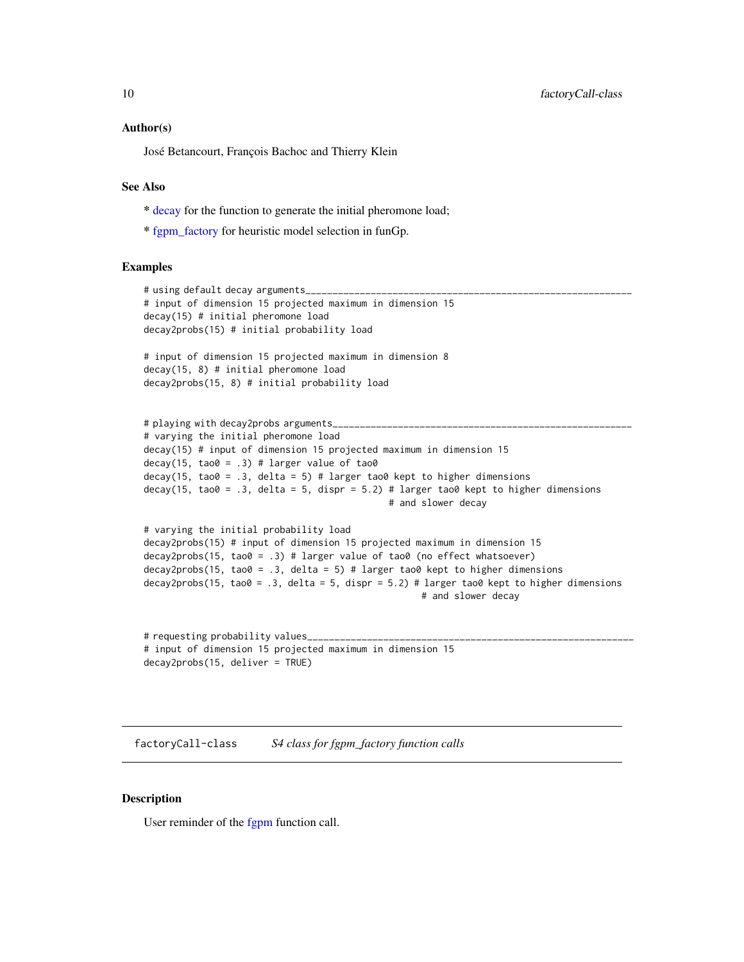## <span id="page-9-0"></span>Author(s)

José Betancourt, François Bachoc and Thierry Klein

## See Also

- \* [decay](#page-5-1) for the function to generate the initial pheromone load;
- \* [fgpm\\_factory](#page-17-1) for heuristic model selection in funGp.

## Examples

```
# using default decay arguments_
# input of dimension 15 projected maximum in dimension 15
decay(15) # initial pheromone load
decay2probs(15) # initial probability load
# input of dimension 15 projected maximum in dimension 8
decay(15, 8) # initial pheromone load
decay2probs(15, 8) # initial probability load
```

```
# playing with decay2probs arguments_
# varying the initial pheromone load
decay(15) # input of dimension 15 projected maximum in dimension 15
decay(15, tao0 = .3) # larger value of tao0decay(15, tao0 = .3, delta = 5) # larger tao0 kept to higher dimensions
decay(15, tao0 = .3, delta = 5, dispr = 5.2) # larger tao0 kept to higher dimensions
                                             # and slower decay
```

```
# varying the initial probability load
decay2probs(15) # input of dimension 15 projected maximum in dimension 15
decay2probs(15, tao0 = .3) # larger value of tao0 (no effect whatsoever)
decay2probs(15, tao0 = .3, delta = 5) # larger tao0 kept to higher dimensions
decay2probs(15, tao\theta = .3, delta = 5, dispr = 5.2) # larger tao\theta kept to higher dimensions
                                                     # and slower decay
```

```
# requesting probability values_
# input of dimension 15 projected maximum in dimension 15
decay2probs(15, deliver = TRUE)
```
<span id="page-9-1"></span>factoryCall-class *S4 class for fgpm\_factory function calls*

## Description

User reminder of the [fgpm](#page-10-1) function call.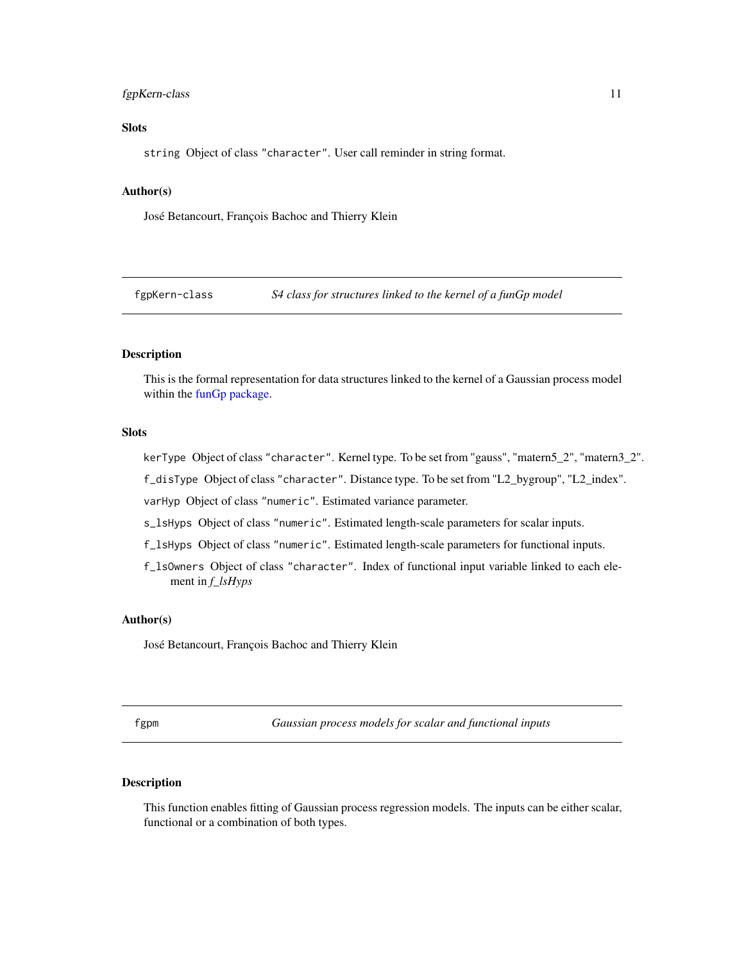## <span id="page-10-0"></span>fgpKern-class 11

## **Slots**

string Object of class "character". User call reminder in string format.

#### Author(s)

José Betancourt, François Bachoc and Thierry Klein

<span id="page-10-2"></span>fgpKern-class *S4 class for structures linked to the kernel of a funGp model*

## Description

This is the formal representation for data structures linked to the kernel of a Gaussian process model within the [funGp package.](#page-2-1)

#### **Slots**

kerType Object of class "character". Kernel type. To be set from "gauss", "matern5\_2", "matern3\_2".

f\_disType Object of class "character". Distance type. To be set from "L2\_bygroup", "L2\_index".

varHyp Object of class "numeric". Estimated variance parameter.

s\_lsHyps Object of class "numeric". Estimated length-scale parameters for scalar inputs.

f\_lsHyps Object of class "numeric". Estimated length-scale parameters for functional inputs.

f\_lsOwners Object of class "character". Index of functional input variable linked to each element in *f\_lsHyps*

## Author(s)

José Betancourt, François Bachoc and Thierry Klein

<span id="page-10-1"></span>fgpm *Gaussian process models for scalar and functional inputs*

## Description

This function enables fitting of Gaussian process regression models. The inputs can be either scalar, functional or a combination of both types.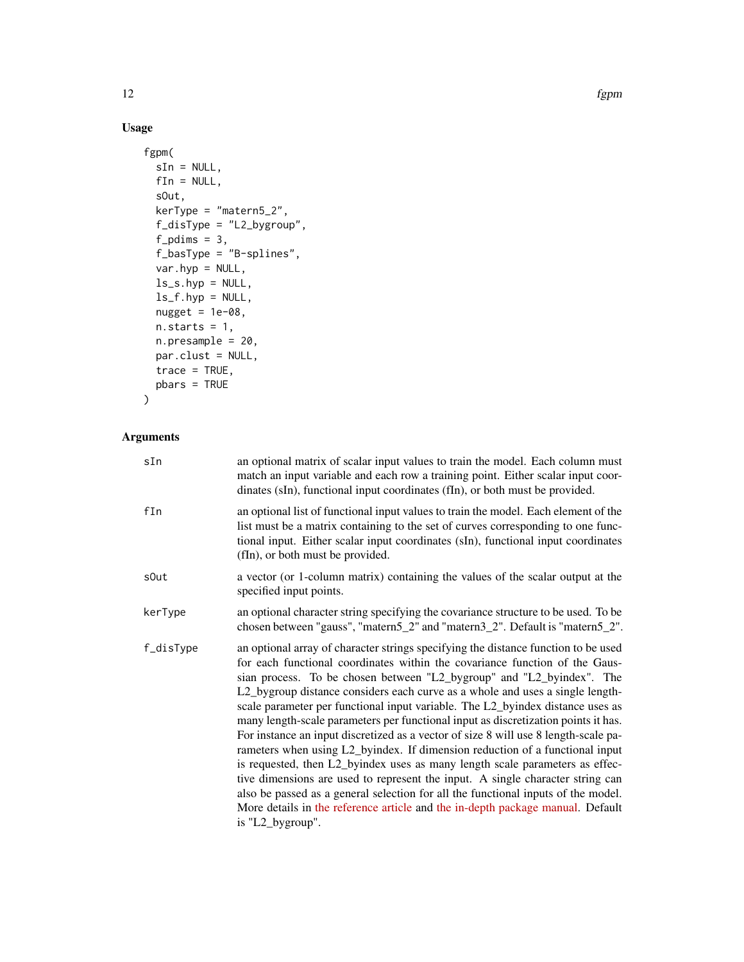12 fgpm

## Usage

```
fgpm(
  sIn = NULL,
 fin = NULL,sOut,
 kerType = "matern5_2",
  f_disType = "L2_bygroup",
  f_pdims = 3,
  f_basType = "B-splines",
  var.hyp = NULL,
 ls_s.hyp = NULL,
 ls_f.hyp = NULL,nugget = 1e-08,
 n. starts = 1,n.presample = 20,
 par.clust = NULL,
 trace = TRUE,
 pbars = TRUE
\mathcal{L}
```
## Arguments

| sIn       | an optional matrix of scalar input values to train the model. Each column must<br>match an input variable and each row a training point. Either scalar input coor-<br>dinates (sIn), functional input coordinates (fIn), or both must be provided.                                                                                                                                                                                                                                                                                                                                                                                                                                                                                                                                                                                                                                                                                                                                                                                      |
|-----------|-----------------------------------------------------------------------------------------------------------------------------------------------------------------------------------------------------------------------------------------------------------------------------------------------------------------------------------------------------------------------------------------------------------------------------------------------------------------------------------------------------------------------------------------------------------------------------------------------------------------------------------------------------------------------------------------------------------------------------------------------------------------------------------------------------------------------------------------------------------------------------------------------------------------------------------------------------------------------------------------------------------------------------------------|
| fIn       | an optional list of functional input values to train the model. Each element of the<br>list must be a matrix containing to the set of curves corresponding to one func-<br>tional input. Either scalar input coordinates (sIn), functional input coordinates<br>(fIn), or both must be provided.                                                                                                                                                                                                                                                                                                                                                                                                                                                                                                                                                                                                                                                                                                                                        |
| s0ut      | a vector (or 1-column matrix) containing the values of the scalar output at the<br>specified input points.                                                                                                                                                                                                                                                                                                                                                                                                                                                                                                                                                                                                                                                                                                                                                                                                                                                                                                                              |
| kerType   | an optional character string specifying the covariance structure to be used. To be<br>chosen between "gauss", "matern5_2" and "matern3_2". Default is "matern5_2".                                                                                                                                                                                                                                                                                                                                                                                                                                                                                                                                                                                                                                                                                                                                                                                                                                                                      |
| f_disType | an optional array of character strings specifying the distance function to be used<br>for each functional coordinates within the covariance function of the Gaus-<br>sian process. To be chosen between "L2_bygroup" and "L2_byindex". The<br>L2_bygroup distance considers each curve as a whole and uses a single length-<br>scale parameter per functional input variable. The L2_byindex distance uses as<br>many length-scale parameters per functional input as discretization points it has.<br>For instance an input discretized as a vector of size 8 will use 8 length-scale pa-<br>rameters when using L2_byindex. If dimension reduction of a functional input<br>is requested, then L2_byindex uses as many length scale parameters as effec-<br>tive dimensions are used to represent the input. A single character string can<br>also be passed as a general selection for all the functional inputs of the model.<br>More details in the reference article and the in-depth package manual. Default<br>is "L2_bygroup". |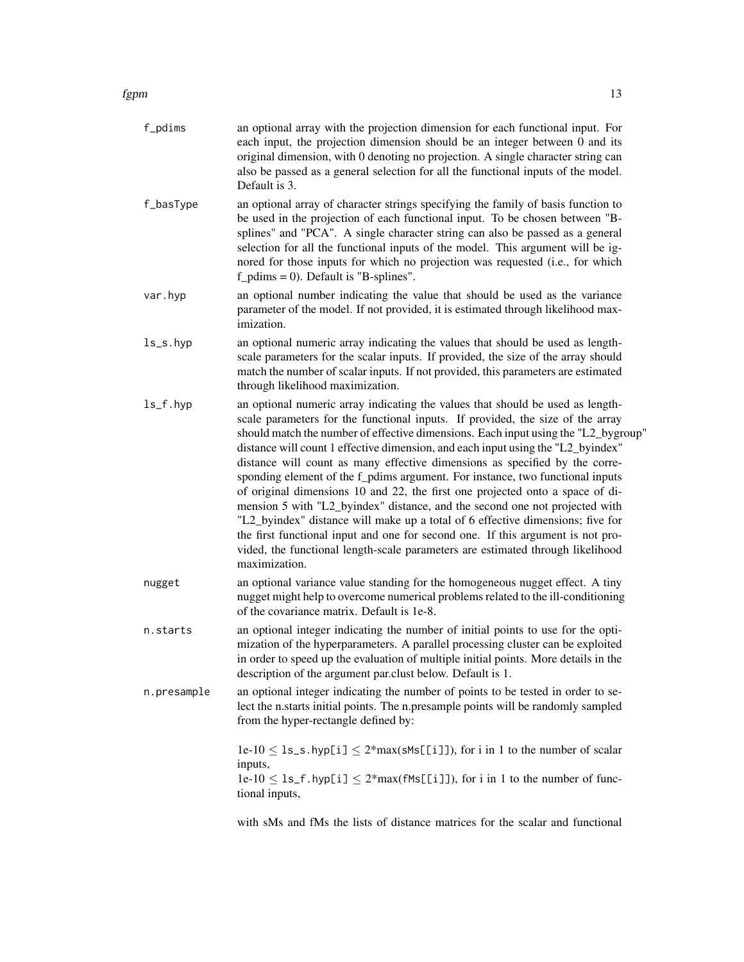## $fppm$  and the contract of the contract of the contract of the contract of the contract of the contract of the contract of the contract of the contract of the contract of the contract of the contract of the contract of the

| f_pdims     | an optional array with the projection dimension for each functional input. For<br>each input, the projection dimension should be an integer between 0 and its<br>original dimension, with 0 denoting no projection. A single character string can<br>also be passed as a general selection for all the functional inputs of the model.<br>Default is 3.                                                                                                                                                                                                                                                                                                                                                                                                                                                                                                                                                                                            |
|-------------|----------------------------------------------------------------------------------------------------------------------------------------------------------------------------------------------------------------------------------------------------------------------------------------------------------------------------------------------------------------------------------------------------------------------------------------------------------------------------------------------------------------------------------------------------------------------------------------------------------------------------------------------------------------------------------------------------------------------------------------------------------------------------------------------------------------------------------------------------------------------------------------------------------------------------------------------------|
| f_basType   | an optional array of character strings specifying the family of basis function to<br>be used in the projection of each functional input. To be chosen between "B-<br>splines" and "PCA". A single character string can also be passed as a general<br>selection for all the functional inputs of the model. This argument will be ig-<br>nored for those inputs for which no projection was requested (i.e., for which<br>$f\_pdims = 0$ ). Default is "B-splines".                                                                                                                                                                                                                                                                                                                                                                                                                                                                                |
| var.hyp     | an optional number indicating the value that should be used as the variance<br>parameter of the model. If not provided, it is estimated through likelihood max-<br>imization.                                                                                                                                                                                                                                                                                                                                                                                                                                                                                                                                                                                                                                                                                                                                                                      |
| $ls$ _s.hyp | an optional numeric array indicating the values that should be used as length-<br>scale parameters for the scalar inputs. If provided, the size of the array should<br>match the number of scalar inputs. If not provided, this parameters are estimated<br>through likelihood maximization.                                                                                                                                                                                                                                                                                                                                                                                                                                                                                                                                                                                                                                                       |
| $ls_f.py$   | an optional numeric array indicating the values that should be used as length-<br>scale parameters for the functional inputs. If provided, the size of the array<br>should match the number of effective dimensions. Each input using the "L2_bygroup"<br>distance will count 1 effective dimension, and each input using the "L2_byindex"<br>distance will count as many effective dimensions as specified by the corre-<br>sponding element of the f_pdims argument. For instance, two functional inputs<br>of original dimensions 10 and 22, the first one projected onto a space of di-<br>mension 5 with "L2_byindex" distance, and the second one not projected with<br>"L2_byindex" distance will make up a total of 6 effective dimensions; five for<br>the first functional input and one for second one. If this argument is not pro-<br>vided, the functional length-scale parameters are estimated through likelihood<br>maximization. |
| nugget      | an optional variance value standing for the homogeneous nugget effect. A tiny<br>nugget might help to overcome numerical problems related to the ill-conditioning<br>of the covariance matrix. Default is 1e-8.                                                                                                                                                                                                                                                                                                                                                                                                                                                                                                                                                                                                                                                                                                                                    |
| n.starts    | an optional integer indicating the number of initial points to use for the opti-<br>mization of the hyperparameters. A parallel processing cluster can be exploited<br>in order to speed up the evaluation of multiple initial points. More details in the<br>description of the argument par.clust below. Default is 1.                                                                                                                                                                                                                                                                                                                                                                                                                                                                                                                                                                                                                           |
| n.presample | an optional integer indicating the number of points to be tested in order to se-<br>lect the n.starts initial points. The n.presample points will be randomly sampled<br>from the hyper-rectangle defined by:                                                                                                                                                                                                                                                                                                                                                                                                                                                                                                                                                                                                                                                                                                                                      |
|             | $1e-10 \leq 1s$ , s. hyp[i] $\leq 2*max(\text{SMs}[[1]])$ , for i in 1 to the number of scalar<br>inputs,<br>$1e-10 \leq 1s_f$ . hyp[i] $\leq 2*max(fMs[[i]])$ , for i in 1 to the number of func-<br>tional inputs,                                                                                                                                                                                                                                                                                                                                                                                                                                                                                                                                                                                                                                                                                                                               |
|             | with sMs and fMs the lists of distance matrices for the scalar and functional                                                                                                                                                                                                                                                                                                                                                                                                                                                                                                                                                                                                                                                                                                                                                                                                                                                                      |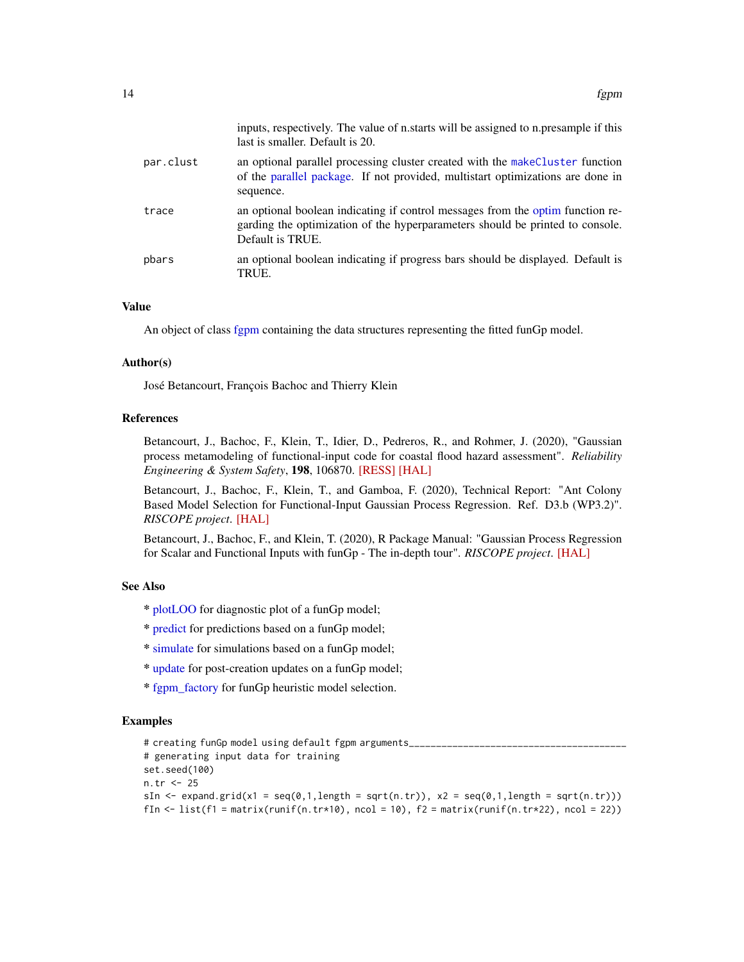<span id="page-13-0"></span>

|           | inputs, respectively. The value of n.starts will be assigned to n.presample if this<br>last is smaller. Default is 20.                                                              |
|-----------|-------------------------------------------------------------------------------------------------------------------------------------------------------------------------------------|
| par.clust | an optional parallel processing cluster created with the make Cluster function<br>of the parallel package. If not provided, multistart optimizations are done in<br>sequence.       |
| trace     | an optional boolean indicating if control messages from the optim function re-<br>garding the optimization of the hyperparameters should be printed to console.<br>Default is TRUE. |
| pbars     | an optional boolean indicating if progress bars should be displayed. Default is<br>TRUE.                                                                                            |

#### Value

An object of class [fgpm](#page-16-1) containing the data structures representing the fitted funGp model.

#### Author(s)

José Betancourt, François Bachoc and Thierry Klein

## References

Betancourt, J., Bachoc, F., Klein, T., Idier, D., Pedreros, R., and Rohmer, J. (2020), "Gaussian process metamodeling of functional-input code for coastal flood hazard assessment". *Reliability Engineering & System Safety*, 198, 106870. [\[RESS\]](https://www.sciencedirect.com/science/article/abs/pii/S0951832019301693) [\[HAL\]](https://hal.archives-ouvertes.fr/hal-01998724)

Betancourt, J., Bachoc, F., Klein, T., and Gamboa, F. (2020), Technical Report: "Ant Colony Based Model Selection for Functional-Input Gaussian Process Regression. Ref. D3.b (WP3.2)". *RISCOPE project*. [\[HAL\]](https://hal.archives-ouvertes.fr/hal-02532713)

Betancourt, J., Bachoc, F., and Klein, T. (2020), R Package Manual: "Gaussian Process Regression for Scalar and Functional Inputs with funGp - The in-depth tour". *RISCOPE project*. [\[HAL\]](https://hal.archives-ouvertes.fr/hal-02536624)

#### See Also

- \* [plotLOO](#page-29-1) for diagnostic plot of a funGp model;
- \* [predict](#page-39-1) for predictions based on a funGp model;
- \* [simulate](#page-43-1) for simulations based on a funGp model;
- \* [update](#page-45-1) for post-creation updates on a funGp model;
- \* [fgpm\\_factory](#page-17-1) for funGp heuristic model selection.

## Examples

```
# creating funGp model using default fgpm arguments_
# generating input data for training
set.seed(100)
n.tr <- 25
sIn \le expand.grid(x1 = seq(0,1,length = sqrt(n.tr)), x2 = seq(0,1,length = sqrt(n.tr)))
fIn \leftarrow list(f1 = matrix(runif(n.tr*10), ncol = 10), f2 = matrix(runif(n.tr*22), ncol = 22))
```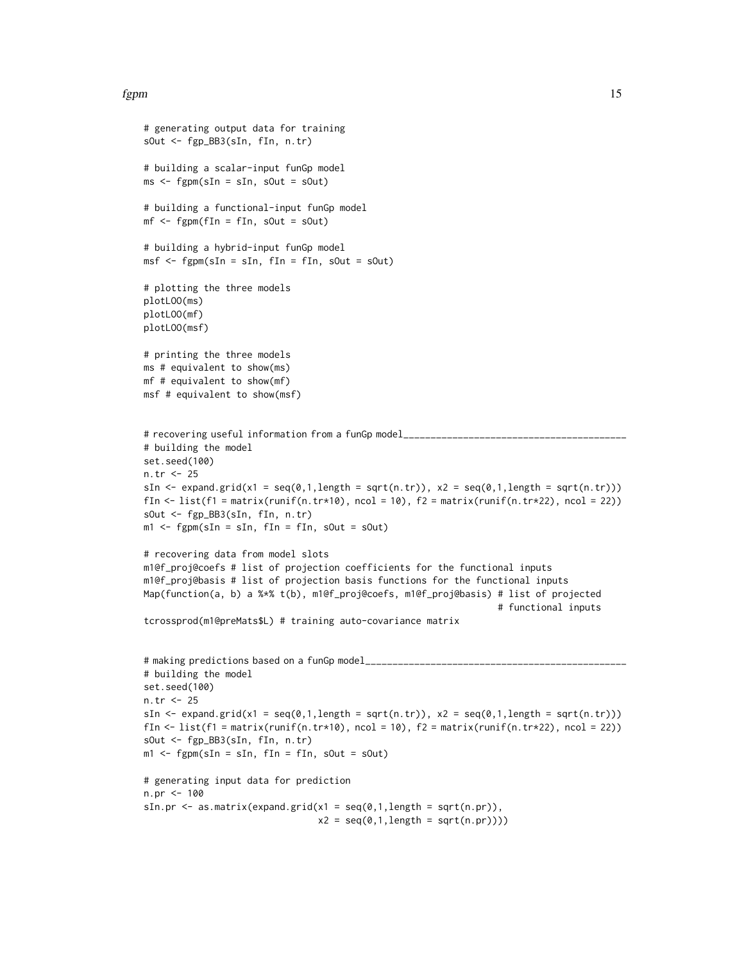#### fgpm that the state of the state of the state of the state of the state of the state of the state of the state of the state of the state of the state of the state of the state of the state of the state of the state of the

```
# generating output data for training
sOut <- fgp_BB3(sIn, fIn, n.tr)
# building a scalar-input funGp model
ms < - fgpm(sIn = sIn, sOut = sOut)# building a functional-input funGp model
mf \leq fgpm(fIn = fIn, sOut = sOut)# building a hybrid-input funGp model
msf \leq fgpm(sIn = sIn, fIn = fIn, sOut = sOut)
# plotting the three models
plotLOO(ms)
plotLOO(mf)
plotLOO(msf)
# printing the three models
ms # equivalent to show(ms)
mf # equivalent to show(mf)
msf # equivalent to show(msf)
# recovering useful information from a funGp model_______
# building the model
set.seed(100)
n.tr <- 25
sIn \le expand.grid(x1 = seq(0,1,length = sqrt(n.tr)), x2 = seq(0,1,length = sqrt(n.tr)))
fIn \leftarrow list(f1 = matrix(runif(n.tr*10), ncol = 10), f2 = matrix(runif(n.tr*22), ncol = 22))
sOut <- fgp_BB3(sIn, fIn, n.tr)
m1 <- fgpm(sIn = sIn, fIn = fIn, sOut = sOut)
# recovering data from model slots
m1@f_proj@coefs # list of projection coefficients for the functional inputs
m1@f_proj@basis # list of projection basis functions for the functional inputs
Map(function(a, b) a %*% t(b), m1@f_proj@coefs, m1@f_proj@basis) # list of projected
                                                                   # functional inputs
tcrossprod(m1@preMats$L) # training auto-covariance matrix
# making predictions based on a funGp model_________
# building the model
set.seed(100)
n.tr <- 25
sIn \leq expand.grid(x1 = seq(0,1,length = sqrt(n.tr)), x2 = seq(0,1,length = sqrt(n.tr)))
fIn \leftarrow list(f1 = matrix(runif(n.tr*10), ncol = 10), f2 = matrix(runif(n.tr*22), ncol = 22))
sOut <- fgp_BB3(sIn, fIn, n.tr)
m1 <- fgpm(sIn = sIn, fIn = fIn, sOut = sOut)
# generating input data for prediction
n.pr <- 100
sIn.pr \leq as.matrix(expand.grid(x1 = seq(0,1,length = sqrt(n.pr)),
                                 x2 = seq(0,1, length = sqrt(n.pr))))
```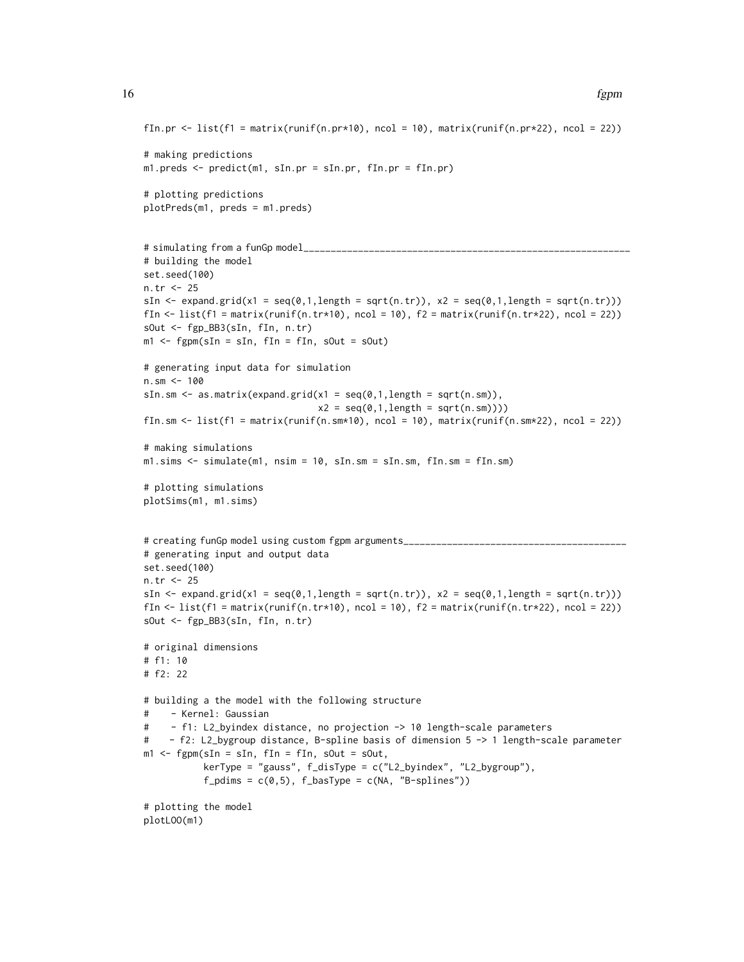```
fIn.pr \le list(f1 = matrix(runif(n.pr*10), ncol = 10), matrix(runif(n.pr*22), ncol = 22))
# making predictions
m1.preds <- predict(m1, sIn.pr = sIn.pr, fIn.pr = fIn.pr)
# plotting predictions
plotPreds(m1, preds = m1.preds)
# simulating from a funGp model_
# building the model
set.seed(100)
n.tr <- 25
sIn \le expand.grid(x1 = seq(0,1,length = sqrt(n.tr)), x2 = seq(0,1,length = sqrt(n.tr)))
fIn \text{lt}-\text{list}(\text{f1} = \text{matrix}(\text{runit}(\text{n}.\text{tr}*\text{10}), \text{ncol} = 10), \text{f2} = \text{matrix}(\text{runit}(\text{n}.\text{tr}*\text{22}), \text{ncol} = 22))sOut <- fgp_BB3(sIn, fIn, n.tr)
m1 <- fgpm(sIn = sIn, fIn = fIn, sOut = sOut)
# generating input data for simulation
n.sm < -100sIn.sm \leq as.matrix(expand.grid(x1 = seq(0,1,length = sqrt(n.sm)),
                                  x2 = seq(0, 1, length = sqrt(n, sm)))fIn.sm <- list(f1 = matrix(runif(n.sm*10), ncol = 10), matrix(runif(n.sm*22), ncol = 22))
# making simulations
m1.sims <- simulate(m1, nsim = 10, sIn.sm = sIn.sm, fIn.sm = fIn.sm)
# plotting simulations
plotSims(m1, m1.sims)
# creating funGp model using custom fgpm arguments_________________
# generating input and output data
set.seed(100)
n.tr <- 25
sIn \le expand.grid(x1 = seq(0,1,length = sqrt(n.tr)), x2 = seq(0,1,length = sqrt(n.tr)))
fIn \leftarrow list(f1 = matrix(runif(n.tr*10), ncol = 10), f2 = matrix(runif(n.tr*22), ncol = 22))
sOut <- fgp_BB3(sIn, fIn, n.tr)
# original dimensions
# f1: 10
# f2: 22
# building a the model with the following structure
# - Kernel: Gaussian
# - f1: L2_byindex distance, no projection -> 10 length-scale parameters
# - f2: L2_bygroup distance, B-spline basis of dimension 5 -> 1 length-scale parameter
m1 <- fgpm(sIn = sIn, fIn = fIn, sOut = sOut,
            kerType = "gauss", f_disType = c("L2_byindex", "L2_bygroup"),
            f_pdims = c(\emptyset, 5), f_basType = c(NA, 'B-splines''))
# plotting the model
plotLOO(m1)
```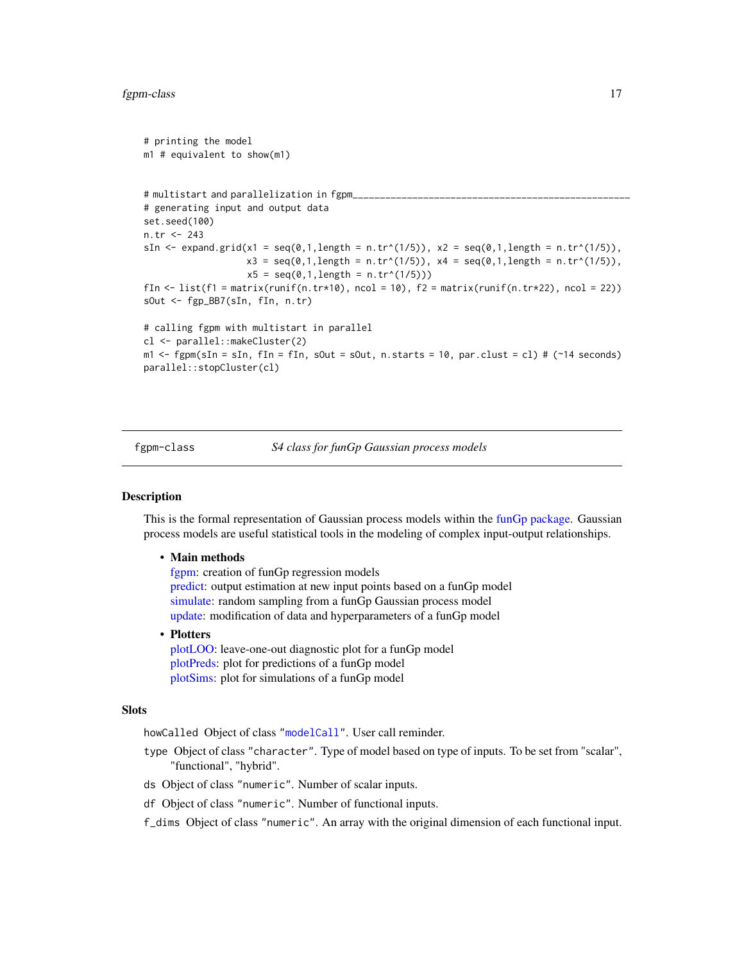#### <span id="page-16-0"></span>fgpm-class 17

```
# printing the model
m1 # equivalent to show(m1)
# multistart and parallelization in fgpm_
# generating input and output data
set.seed(100)
n.tr <- 243
sIn \le expand.grid(x1 = seq(0,1,length = n.tr^(1/5)), x2 = seq(0,1,length = n.tr^(1/5)),
                    x3 = \text{seq}(0,1, \text{length} = n.\text{tr}^*(1/5)), x4 = \text{seq}(0,1, \text{length} = n.\text{tr}^*(1/5)),x5 = seq(0, 1, length = n.tr^(1/5)))fIn \text{K} list(f1 = matrix(runif(n.tr*10), ncol = 10), f2 = matrix(runif(n.tr*22), ncol = 22))
sOut <- fgp_BB7(sIn, fIn, n.tr)
# calling fgpm with multistart in parallel
cl <- parallel::makeCluster(2)
m1 <- fgpm(sIn = sIn, fIn = fIn, sOut = sOut, n.starts = 10, par.clust = cl) # (~14 seconds)
parallel::stopCluster(cl)
```
<span id="page-16-1"></span>fgpm-class *S4 class for funGp Gaussian process models*

#### Description

This is the formal representation of Gaussian process models within the [funGp package.](#page-2-1) Gaussian process models are useful statistical tools in the modeling of complex input-output relationships.

#### • Main methods

[fgpm:](#page-10-1) creation of funGp regression models [predict:](#page-39-1) output estimation at new input points based on a funGp model [simulate:](#page-43-1) random sampling from a funGp Gaussian process model [update:](#page-45-1) modification of data and hyperparameters of a funGp model

#### • Plotters

[plotLOO:](#page-29-1) leave-one-out diagnostic plot for a funGp model [plotPreds:](#page-31-1) plot for predictions of a funGp model [plotSims:](#page-34-1) plot for simulations of a funGp model

#### Slots

howCalled Object of class ["modelCall"](#page-26-1). User call reminder.

- type Object of class "character". Type of model based on type of inputs. To be set from "scalar", "functional", "hybrid".
- ds Object of class "numeric". Number of scalar inputs.
- df Object of class "numeric". Number of functional inputs.

f\_dims Object of class "numeric". An array with the original dimension of each functional input.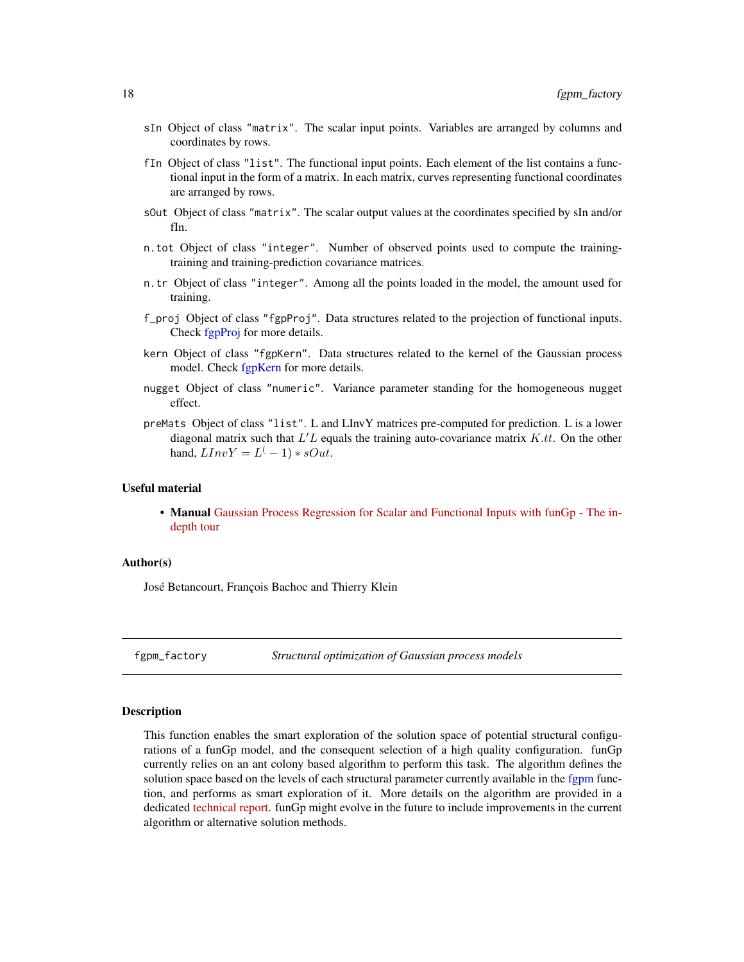- <span id="page-17-0"></span>sIn Object of class "matrix". The scalar input points. Variables are arranged by columns and coordinates by rows.
- fIn Object of class "list". The functional input points. Each element of the list contains a functional input in the form of a matrix. In each matrix, curves representing functional coordinates are arranged by rows.
- sOut Object of class "matrix". The scalar output values at the coordinates specified by sIn and/or fIn.
- n.tot Object of class "integer". Number of observed points used to compute the trainingtraining and training-prediction covariance matrices.
- n.tr Object of class "integer". Among all the points loaded in the model, the amount used for training.
- f\_proj Object of class "fgpProj". Data structures related to the projection of functional inputs. Check [fgpProj](#page-25-1) for more details.
- kern Object of class "fgpKern". Data structures related to the kernel of the Gaussian process model. Check [fgpKern](#page-10-2) for more details.
- nugget Object of class "numeric". Variance parameter standing for the homogeneous nugget effect.
- preMats Object of class "list". L and LInvY matrices pre-computed for prediction. L is a lower diagonal matrix such that  $L'L$  equals the training auto-covariance matrix  $K.t.$  On the other hand,  $LInvY = L^(-1) * sOut$ .

## Useful material

• Manual [Gaussian Process Regression for Scalar and Functional Inputs with funGp - The in](https://hal.archives-ouvertes.fr/hal-02536624)[depth tour](https://hal.archives-ouvertes.fr/hal-02536624)

#### Author(s)

José Betancourt, François Bachoc and Thierry Klein

<span id="page-17-1"></span>fgpm\_factory *Structural optimization of Gaussian process models*

## **Description**

This function enables the smart exploration of the solution space of potential structural configurations of a funGp model, and the consequent selection of a high quality configuration. funGp currently relies on an ant colony based algorithm to perform this task. The algorithm defines the solution space based on the levels of each structural parameter currently available in the [fgpm](#page-10-1) function, and performs as smart exploration of it. More details on the algorithm are provided in a dedicated [technical report.](https://hal.archives-ouvertes.fr/hal-02532713) funGp might evolve in the future to include improvements in the current algorithm or alternative solution methods.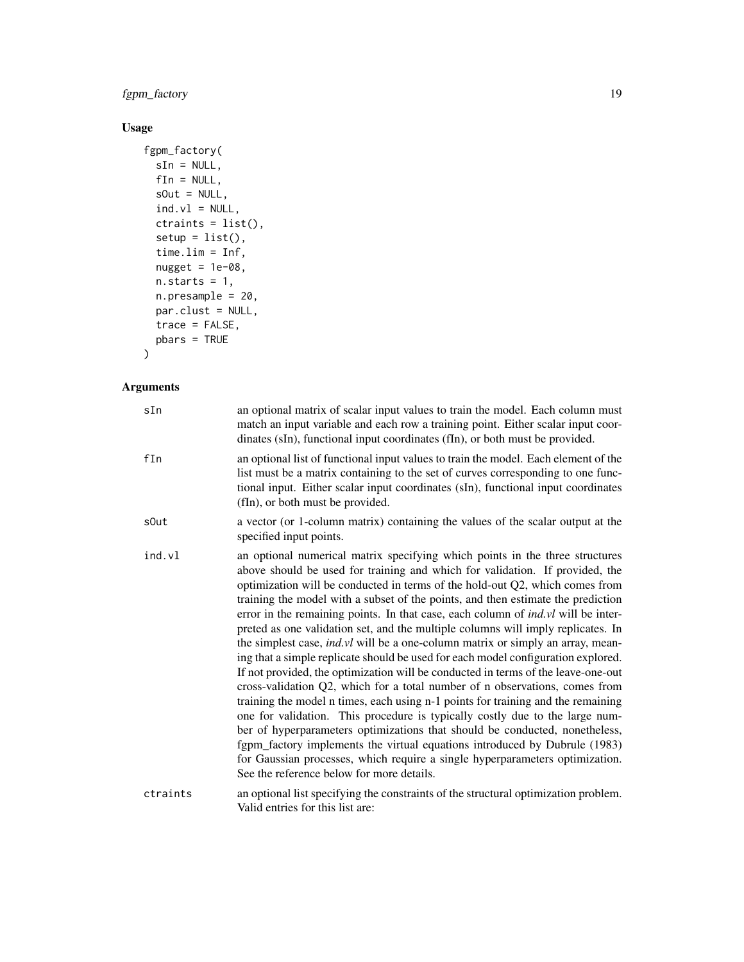fgpm\_factory 19

## Usage

```
fgpm_factory(
 sIn = NULL,
 fin = NULL,sOut = NULL,ind.v1 = NULL,ctraints = list(),
 setup = list(),time.lim = Inf,
 nugget = 1e-08,
 n. starts = 1,n.presample = 20,
 par.clust = NULL,
 trace = FALSE,
 pbars = TRUE
)
```
## Arguments

| sIn      | an optional matrix of scalar input values to train the model. Each column must<br>match an input variable and each row a training point. Either scalar input coor-<br>dinates (sIn), functional input coordinates (fIn), or both must be provided.                                                                                                                                                                                                                                                                                                                                                                                                                                                                                                                                                                                                                                                                                                                                                                                                                                                                                                                                                                                                                                                                                |
|----------|-----------------------------------------------------------------------------------------------------------------------------------------------------------------------------------------------------------------------------------------------------------------------------------------------------------------------------------------------------------------------------------------------------------------------------------------------------------------------------------------------------------------------------------------------------------------------------------------------------------------------------------------------------------------------------------------------------------------------------------------------------------------------------------------------------------------------------------------------------------------------------------------------------------------------------------------------------------------------------------------------------------------------------------------------------------------------------------------------------------------------------------------------------------------------------------------------------------------------------------------------------------------------------------------------------------------------------------|
| fIn      | an optional list of functional input values to train the model. Each element of the<br>list must be a matrix containing to the set of curves corresponding to one func-<br>tional input. Either scalar input coordinates (sIn), functional input coordinates<br>(fIn), or both must be provided.                                                                                                                                                                                                                                                                                                                                                                                                                                                                                                                                                                                                                                                                                                                                                                                                                                                                                                                                                                                                                                  |
| s0ut     | a vector (or 1-column matrix) containing the values of the scalar output at the<br>specified input points.                                                                                                                                                                                                                                                                                                                                                                                                                                                                                                                                                                                                                                                                                                                                                                                                                                                                                                                                                                                                                                                                                                                                                                                                                        |
| ind.vl   | an optional numerical matrix specifying which points in the three structures<br>above should be used for training and which for validation. If provided, the<br>optimization will be conducted in terms of the hold-out Q2, which comes from<br>training the model with a subset of the points, and then estimate the prediction<br>error in the remaining points. In that case, each column of <i>ind.vl</i> will be inter-<br>preted as one validation set, and the multiple columns will imply replicates. In<br>the simplest case, <i>ind.vl</i> will be a one-column matrix or simply an array, mean-<br>ing that a simple replicate should be used for each model configuration explored.<br>If not provided, the optimization will be conducted in terms of the leave-one-out<br>cross-validation Q2, which for a total number of n observations, comes from<br>training the model n times, each using n-1 points for training and the remaining<br>one for validation. This procedure is typically costly due to the large num-<br>ber of hyperparameters optimizations that should be conducted, nonetheless,<br>fgpm_factory implements the virtual equations introduced by Dubrule (1983)<br>for Gaussian processes, which require a single hyperparameters optimization.<br>See the reference below for more details. |
| ctraints | an optional list specifying the constraints of the structural optimization problem.<br>Valid entries for this list are:                                                                                                                                                                                                                                                                                                                                                                                                                                                                                                                                                                                                                                                                                                                                                                                                                                                                                                                                                                                                                                                                                                                                                                                                           |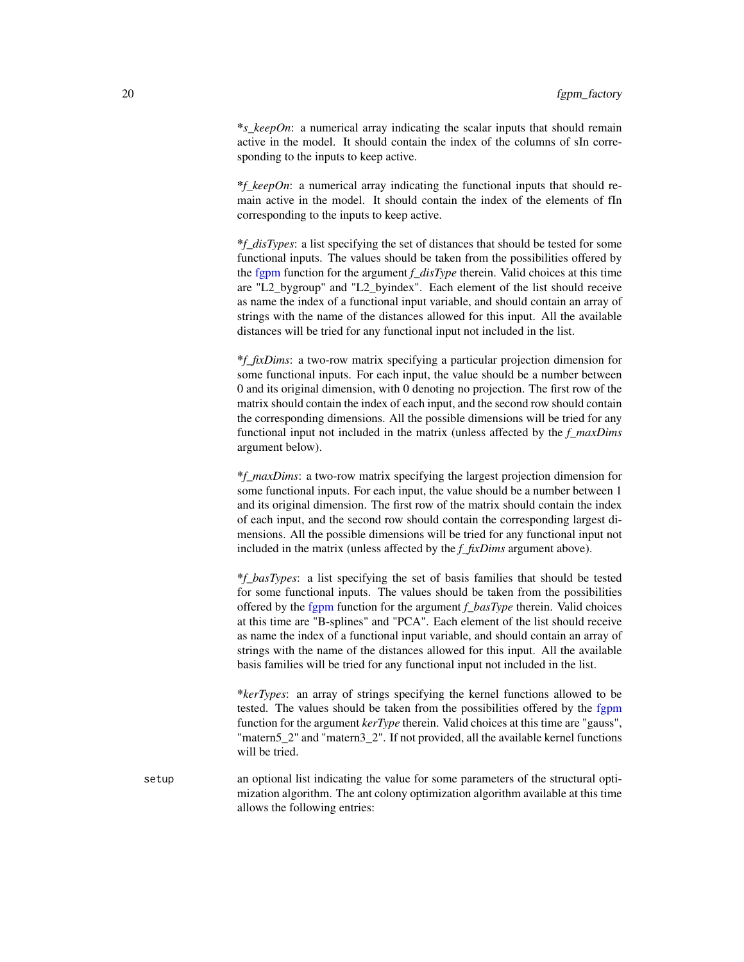<span id="page-19-0"></span>\**s\_keepOn*: a numerical array indicating the scalar inputs that should remain active in the model. It should contain the index of the columns of sIn corresponding to the inputs to keep active.

\**f\_keepOn*: a numerical array indicating the functional inputs that should remain active in the model. It should contain the index of the elements of fIn corresponding to the inputs to keep active.

\**f\_disTypes*: a list specifying the set of distances that should be tested for some functional inputs. The values should be taken from the possibilities offered by the [fgpm](#page-10-1) function for the argument *f\_disType* therein. Valid choices at this time are "L2\_bygroup" and "L2\_byindex". Each element of the list should receive as name the index of a functional input variable, and should contain an array of strings with the name of the distances allowed for this input. All the available distances will be tried for any functional input not included in the list.

\**f\_fixDims*: a two-row matrix specifying a particular projection dimension for some functional inputs. For each input, the value should be a number between 0 and its original dimension, with 0 denoting no projection. The first row of the matrix should contain the index of each input, and the second row should contain the corresponding dimensions. All the possible dimensions will be tried for any functional input not included in the matrix (unless affected by the *f\_maxDims* argument below).

\**f\_maxDims*: a two-row matrix specifying the largest projection dimension for some functional inputs. For each input, the value should be a number between 1 and its original dimension. The first row of the matrix should contain the index of each input, and the second row should contain the corresponding largest dimensions. All the possible dimensions will be tried for any functional input not included in the matrix (unless affected by the *f\_fixDims* argument above).

\**f\_basTypes*: a list specifying the set of basis families that should be tested for some functional inputs. The values should be taken from the possibilities offered by the [fgpm](#page-10-1) function for the argument *f\_basType* therein. Valid choices at this time are "B-splines" and "PCA". Each element of the list should receive as name the index of a functional input variable, and should contain an array of strings with the name of the distances allowed for this input. All the available basis families will be tried for any functional input not included in the list.

\**kerTypes*: an array of strings specifying the kernel functions allowed to be tested. The values should be taken from the possibilities offered by the [fgpm](#page-10-1) function for the argument *kerType* therein. Valid choices at this time are "gauss", "matern5 2" and "matern3 2". If not provided, all the available kernel functions will be tried.

setup an optional list indicating the value for some parameters of the structural optimization algorithm. The ant colony optimization algorithm available at this time allows the following entries: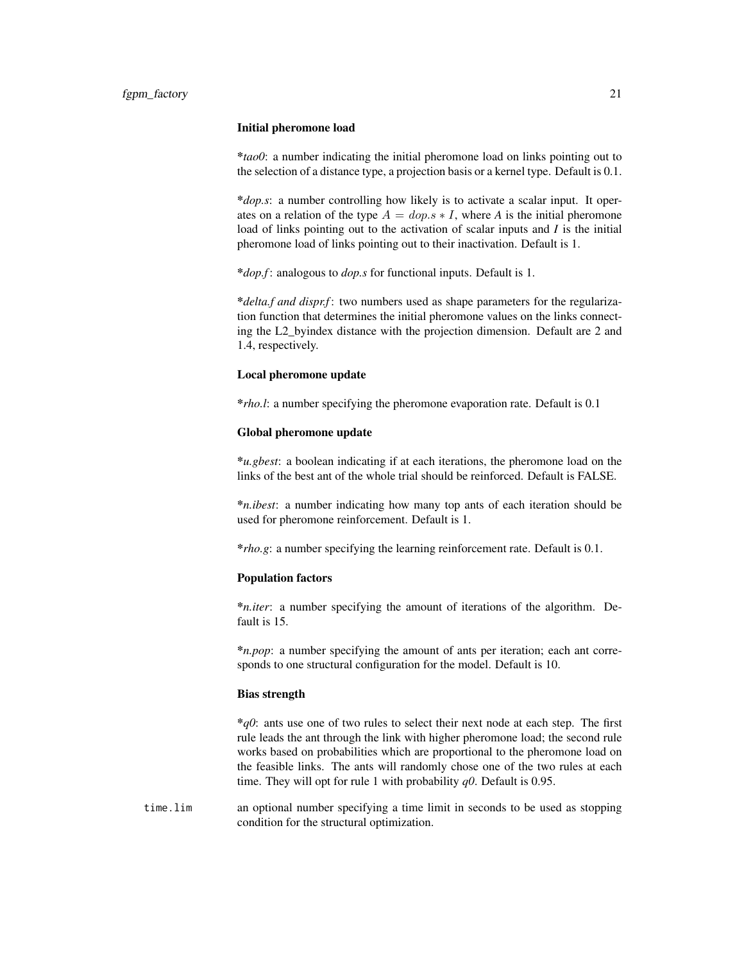## Initial pheromone load

\**tao0*: a number indicating the initial pheromone load on links pointing out to the selection of a distance type, a projection basis or a kernel type. Default is 0.1.

\**dop.s*: a number controlling how likely is to activate a scalar input. It operates on a relation of the type  $A = dop.s * I$ , where A is the initial pheromone load of links pointing out to the activation of scalar inputs and *I* is the initial pheromone load of links pointing out to their inactivation. Default is 1.

\**dop.f* : analogous to *dop.s* for functional inputs. Default is 1.

\**delta.f and dispr.f* : two numbers used as shape parameters for the regularization function that determines the initial pheromone values on the links connecting the L2\_byindex distance with the projection dimension. Default are 2 and 1.4, respectively.

## Local pheromone update

\**rho.l*: a number specifying the pheromone evaporation rate. Default is 0.1

#### Global pheromone update

\**u.gbest*: a boolean indicating if at each iterations, the pheromone load on the links of the best ant of the whole trial should be reinforced. Default is FALSE.

\**n.ibest*: a number indicating how many top ants of each iteration should be used for pheromone reinforcement. Default is 1.

\**rho.g*: a number specifying the learning reinforcement rate. Default is 0.1.

## Population factors

\**n.iter*: a number specifying the amount of iterations of the algorithm. Default is 15.

\**n.pop*: a number specifying the amount of ants per iteration; each ant corresponds to one structural configuration for the model. Default is 10.

## Bias strength

\**q0*: ants use one of two rules to select their next node at each step. The first rule leads the ant through the link with higher pheromone load; the second rule works based on probabilities which are proportional to the pheromone load on the feasible links. The ants will randomly chose one of the two rules at each time. They will opt for rule 1 with probability *q0*. Default is 0.95.

time.lim an optional number specifying a time limit in seconds to be used as stopping condition for the structural optimization.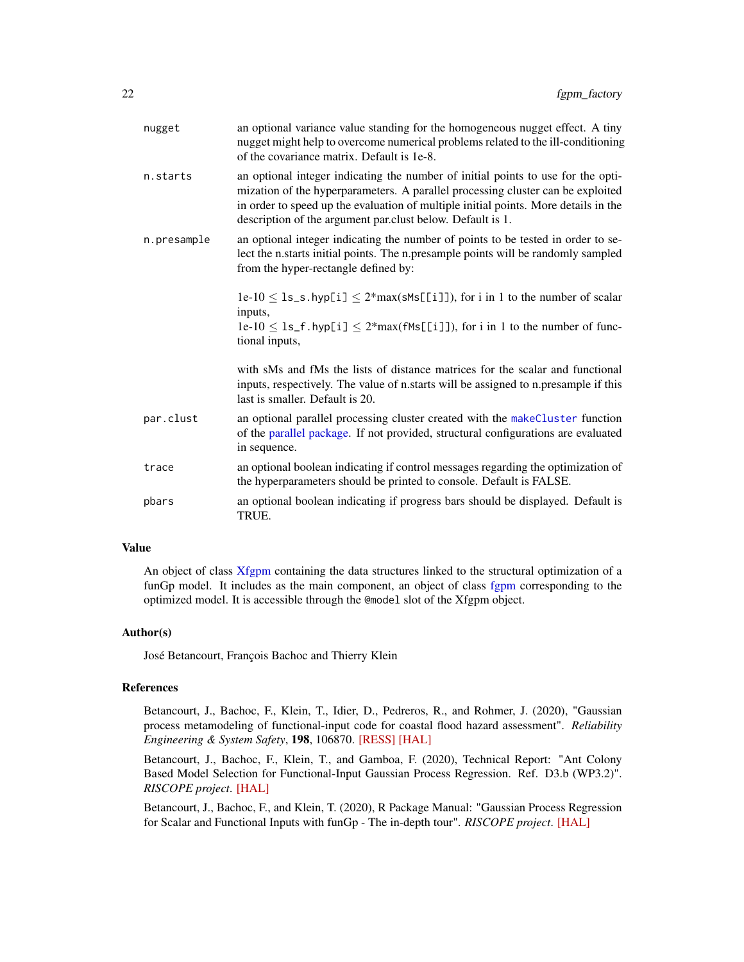<span id="page-21-0"></span>

| nugget      | an optional variance value standing for the homogeneous nugget effect. A tiny<br>nugget might help to overcome numerical problems related to the ill-conditioning<br>of the covariance matrix. Default is 1e-8.                                                                                                          |
|-------------|--------------------------------------------------------------------------------------------------------------------------------------------------------------------------------------------------------------------------------------------------------------------------------------------------------------------------|
| n.starts    | an optional integer indicating the number of initial points to use for the opti-<br>mization of the hyperparameters. A parallel processing cluster can be exploited<br>in order to speed up the evaluation of multiple initial points. More details in the<br>description of the argument par.clust below. Default is 1. |
| n.presample | an optional integer indicating the number of points to be tested in order to se-<br>lect the n.starts initial points. The n.presample points will be randomly sampled<br>from the hyper-rectangle defined by:                                                                                                            |
|             | $1e-10 \leq 1s$ , s. hyp[i] $\leq 2*max(\text{SMS}[[1]])$ , for i in 1 to the number of scalar<br>inputs,                                                                                                                                                                                                                |
|             | $1e-10 \leq 1s_f$ . hyp[i] $\leq 2*max(fMs[[i]])$ , for i in 1 to the number of func-<br>tional inputs,                                                                                                                                                                                                                  |
|             | with sMs and fMs the lists of distance matrices for the scalar and functional<br>inputs, respectively. The value of n.starts will be assigned to n.presample if this<br>last is smaller. Default is 20.                                                                                                                  |
| par.clust   | an optional parallel processing cluster created with the makeCluster function<br>of the parallel package. If not provided, structural configurations are evaluated<br>in sequence.                                                                                                                                       |
| trace       | an optional boolean indicating if control messages regarding the optimization of<br>the hyperparameters should be printed to console. Default is FALSE.                                                                                                                                                                  |
| pbars       | an optional boolean indicating if progress bars should be displayed. Default is<br>TRUE.                                                                                                                                                                                                                                 |

## Value

An object of class [Xfgpm](#page-49-1) containing the data structures linked to the structural optimization of a funGp model. It includes as the main component, an object of class [fgpm](#page-16-1) corresponding to the optimized model. It is accessible through the @model slot of the Xfgpm object.

## Author(s)

José Betancourt, François Bachoc and Thierry Klein

#### References

Betancourt, J., Bachoc, F., Klein, T., Idier, D., Pedreros, R., and Rohmer, J. (2020), "Gaussian process metamodeling of functional-input code for coastal flood hazard assessment". *Reliability Engineering & System Safety*, 198, 106870. [\[RESS\]](https://www.sciencedirect.com/science/article/abs/pii/S0951832019301693) [\[HAL\]](https://hal.archives-ouvertes.fr/hal-01998724)

Betancourt, J., Bachoc, F., Klein, T., and Gamboa, F. (2020), Technical Report: "Ant Colony Based Model Selection for Functional-Input Gaussian Process Regression. Ref. D3.b (WP3.2)". *RISCOPE project*. [\[HAL\]](https://hal.archives-ouvertes.fr/hal-02532713)

Betancourt, J., Bachoc, F., and Klein, T. (2020), R Package Manual: "Gaussian Process Regression for Scalar and Functional Inputs with funGp - The in-depth tour". *RISCOPE project*. [\[HAL\]](https://hal.archives-ouvertes.fr/hal-02536624)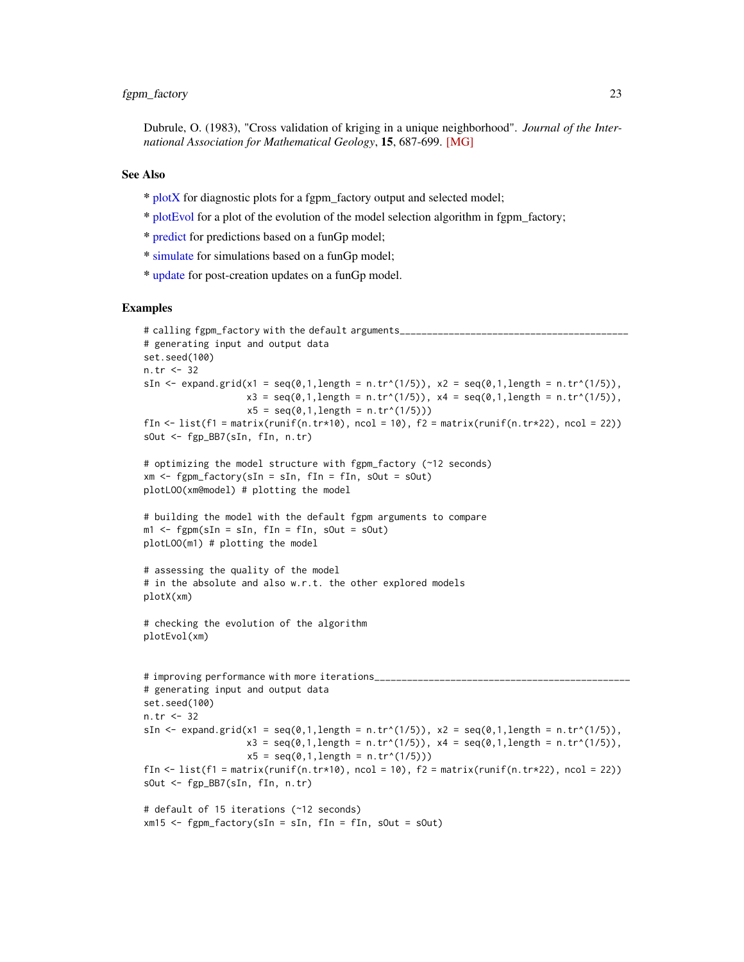<span id="page-22-0"></span>Dubrule, O. (1983), "Cross validation of kriging in a unique neighborhood". *Journal of the International Association for Mathematical Geology*, 15, 687-699. [\[MG\]](https://link.springer.com/article/10.1007/BF01033232)

## See Also

- \* [plotX](#page-37-1) for diagnostic plots for a fgpm\_factory output and selected model;
- \* [plotEvol](#page-27-1) for a plot of the evolution of the model selection algorithm in fgpm\_factory;
- \* [predict](#page-39-1) for predictions based on a funGp model;
- \* [simulate](#page-43-1) for simulations based on a funGp model;
- \* [update](#page-45-1) for post-creation updates on a funGp model.

## Examples

```
# calling fgpm_factory with the default arguments______________
# generating input and output data
set.seed(100)
n.tr <- 32
sIn \le expand.grid(x1 = seq(0,1,length = n.tr^(1/5)), x2 = seq(0,1,length = n.tr^(1/5)),
                      x3 = \text{seq}(0,1,\text{length} = n.\text{tr}^*(1/5)), x4 = \text{seq}(0,1,\text{length} = n.\text{tr}^*(1/5)),x5 = \text{seq}(0, 1, \text{length} = n \cdot \text{tr}^{(1/5)}))fIn \text{<-}\text{list}(\text{f1} = \text{matrix}(\text{runit}(\text{n}.\text{tr}*\text{10}), \text{ncol} = 10), \text{f2} = \text{matrix}(\text{runit}(\text{n}.\text{tr}*\text{22}), \text{ncol} = 22))sOut <- fgp_BB7(sIn, fIn, n.tr)
# optimizing the model structure with fgpm_factory (~12 seconds)
xm <- fgpm_factory(sIn = sIn, fIn = fIn, sOut = sOut)
plotLOO(xm@model) # plotting the model
# building the model with the default fgpm arguments to compare
m1 <- fgpm(sIn = sIn, fIn = fIn, sOut = sOut)
plotLOO(m1) # plotting the model
# assessing the quality of the model
# in the absolute and also w.r.t. the other explored models
plotX(xm)
# checking the evolution of the algorithm
plotEvol(xm)
# improving performance with more iterations_______________________________________________
# generating input and output data
set.seed(100)
n.tr <- 32
sIn \le expand.grid(x1 = seq(0,1,length = n.tr^(1/5)), x2 = seq(0,1,length = n.tr^(1/5)),
                      x3 = \text{seq}(0,1,\text{length} = n.\text{tr}^*(1/5)), x4 = \text{seq}(0,1,\text{length} = n.\text{tr}^*(1/5)),x5 = seq(0, 1, length = n.tr^(1/5)))fIn \leftarrow list(f1 = matrix(runif(n.tr*10), ncol = 10), f2 = matrix(runif(n.tr*22), ncol = 22))
sOut <- fgp_BB7(sIn, fIn, n.tr)
# default of 15 iterations (~12 seconds)
xm15 \leq fgpm_factory(sIn = sIn, fin = fin, sOut = sOut)
```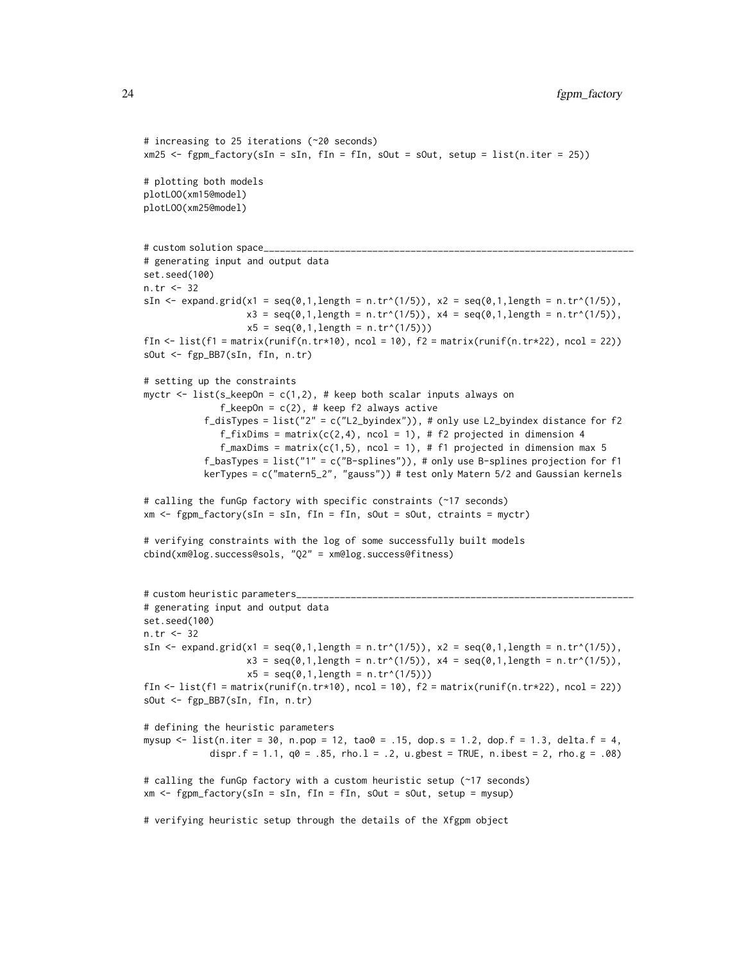24 fgpm\_factory

```
xm25 <- fgpm_factory(sIn = sIn, fIn = fIn, sOut = sOut, setup = list(n.iter = 25))
# plotting both models
plotLOO(xm15@model)
plotLOO(xm25@model)
# custom solution space_
# generating input and output data
set.seed(100)
n.tr <- 32
sIn \le expand.grid(x1 = seq(0,1,length = n.tr^(1/5)), x2 = seq(0,1,length = n.tr^(1/5)),
                    x3 = \text{seq}(0,1, \text{length} = n.\text{tr}^*(1/5)), x4 = \text{seq}(0,1, \text{length} = n.\text{tr}^*(1/5)),x5 = seq(0, 1, length = n.tr^(1/5)))fIn \leftarrow list(f1 = matrix(runif(n.tr*10), ncol = 10), f2 = matrix(runif(n.tr*22), ncol = 22))
sOut <- fgp_BB7(sIn, fIn, n.tr)
# setting up the constraints
myctr \le list(s_keepOn = c(1,2), # keep both scalar inputs always on
               f_{\text{keepOn}} = c(2), # keep f_{\text{2}} always active
           f_disTypes = list("2" = c("L2_byindex")), # only use L2_byindex distance for f2
               f_fixDims = matrix(c(2,4), ncol = 1), # f2 projected in dimension 4
               f_maxDims = matrix(c(1,5), ncol = 1), # f1 projected in dimension max 5
           f_basTypes = list("1" = c("B-splines")), # only use B-splines projection for f1
           kerTypes = c("matern5_2", "gauss")) # test only Matern 5/2 and Gaussian kernels
# calling the funGp factory with specific constraints (~17 seconds)
xm <- fgpm_factory(sIn = sIn, fIn = fIn, sOut = sOut, ctraints = myctr)
# verifying constraints with the log of some successfully built models
cbind(xm@log.success@sols, "Q2" = xm@log.success@fitness)
# custom heuristic parameters_
# generating input and output data
set.seed(100)
n.tr <- 32
sIn \le expand.grid(x1 = seq(0,1,length = n.tr^(1/5)), x2 = seq(0,1,length = n.tr^(1/5)),
                    x3 = \text{seq}(0,1, \text{length} = n.\text{tr}^*(1/5)), x4 = \text{seq}(0,1, \text{length} = n.\text{tr}^*(1/5)),x5 = seq(0, 1, length = n.tr^(1/5)))fIn \text{5} - list(f1 = matrix(runif(n.tr*10), ncol = 10), f2 = matrix(runif(n.tr*22), ncol = 22))
sOut <- fgp_BB7(sIn, fIn, n.tr)
# defining the heuristic parameters
mysup \le list(n.iter = 30, n.pop = 12, tao0 = .15, dop.s = 1.2, dop.f = 1.3, delta.f = 4,
            dispr.f = 1.1, q0 = .85, rho.l = .2, u.gbest = TRUE, n.ibest = 2, rho.g = .08)
# calling the funGp factory with a custom heuristic setup (~17 seconds)
xm \leq fgpm_factory(sIn = sIn, fin = fin, sOut = sOut, setup = mysup)# verifying heuristic setup through the details of the Xfgpm object
```
# increasing to 25 iterations (~20 seconds)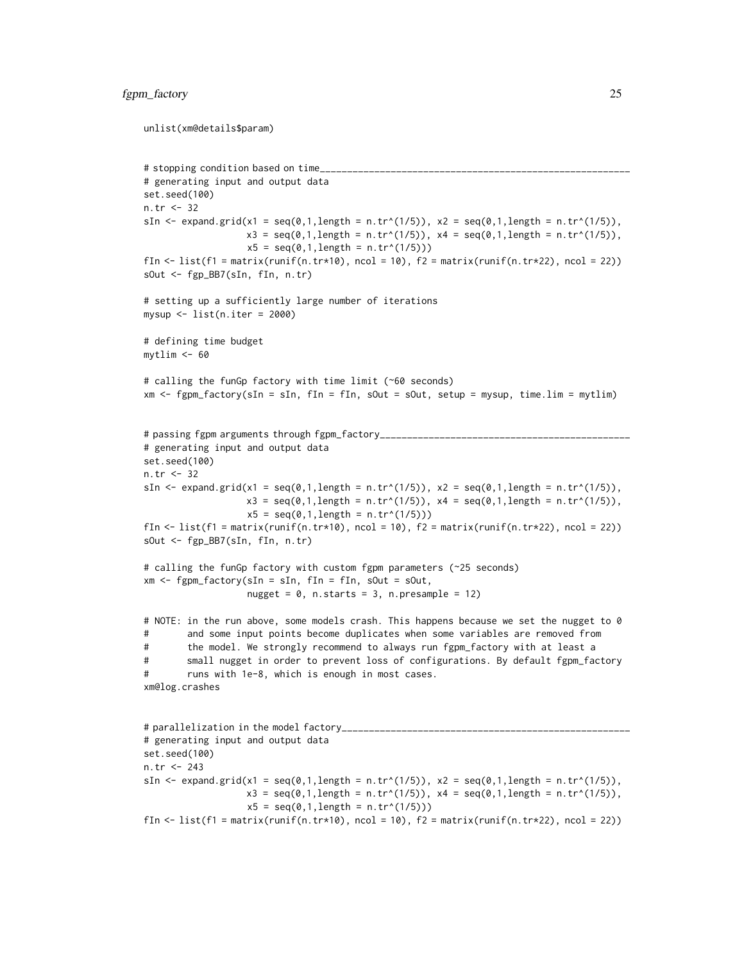## fgpm\_factory 25

```
unlist(xm@details$param)
```

```
# stopping condition based on time_
# generating input and output data
set.seed(100)
n.tr <- 32
sIn \le expand.grid(x1 = seq(0,1,length = n.tr^(1/5)), x2 = seq(0,1,length = n.tr^(1/5)),
                    x3 = \text{seq}(0,1, \text{length} = n \cdot \text{tr}^(1/5)), x4 = \text{seq}(0,1, \text{length} = n \cdot \text{tr}^(1/5)),x5 = seq(0, 1, length = n.tr^(1/5)))fIn \text{<-}\text{list}(\text{f1} = \text{matrix}(\text{runif}(\text{n}.\text{tr}*\text{10}), \text{ncol} = \text{10}), f2 = matrix(runif(n.tr*22), ncol = 22))
sOut <- fgp_BB7(sIn, fIn, n.tr)
# setting up a sufficiently large number of iterations
mysup <- list(n.iter = 2000)
# defining time budget
mytlim <- 60
# calling the funGp factory with time limit (~60 seconds)
xm <- fgpm_factory(sIn = sIn, fIn = fIn, sOut = sOut, setup = mysup, time.lim = mytlim)
# passing fgpm arguments through fgpm_factory______________________________________________
# generating input and output data
set.seed(100)
n.tr <- 32
sIn \le expand.grid(x1 = seq(0,1,length = n.tr^(1/5)), x2 = seq(0,1,length = n.tr^(1/5)),
                    x3 = seq(0,1, length = n.tr^(1/5)), x4 = seq(0,1, length = n.tr^(1/5)),x5 = seq(0, 1, length = n.tr^(1/5)))fIn \text{K} list(f1 = matrix(runif(n.tr*10), ncol = 10), f2 = matrix(runif(n.tr*22), ncol = 22))
sOut <- fgp_BB7(sIn, fIn, n.tr)
# calling the funGp factory with custom fgpm parameters (~25 seconds)
xm \leq fgpm_factory(sIn = sIn, fin = fin, sOut = sOut,nugget = 0, n.starts = 3, n.presample = 12)
# NOTE: in the run above, some models crash. This happens because we set the nugget to 0
# and some input points become duplicates when some variables are removed from
# the model. We strongly recommend to always run fgpm_factory with at least a
# small nugget in order to prevent loss of configurations. By default fgpm_factory
# runs with 1e-8, which is enough in most cases.
xm@log.crashes
# parallelization in the model factory______________
# generating input and output data
set.seed(100)
n.tr <- 243
sIn \le expand.grid(x1 = seq(0,1,length = n.tr^(1/5)), x2 = seq(0,1,length = n.tr^(1/5)),
                    x3 = \text{seq}(0,1, \text{length} = n.\text{tr}^*(1/5)), x4 = \text{seq}(0,1, \text{length} = n.\text{tr}^*(1/5)),x5 = seq(0, 1, length = n.tr^(1/5)))
```
fIn  $\leftarrow$  list(f1 = matrix(runif(n.tr\*10), ncol = 10), f2 = matrix(runif(n.tr\*22), ncol = 22))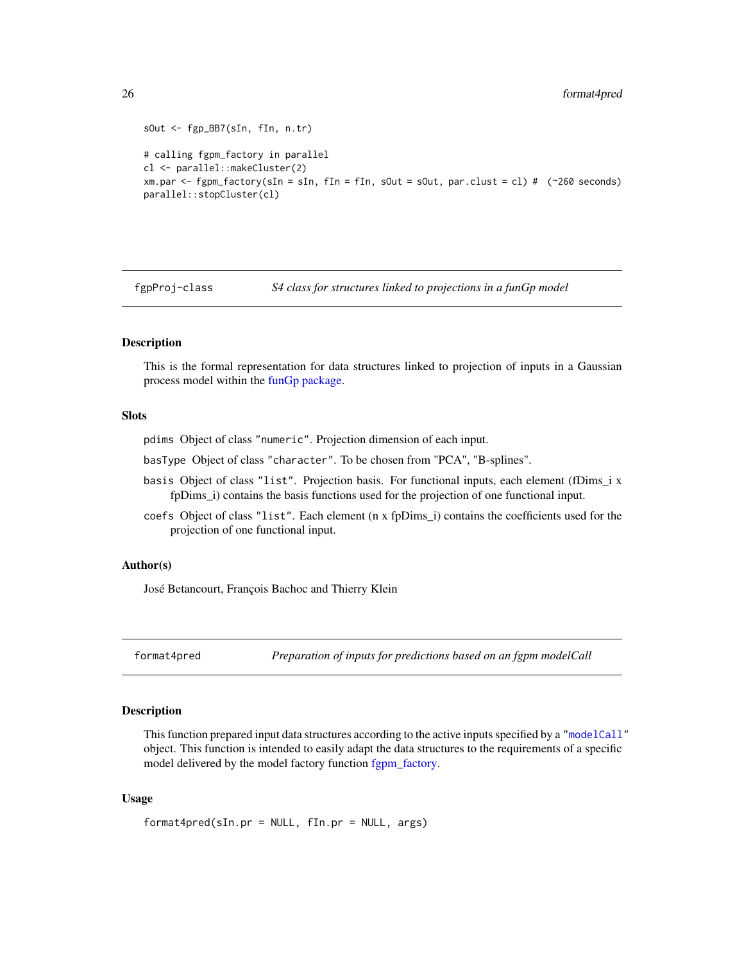```
sOut <- fgp_BB7(sIn, fIn, n.tr)
# calling fgpm_factory in parallel
cl <- parallel::makeCluster(2)
xm.par <- fgpm_factory(sIn = sIn, fIn = fIn, sOut = sOut, par.clust = cl) # (~260 seconds)
parallel::stopCluster(cl)
```
<span id="page-25-1"></span>fgpProj-class *S4 class for structures linked to projections in a funGp model*

#### Description

This is the formal representation for data structures linked to projection of inputs in a Gaussian process model within the [funGp package.](#page-2-1)

## Slots

pdims Object of class "numeric". Projection dimension of each input.

basType Object of class "character". To be chosen from "PCA", "B-splines".

- basis Object of class "list". Projection basis. For functional inputs, each element (fDims\_i x fpDims\_i) contains the basis functions used for the projection of one functional input.
- coefs Object of class "list". Each element (n x fpDims\_i) contains the coefficients used for the projection of one functional input.

## Author(s)

José Betancourt, François Bachoc and Thierry Klein

format4pred *Preparation of inputs for predictions based on an fgpm modelCall*

## Description

This function prepared input data structures according to the active inputs specified by a ["modelCall"](#page-26-1) object. This function is intended to easily adapt the data structures to the requirements of a specific model delivered by the model factory function fgpm factory.

## Usage

```
format4pred(sIn.pr = NULL, fIn.pr = NULL, args)
```
<span id="page-25-0"></span>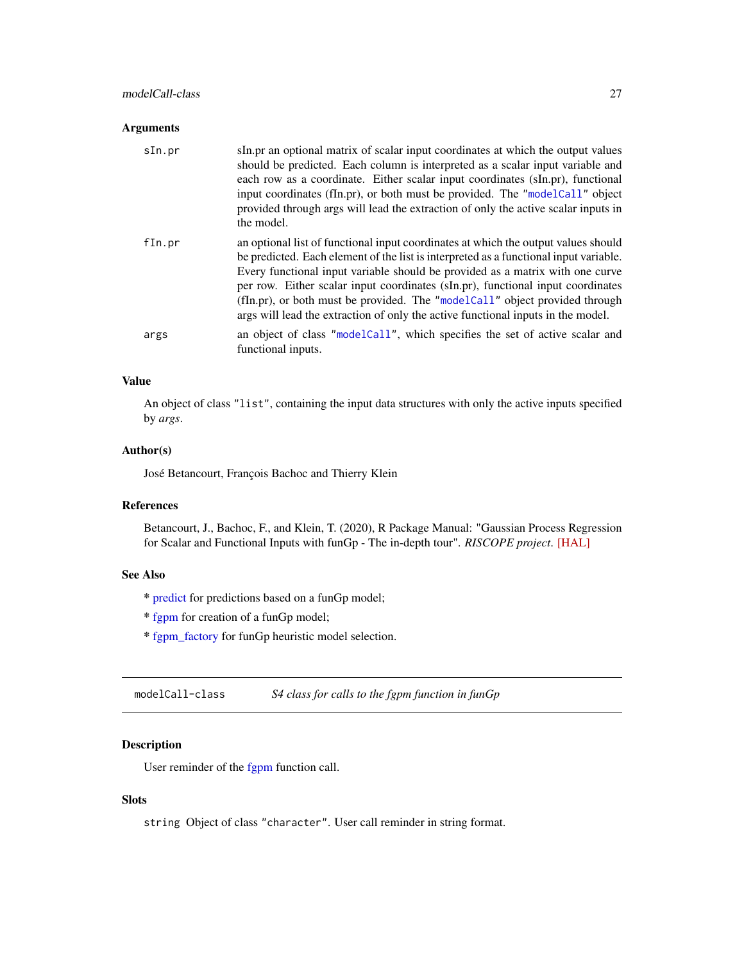## <span id="page-26-0"></span>modelCall-class 27

## Arguments

| sIn.pr | sIn.pr an optional matrix of scalar input coordinates at which the output values<br>should be predicted. Each column is interpreted as a scalar input variable and<br>each row as a coordinate. Either scalar input coordinates (sIn.pr), functional<br>input coordinates (fIn.pr), or both must be provided. The "modelCall" object<br>provided through args will lead the extraction of only the active scalar inputs in<br>the model.                                                                           |
|--------|--------------------------------------------------------------------------------------------------------------------------------------------------------------------------------------------------------------------------------------------------------------------------------------------------------------------------------------------------------------------------------------------------------------------------------------------------------------------------------------------------------------------|
| fIn.pr | an optional list of functional input coordinates at which the output values should<br>be predicted. Each element of the list is interpreted as a functional input variable.<br>Every functional input variable should be provided as a matrix with one curve<br>per row. Either scalar input coordinates (sIn.pr), functional input coordinates<br>(fIn.pr), or both must be provided. The "modelCall" object provided through<br>args will lead the extraction of only the active functional inputs in the model. |
| args   | an object of class "modelCall", which specifies the set of active scalar and<br>functional inputs.                                                                                                                                                                                                                                                                                                                                                                                                                 |

## Value

An object of class "list", containing the input data structures with only the active inputs specified by *args*.

## Author(s)

José Betancourt, François Bachoc and Thierry Klein

## References

Betancourt, J., Bachoc, F., and Klein, T. (2020), R Package Manual: "Gaussian Process Regression for Scalar and Functional Inputs with funGp - The in-depth tour". *RISCOPE project*. [\[HAL\]](https://hal.archives-ouvertes.fr/hal-02536624)

## See Also

- \* [predict](#page-39-1) for predictions based on a funGp model;
- \* [fgpm](#page-10-1) for creation of a funGp model;
- \* [fgpm\\_factory](#page-17-1) for funGp heuristic model selection.

<span id="page-26-1"></span>modelCall-class *S4 class for calls to the fgpm function in funGp*

## Description

User reminder of the [fgpm](#page-10-1) function call.

## Slots

string Object of class "character". User call reminder in string format.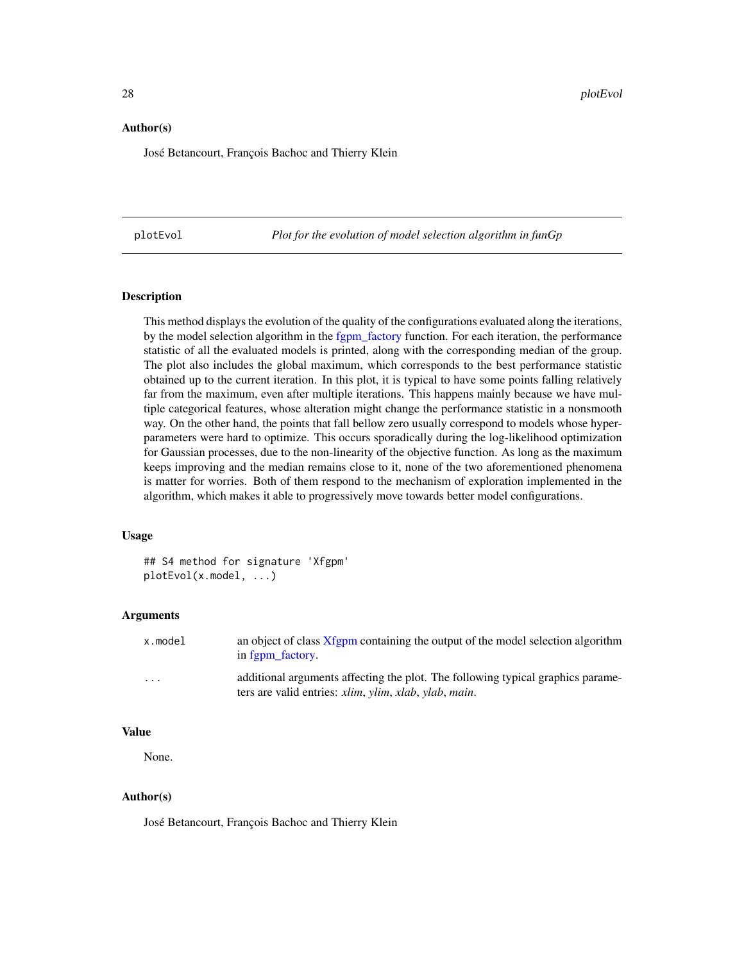## <span id="page-27-0"></span>Author(s)

José Betancourt, François Bachoc and Thierry Klein

<span id="page-27-1"></span>plotEvol *Plot for the evolution of model selection algorithm in funGp*

#### Description

This method displays the evolution of the quality of the configurations evaluated along the iterations, by the model selection algorithm in the fgpm factory function. For each iteration, the performance statistic of all the evaluated models is printed, along with the corresponding median of the group. The plot also includes the global maximum, which corresponds to the best performance statistic obtained up to the current iteration. In this plot, it is typical to have some points falling relatively far from the maximum, even after multiple iterations. This happens mainly because we have multiple categorical features, whose alteration might change the performance statistic in a nonsmooth way. On the other hand, the points that fall bellow zero usually correspond to models whose hyperparameters were hard to optimize. This occurs sporadically during the log-likelihood optimization for Gaussian processes, due to the non-linearity of the objective function. As long as the maximum keeps improving and the median remains close to it, none of the two aforementioned phenomena is matter for worries. Both of them respond to the mechanism of exploration implemented in the algorithm, which makes it able to progressively move towards better model configurations.

## Usage

## S4 method for signature 'Xfgpm' plotEvol(x.model, ...)

## Arguments

| x.model | an object of class Xfgpm containing the output of the model selection algorithm<br>in fgpm_factory.                                                                              |
|---------|----------------------------------------------------------------------------------------------------------------------------------------------------------------------------------|
| $\cdot$ | additional arguments affecting the plot. The following typical graphics parame-<br>ters are valid entries: <i>xlim</i> , <i>ylim</i> , <i>xlab</i> , <i>ylab</i> , <i>main</i> . |

## Value

None.

## Author(s)

José Betancourt, François Bachoc and Thierry Klein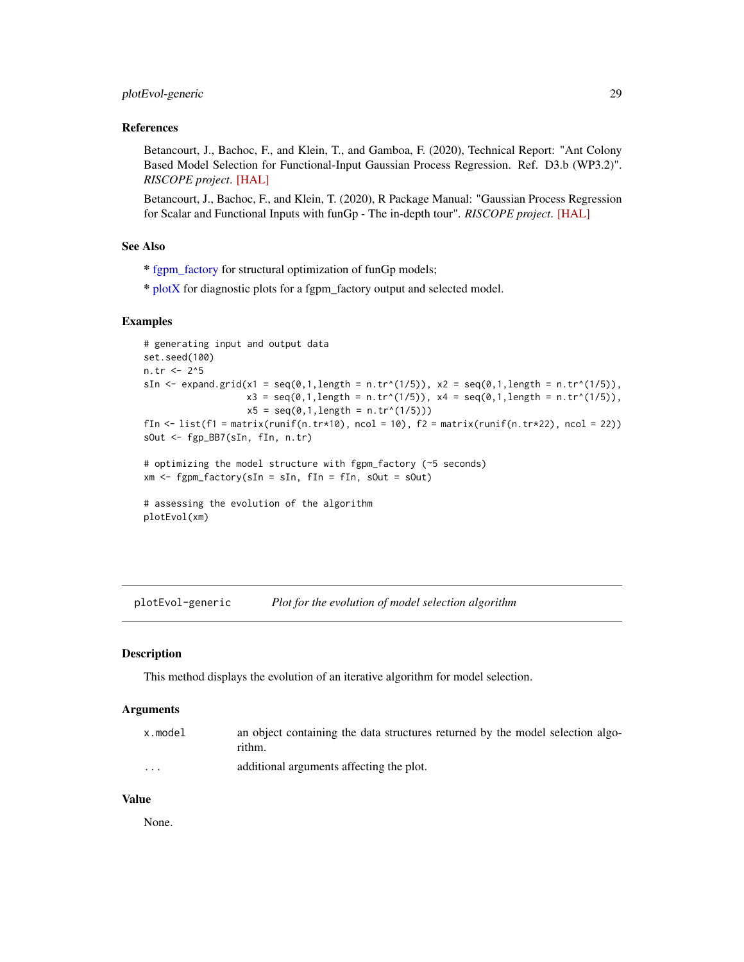## <span id="page-28-0"></span>References

Betancourt, J., Bachoc, F., and Klein, T., and Gamboa, F. (2020), Technical Report: "Ant Colony Based Model Selection for Functional-Input Gaussian Process Regression. Ref. D3.b (WP3.2)". *RISCOPE project*. [\[HAL\]](https://hal.archives-ouvertes.fr/hal-02532713)

Betancourt, J., Bachoc, F., and Klein, T. (2020), R Package Manual: "Gaussian Process Regression for Scalar and Functional Inputs with funGp - The in-depth tour". *RISCOPE project*. [\[HAL\]](https://hal.archives-ouvertes.fr/hal-02536624)

## See Also

\* [fgpm\\_factory](#page-17-1) for structural optimization of funGp models;

\* [plotX](#page-37-1) for diagnostic plots for a fgpm\_factory output and selected model.

## Examples

```
# generating input and output data
set.seed(100)
n.tr <- 2^5
sIn \le expand.grid(x1 = seq(0,1,length = n.tr^(1/5)), x2 = seq(0,1,length = n.tr^(1/5)),
                      x3 = \text{seq}(0,1,\text{length} = n.\text{tr}^*(1/5)), x4 = \text{seq}(0,1,\text{length} = n.\text{tr}^*(1/5)),x5 = \text{seq}(0, 1, \text{length} = n \cdot \text{tr}^{(1/5)}))fIn \leftarrow list(f1 = matrix(runif(n.tr*10), ncol = 10), f2 = matrix(runif(n.tr*22), ncol = 22))
sOut <- fgp_BB7(sIn, fIn, n.tr)
# optimizing the model structure with fgpm_factory (~5 seconds)
xm \leq fgpm_factory(sIn = sIn, fin = fin, solut = solut)# assessing the evolution of the algorithm
```
plotEvol(xm)

plotEvol-generic *Plot for the evolution of model selection algorithm*

#### **Description**

This method displays the evolution of an iterative algorithm for model selection.

#### Arguments

| x.model | an object containing the data structures returned by the model selection algo- |
|---------|--------------------------------------------------------------------------------|
|         | rithm.                                                                         |
|         |                                                                                |

... additional arguments affecting the plot.

#### Value

None.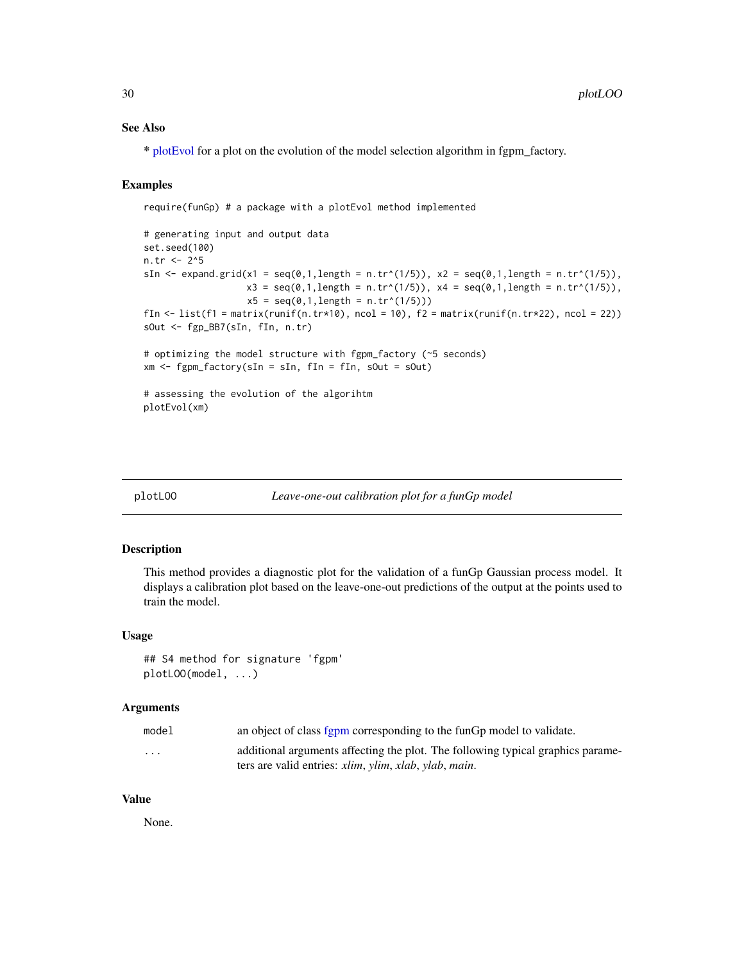## <span id="page-29-0"></span>See Also

\* [plotEvol](#page-27-1) for a plot on the evolution of the model selection algorithm in fgpm\_factory.

#### Examples

require(funGp) # a package with a plotEvol method implemented

```
# generating input and output data
set.seed(100)
n.tr <- 2^5
sIn \le expand.grid(x1 = seq(0,1,length = n.tr^(1/5)), x2 = seq(0,1,length = n.tr^(1/5)),
                   x3 = seq(0,1, length = n.tr^(1/5)), x4 = seq(0,1, length = n.tr^(1/5)),x5 = seq(0, 1, length = n.tr^(1/5)))fIn \leftarrow list(f1 = matrix(runif(n.tr*10), ncol = 10), f2 = matrix(runif(n.tr*22), ncol = 22))
sOut <- fgp_BB7(sIn, fIn, n.tr)
# optimizing the model structure with fgpm_factory (~5 seconds)
xm <- fgpm_factory(sIn = sIn, fIn = fIn, sOut = sOut)
# assessing the evolution of the algorihtm
plotEvol(xm)
```
<span id="page-29-1"></span>

#### plotLOO *Leave-one-out calibration plot for a funGp model*

## Description

This method provides a diagnostic plot for the validation of a funGp Gaussian process model. It displays a calibration plot based on the leave-one-out predictions of the output at the points used to train the model.

#### Usage

## S4 method for signature 'fgpm' plotLOO(model, ...)

## Arguments

| model                   | an object of class fgpm corresponding to the funGp model to validate.                         |
|-------------------------|-----------------------------------------------------------------------------------------------|
| $\cdot$ $\cdot$ $\cdot$ | additional arguments affecting the plot. The following typical graphics parame-               |
|                         | ters are valid entries: <i>xlim</i> , <i>ylim</i> , <i>xlab</i> , <i>ylab</i> , <i>main</i> . |

## Value

None.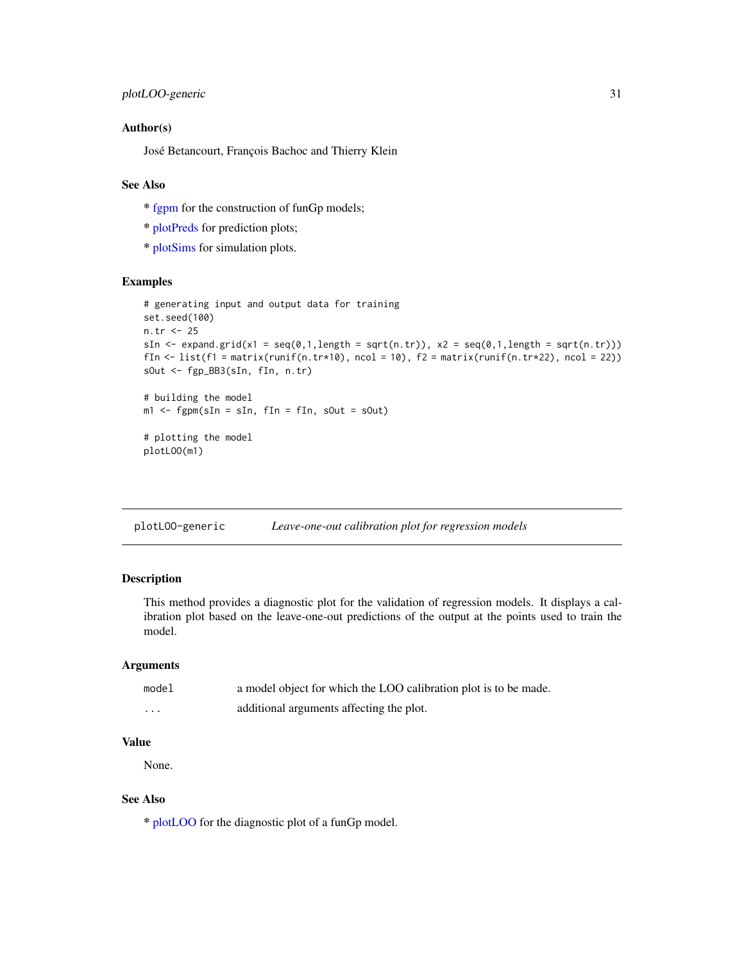## <span id="page-30-0"></span>Author(s)

José Betancourt, François Bachoc and Thierry Klein

## See Also

- \* [fgpm](#page-10-1) for the construction of funGp models;
- \* [plotPreds](#page-31-1) for prediction plots;
- \* [plotSims](#page-34-1) for simulation plots.

#### Examples

```
# generating input and output data for training
set.seed(100)
n.tr <- 25
sIn \le expand.grid(x1 = seq(0,1,length = sqrt(n.tr)), x2 = seq(0,1,length = sqrt(n.tr)))
fIn \leftarrow list(f1 = matrix(runif(n.tr*10), ncol = 10), f2 = matrix(runif(n.tr*22), ncol = 22))
sOut <- fgp_BB3(sIn, fIn, n.tr)
# building the model
m1 <- fgpm(sIn = sIn, fIn = fIn, sOut = sOut)
```

```
# plotting the model
plotLOO(m1)
```
plotLOO-generic *Leave-one-out calibration plot for regression models*

## Description

This method provides a diagnostic plot for the validation of regression models. It displays a calibration plot based on the leave-one-out predictions of the output at the points used to train the model.

## Arguments

| model    | a model object for which the LOO calibration plot is to be made. |
|----------|------------------------------------------------------------------|
| $\cdots$ | additional arguments affecting the plot.                         |

## Value

None.

## See Also

\* [plotLOO](#page-29-1) for the diagnostic plot of a funGp model.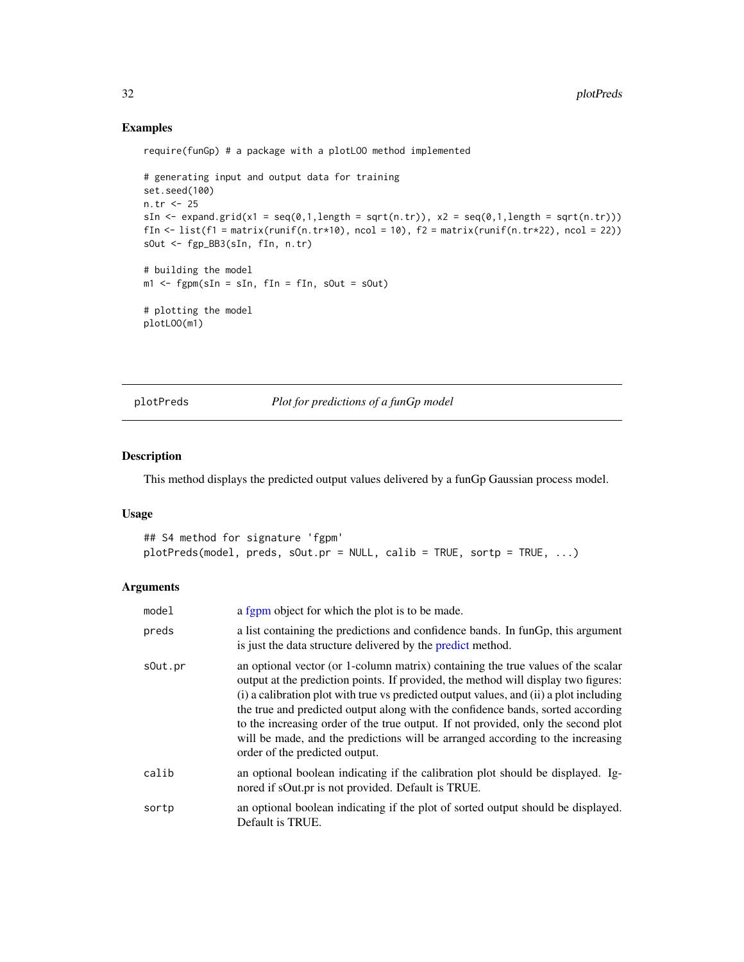## Examples

require(funGp) # a package with a plotLOO method implemented

```
# generating input and output data for training
set.seed(100)
n.tr <- 25
sIn \le expand.grid(x1 = seq(0,1,length = sqrt(n.tr)), x2 = seq(0,1,length = sqrt(n.tr)))
fIn \leftarrow list(f1 = matrix(runif(n.tr*10), ncol = 10), f2 = matrix(runif(n.tr*22), ncol = 22))
sOut <- fgp_BB3(sIn, fIn, n.tr)
# building the model
ml \leq-fgpm(sIn = sIn, fin = fin, solut = solut)# plotting the model
plotLOO(m1)
```
<span id="page-31-1"></span>plotPreds *Plot for predictions of a funGp model*

## Description

This method displays the predicted output values delivered by a funGp Gaussian process model.

## Usage

```
## S4 method for signature 'fgpm'
plotPreds(model, preds, sOut.pr = NULL, calib = TRUE, sortp = TRUE, ...)
```
## Arguments

| model   | a fgpm object for which the plot is to be made.                                                                                                                                                                                                                                                                                                                                                                                                                                                                                                              |
|---------|--------------------------------------------------------------------------------------------------------------------------------------------------------------------------------------------------------------------------------------------------------------------------------------------------------------------------------------------------------------------------------------------------------------------------------------------------------------------------------------------------------------------------------------------------------------|
| preds   | a list containing the predictions and confidence bands. In funGp, this argument<br>is just the data structure delivered by the predict method.                                                                                                                                                                                                                                                                                                                                                                                                               |
| sOut.pr | an optional vector (or 1-column matrix) containing the true values of the scalar<br>output at the prediction points. If provided, the method will display two figures:<br>(i) a calibration plot with true vs predicted output values, and (ii) a plot including<br>the true and predicted output along with the confidence bands, sorted according<br>to the increasing order of the true output. If not provided, only the second plot<br>will be made, and the predictions will be arranged according to the increasing<br>order of the predicted output. |
| calib   | an optional boolean indicating if the calibration plot should be displayed. Ig-<br>nored if sOut.pr is not provided. Default is TRUE.                                                                                                                                                                                                                                                                                                                                                                                                                        |
| sortp   | an optional boolean indicating if the plot of sorted output should be displayed.<br>Default is TRUE.                                                                                                                                                                                                                                                                                                                                                                                                                                                         |

<span id="page-31-0"></span>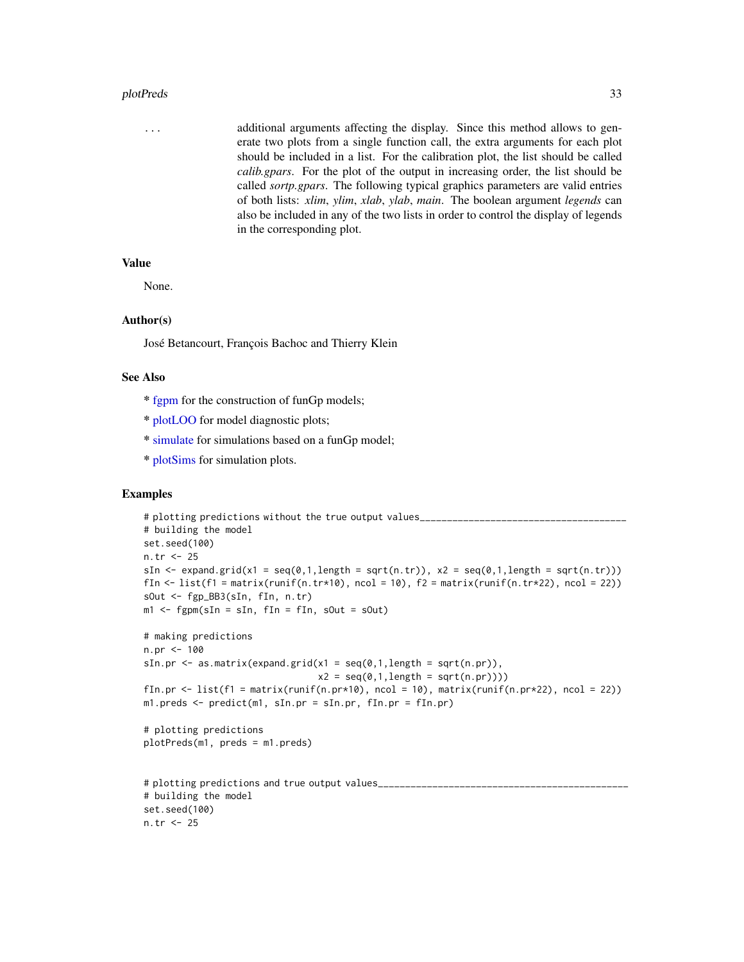#### <span id="page-32-0"></span>plotPreds 33

... additional arguments affecting the display. Since this method allows to generate two plots from a single function call, the extra arguments for each plot should be included in a list. For the calibration plot, the list should be called *calib.gpars*. For the plot of the output in increasing order, the list should be called *sortp.gpars*. The following typical graphics parameters are valid entries of both lists: *xlim*, *ylim*, *xlab*, *ylab*, *main*. The boolean argument *legends* can also be included in any of the two lists in order to control the display of legends in the corresponding plot.

## Value

None.

#### Author(s)

José Betancourt, François Bachoc and Thierry Klein

#### See Also

- \* [fgpm](#page-10-1) for the construction of funGp models;
- \* [plotLOO](#page-29-1) for model diagnostic plots;
- \* [simulate](#page-43-1) for simulations based on a funGp model;
- \* [plotSims](#page-34-1) for simulation plots.

## Examples

```
# plotting predictions without the true output values____________________________
# building the model
set.seed(100)
n.tr <- 25
sIn \leq expand.grid(x1 = seq(0,1,length = sqrt(n.tr)), x2 = seq(0,1,length = sqrt(n.tr)))
fIn \leftarrow list(f1 = matrix(runif(n.tr*10), ncol = 10), f2 = matrix(runif(n.tr*22), ncol = 22))
sOut <- fgp_BB3(sIn, fIn, n.tr)
m1 <- fgpm(sIn = sIn, fIn = fIn, sOut = sOut)
# making predictions
n.pr < -100sIn.pr \leq as.matrix(expand.grid(x1 = seq(0,1,length = sqrt(n.pr)),
                                    x2 = seq(0, 1, length = sqrt(n, pr))))fIn.pr \leftarrow list(f1 = matrix(runif(n.pr*10), ncol = 10), matrix(runif(n.pr*22), ncol = 22))
m1.preds <- predict(m1, sIn.pr = sIn.pr, fIn.pr = fIn.pr)
# plotting predictions
plotPreds(m1, preds = m1.preds)
# plotting predictions and true output values______________________________________________
# building the model
set.seed(100)
n.tr <- 25
```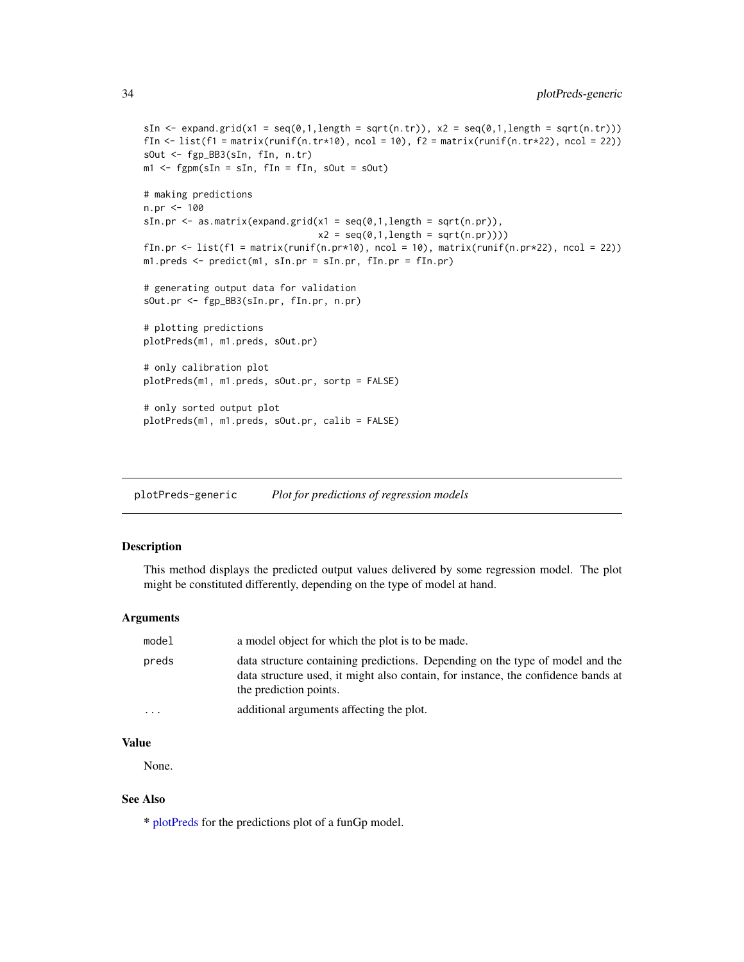```
sIn \le expand.grid(x1 = seq(0,1,length = sqrt(n.tr)), x2 = seq(0,1,length = sqrt(n.tr)))
fIn \text{K} = \text{list}(f_1 = \text{matrix}(\text{runit}_0, \text{tr} \cdot \text{10}), \text{ncol} = 10), f_2 = \text{matrix}(\text{runit}_0, \text{tr} \cdot \text{22}), \text{ncol} = 22)sOut <- fgp_BB3(sIn, fIn, n.tr)
m1 <- fgpm(sIn = sIn, fIn = fIn, sOut = sOut)
# making predictions
n.pr <- 100
sIn.pr \leq as.matrix(expand.grid(x1 = seq(0,1,length = sqrt(n.pr)),
                                         x2 = seq(0,1, length = sqrt(n(pr))))
```

```
fIn.pr \leftarrow list(f1 = matrix(runif(n.pr*10), ncol = 10), matrix(runif(n.pr*22), ncol = 22))
m1.preds <- predict(m1, sIn.pr = sIn.pr, fIn.pr = fIn.pr)
```
# generating output data for validation sOut.pr <- fgp\_BB3(sIn.pr, fIn.pr, n.pr)

```
# plotting predictions
plotPreds(m1, m1.preds, sOut.pr)
```

```
# only calibration plot
plotPreds(m1, m1.preds, sOut.pr, sortp = FALSE)
```

```
# only sorted output plot
plotPreds(m1, m1.preds, sOut.pr, calib = FALSE)
```
plotPreds-generic *Plot for predictions of regression models*

## Description

This method displays the predicted output values delivered by some regression model. The plot might be constituted differently, depending on the type of model at hand.

#### Arguments

| model                           | a model object for which the plot is to be made.                                                                                                                   |
|---------------------------------|--------------------------------------------------------------------------------------------------------------------------------------------------------------------|
| preds<br>the prediction points. | data structure containing predictions. Depending on the type of model and the<br>data structure used, it might also contain, for instance, the confidence bands at |
| $\cdots$                        | additional arguments affecting the plot.                                                                                                                           |

## Value

None.

## See Also

\* [plotPreds](#page-31-1) for the predictions plot of a funGp model.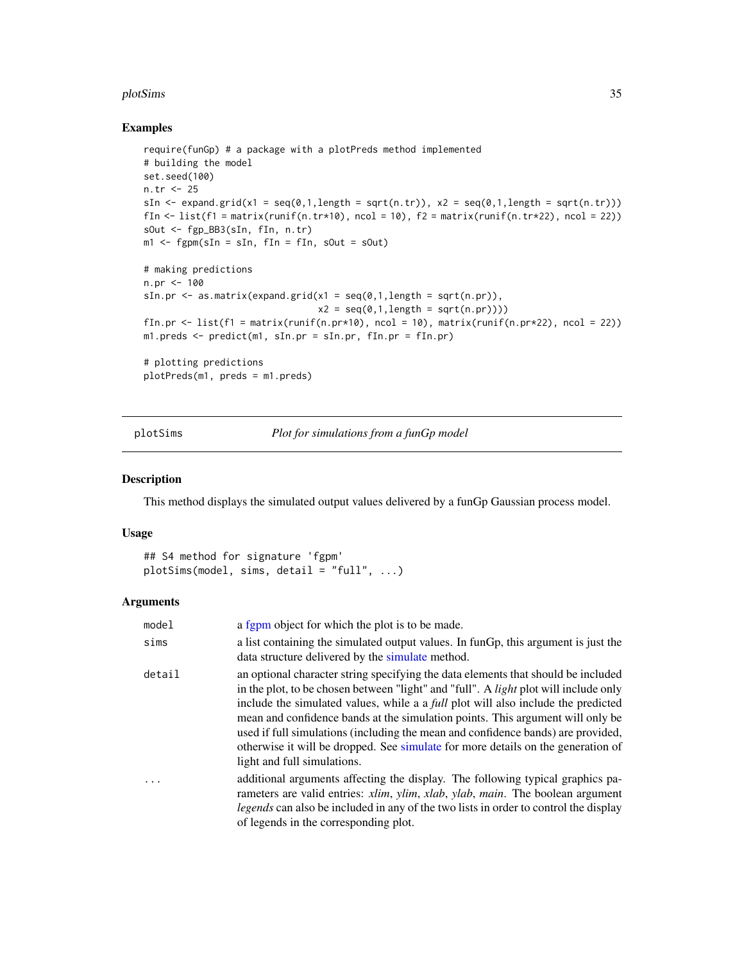#### <span id="page-34-0"></span>plotSims 35

## Examples

```
require(funGp) # a package with a plotPreds method implemented
# building the model
set.seed(100)
n.tr <- 25
sIn \le expand.grid(x1 = seq(0,1,length = sqrt(n.tr)), x2 = seq(0,1,length = sqrt(n.tr)))
fIn \leftarrow list(f1 = matrix(runif(n.tr*10), ncol = 10), f2 = matrix(runif(n.tr*22), ncol = 22))
sOut <- fgp_BB3(sIn, fIn, n.tr)
m1 <- fgpm(sIn = sIn, fIn = fIn, sOut = sOut)
# making predictions
n.pr <- 100
sIn.pr \leq as.matrix(expand.grid(x1 = seq(0,1,length = sqrt(n.pr)),
                                 x2 = seq(0,1, length = sqrt(n(pr))))fIn.pr \leftarrow list(f1 = matrix(runif(n.pr*10), ncol = 10), matrix(runif(n.pr*22), ncol = 22))
m1.preds <- predict(m1, sIn.pr = sIn.pr, fIn.pr = fIn.pr)
# plotting predictions
```

```
plotPreds(m1, preds = m1.preds)
```
<span id="page-34-1"></span>plotSims *Plot for simulations from a funGp model*

## Description

This method displays the simulated output values delivered by a funGp Gaussian process model.

## Usage

```
## S4 method for signature 'fgpm'
plotSims(model, sims, detail = "full", ...)
```
## Arguments

| model                   | a fgpm object for which the plot is to be made.                                                                                                                                                                                                                                                                                                                                                                                                                                                                                                                       |
|-------------------------|-----------------------------------------------------------------------------------------------------------------------------------------------------------------------------------------------------------------------------------------------------------------------------------------------------------------------------------------------------------------------------------------------------------------------------------------------------------------------------------------------------------------------------------------------------------------------|
| sims                    | a list containing the simulated output values. In funGp, this argument is just the<br>data structure delivered by the simulate method.                                                                                                                                                                                                                                                                                                                                                                                                                                |
| detail                  | an optional character string specifying the data elements that should be included<br>in the plot, to be chosen between "light" and "full". A <i>light</i> plot will include only<br>include the simulated values, while a a <i>full</i> plot will also include the predicted<br>mean and confidence bands at the simulation points. This argument will only be<br>used if full simulations (including the mean and confidence bands) are provided,<br>otherwise it will be dropped. See simulate for more details on the generation of<br>light and full simulations. |
| $\cdot$ $\cdot$ $\cdot$ | additional arguments affecting the display. The following typical graphics pa-<br>rameters are valid entries: xlim, ylim, xlab, ylab, main. The boolean argument<br><i>legends</i> can also be included in any of the two lists in order to control the display<br>of legends in the corresponding plot.                                                                                                                                                                                                                                                              |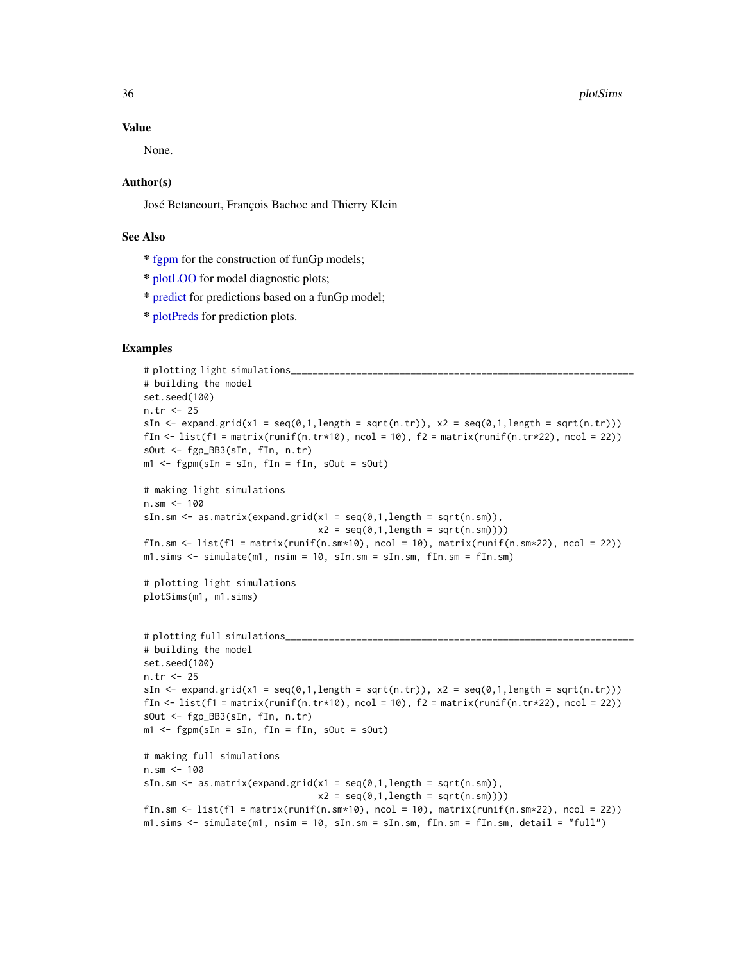#### Value

None.

#### Author(s)

José Betancourt, François Bachoc and Thierry Klein

## See Also

- \* [fgpm](#page-10-1) for the construction of funGp models;
- \* [plotLOO](#page-29-1) for model diagnostic plots;
- \* [predict](#page-39-1) for predictions based on a funGp model;
- \* [plotPreds](#page-31-1) for prediction plots.

## Examples

```
# plotting light simulations_
# building the model
set.seed(100)
n.tr <- 25
sIn \le expand.grid(x1 = seq(0,1,length = sqrt(n.tr)), x2 = seq(0,1,length = sqrt(n.tr)))
fIn \leftarrow list(f1 = matrix(runif(n.tr*10), ncol = 10), f2 = matrix(runif(n.tr*22), ncol = 22))
sOut <- fgp_BB3(sIn, fIn, n.tr)
m1 <- fgpm(sIn = sIn, fIn = fIn, sOut = sOut)
# making light simulations
n.sm <-100sIn.sm \leq as.matrix(expand.grid(x1 = seq(0,1,length = sqrt(n.sm)),
                                 x2 = seq(0,1, length = sqrt(n, sm)))fIn.sm \le list(f1 = matrix(runif(n.sm*10), ncol = 10), matrix(runif(n.sm*22), ncol = 22))
m1.sims < -simulate(m1, nsim = 10, sIn.sm = sIn.sm, fin.sm = fIn.sm)# plotting light simulations
plotSims(m1, m1.sims)
# plotting full simulations_
# building the model
set.seed(100)
n.tr <- 25
sIn \leq expand.grid(x1 = seq(0,1,length = sqrt(n.tr)), x2 = seq(0,1,length = sqrt(n.tr)))
fIn \leftarrow list(f1 = matrix(runif(n.tr*10), ncol = 10), f2 = matrix(runif(n.tr*22), ncol = 22))
sOut <- fgp_BB3(sIn, fIn, n.tr)
m1 <- fgpm(sIn = sIn, fIn = fIn, sOut = sOut)
# making full simulations
n.sm <- 100
sIn.sm \leq as.matrix(expand.grid(x1 = seq(0,1,length = sqrt(n.sm)),
                                 x2 = seq(0,1, length = sqrt(n, sm)))fIn.sm \le list(f1 = matrix(runif(n.sm*10), ncol = 10), matrix(runif(n.sm*22), ncol = 22))
m1.sims <- simulate(m1, nsim = 10, sIn.sm = sIn.sm, fIn.sm = fIn.sm, detail = "full")
```
<span id="page-35-0"></span>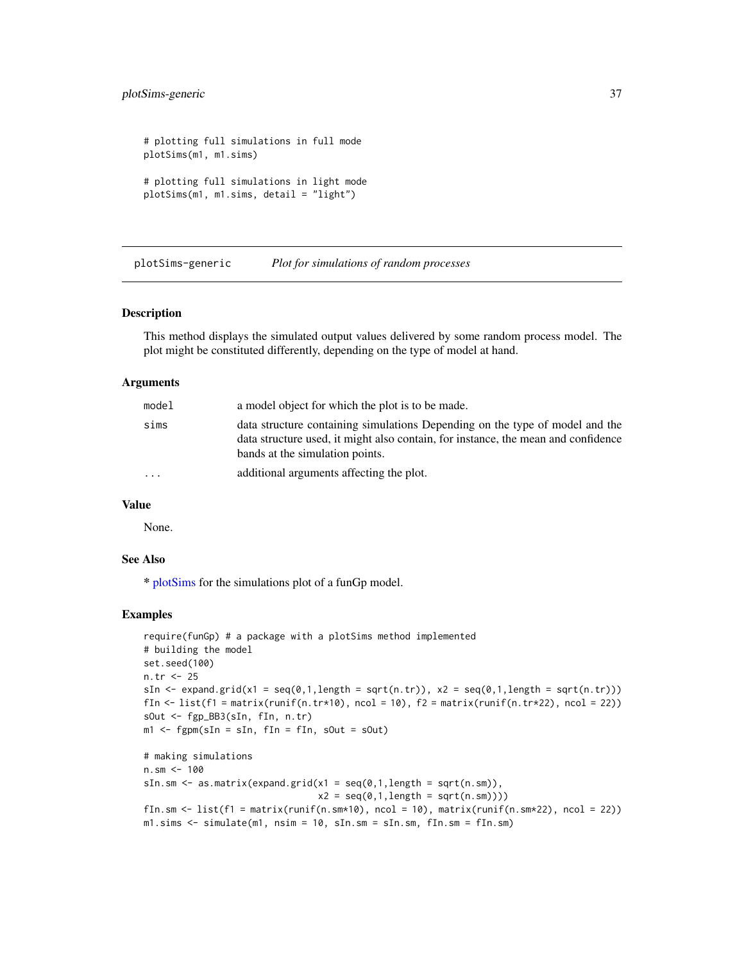## <span id="page-36-0"></span>plotSims-generic 37

```
# plotting full simulations in full mode
plotSims(m1, m1.sims)
# plotting full simulations in light mode
plotSims(m1, m1.sims, detail = "light")
```
plotSims-generic *Plot for simulations of random processes*

## Description

This method displays the simulated output values delivered by some random process model. The plot might be constituted differently, depending on the type of model at hand.

#### Arguments

| model     | a model object for which the plot is to be made.                                                                                                                                                     |
|-----------|------------------------------------------------------------------------------------------------------------------------------------------------------------------------------------------------------|
| sims      | data structure containing simulations Depending on the type of model and the<br>data structure used, it might also contain, for instance, the mean and confidence<br>bands at the simulation points. |
| $\ddotsc$ | additional arguments affecting the plot.                                                                                                                                                             |

## Value

None.

## See Also

\* [plotSims](#page-34-1) for the simulations plot of a funGp model.

## Examples

```
require(funGp) # a package with a plotSims method implemented
# building the model
set.seed(100)
n.tr <- 25
sIn \le expand.grid(x1 = seq(0,1,length = sqrt(n.tr)), x2 = seq(0,1,length = sqrt(n.tr)))
fIn \leftarrow list(f1 = matrix(runif(n.tr*10), ncol = 10), f2 = matrix(runif(n.tr*22), ncol = 22))
sOut <- fgp_BB3(sIn, fIn, n.tr)
m1 <- fgpm(sIn = sIn, fIn = fIn, sOut = sOut)
# making simulations
n.sm <- 100
sIn.sm \leq as.matrix(expand.grid(x1 = seq(0,1,length = sqrt(n.sm)),
                                 x2 = seq(0, 1, length = sqrt(n, sm)))fIn.sm \le list(f1 = matrix(runif(n.sm*10), ncol = 10), matrix(runif(n.sm*22), ncol = 22))
m1.sims < -simulate(m1, nsim = 10, sIn.sm = sIn.sm, fIn.sm = fIn.sm)
```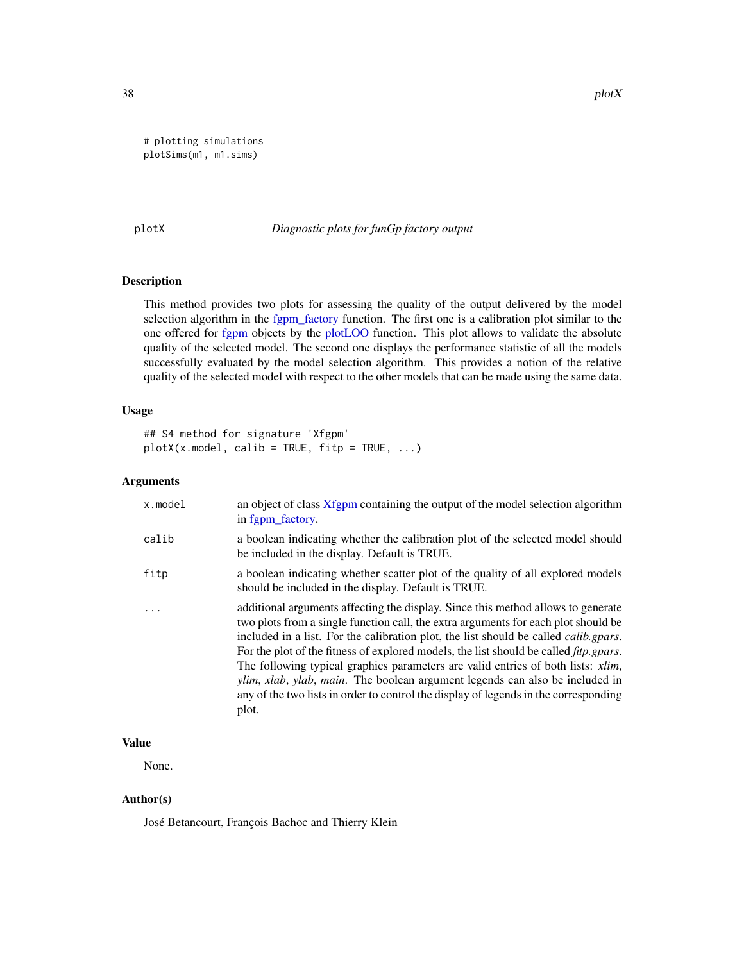<span id="page-37-0"></span># plotting simulations plotSims(m1, m1.sims)

## <span id="page-37-1"></span>plotX *Diagnostic plots for funGp factory output*

## Description

This method provides two plots for assessing the quality of the output delivered by the model selection algorithm in the [fgpm\\_factory](#page-17-1) function. The first one is a calibration plot similar to the one offered for [fgpm](#page-16-1) objects by the [plotLOO](#page-29-1) function. This plot allows to validate the absolute quality of the selected model. The second one displays the performance statistic of all the models successfully evaluated by the model selection algorithm. This provides a notion of the relative quality of the selected model with respect to the other models that can be made using the same data.

## Usage

```
## S4 method for signature 'Xfgpm'
plotX(x_model, calib = TRUE, fitp = TRUE, ...)
```
## Arguments

| x.model | an object of class Xfgpm containing the output of the model selection algorithm<br>in fgpm_factory.                                                                                                                                                                                                                                                                                                                                                                                                                                                                                                                                                |
|---------|----------------------------------------------------------------------------------------------------------------------------------------------------------------------------------------------------------------------------------------------------------------------------------------------------------------------------------------------------------------------------------------------------------------------------------------------------------------------------------------------------------------------------------------------------------------------------------------------------------------------------------------------------|
| calib   | a boolean indicating whether the calibration plot of the selected model should<br>be included in the display. Default is TRUE.                                                                                                                                                                                                                                                                                                                                                                                                                                                                                                                     |
| fitp    | a boolean indicating whether scatter plot of the quality of all explored models<br>should be included in the display. Default is TRUE.                                                                                                                                                                                                                                                                                                                                                                                                                                                                                                             |
|         | additional arguments affecting the display. Since this method allows to generate<br>two plots from a single function call, the extra arguments for each plot should be<br>included in a list. For the calibration plot, the list should be called <i>calib.gpars</i> .<br>For the plot of the fitness of explored models, the list should be called <i>fitp.gpars.</i><br>The following typical graphics parameters are valid entries of both lists: xlim,<br><i>ylim, xlab, ylab, main.</i> The boolean argument legends can also be included in<br>any of the two lists in order to control the display of legends in the corresponding<br>plot. |

## Value

None.

## Author(s)

José Betancourt, François Bachoc and Thierry Klein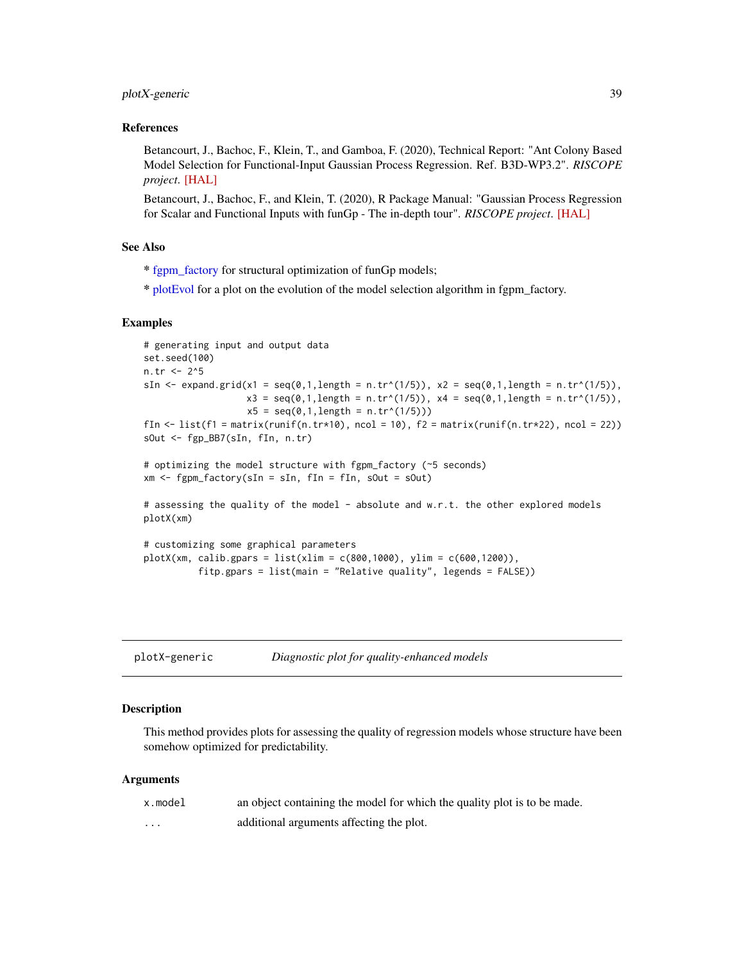## <span id="page-38-0"></span>plotX-generic 39

## References

Betancourt, J., Bachoc, F., Klein, T., and Gamboa, F. (2020), Technical Report: "Ant Colony Based Model Selection for Functional-Input Gaussian Process Regression. Ref. B3D-WP3.2". *RISCOPE project*. [\[HAL\]](https://hal.archives-ouvertes.fr/hal-02532713)

Betancourt, J., Bachoc, F., and Klein, T. (2020), R Package Manual: "Gaussian Process Regression for Scalar and Functional Inputs with funGp - The in-depth tour". *RISCOPE project*. [\[HAL\]](https://hal.archives-ouvertes.fr/hal-02536624)

## See Also

\* [fgpm\\_factory](#page-17-1) for structural optimization of funGp models;

\* [plotEvol](#page-27-1) for a plot on the evolution of the model selection algorithm in fgpm\_factory.

#### Examples

```
# generating input and output data
set.seed(100)
n.tr < - 2^5sIn \le expand.grid(x1 = seq(0,1,length = n.tr^(1/5)), x2 = seq(0,1,length = n.tr^(1/5)),
                    x3 = \text{seq}(0,1, \text{length} = n.\text{tr}^*(1/5)), x4 = \text{seq}(0,1, \text{length} = n.\text{tr}^*(1/5)),x5 = seq(0, 1, length = n.tr^(1/5)))fIn \leftarrow list(f1 = matrix(runif(n.tr*10), ncol = 10), f2 = matrix(runif(n.tr*22), ncol = 22))
sOut <- fgp_BB7(sIn, fIn, n.tr)
# optimizing the model structure with fgpm_factory (~5 seconds)
xm <- fgpm_factory(sIn = sIn, fIn = fIn, sOut = sOut)
# assessing the quality of the model - absolute and w.r.t. the other explored models
plotX(xm)
# customizing some graphical parameters
plotX(xm, calib.gpars = list(xlim = c(800, 1000), ylim = c(600, 1200)),fitp.gpars = list(main = "Relative quality", legends = FALSE))
```
plotX-generic *Diagnostic plot for quality-enhanced models*

## **Description**

This method provides plots for assessing the quality of regression models whose structure have been somehow optimized for predictability.

#### **Arguments**

| x.model                 | an object containing the model for which the quality plot is to be made. |
|-------------------------|--------------------------------------------------------------------------|
| $\cdot$ $\cdot$ $\cdot$ | additional arguments affecting the plot.                                 |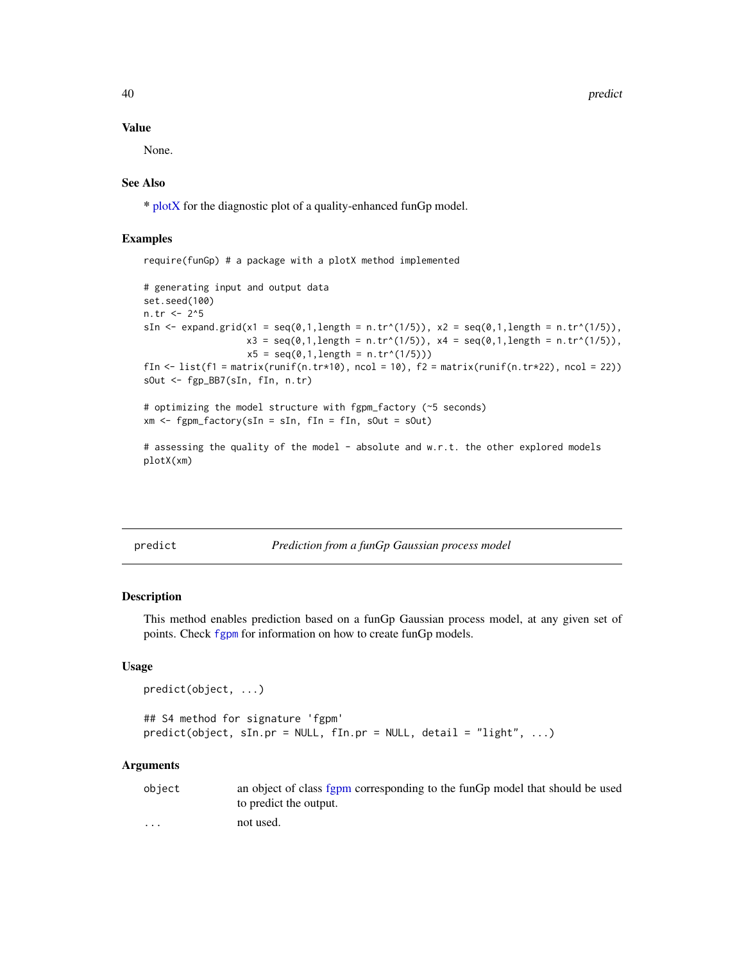40 predict the set of the set of the set of the set of the set of the set of the set of the set of the set of the set of the set of the set of the set of the set of the set of the set of the set of the set of the set of th

#### Value

None.

## See Also

\* [plotX](#page-37-1) for the diagnostic plot of a quality-enhanced funGp model.

## Examples

require(funGp) # a package with a plotX method implemented

```
# generating input and output data
set.seed(100)
n.tr <- 2^5
sIn <- expand.grid(x1 = seq(0,1,length = n.tr^(1/5)), x2 = seq(0,1,length = n.tr^(1/5)),
                   x3 = seq(0,1, length = n.tr^(1/5)), x4 = seq(0,1, length = n.tr^(1/5)),x5 = seq(0, 1, length = n.tr^(1/5)))fIn \leftarrow list(f1 = matrix(runif(n.tr*10), ncol = 10), f2 = matrix(runif(n.tr*22), ncol = 22))
sOut <- fgp_BB7(sIn, fIn, n.tr)
```
# optimizing the model structure with fgpm\_factory (~5 seconds)  $xm \leq fgpm_factory(sIn = sIn, fin = fin, sOut = sOut)$ 

# assessing the quality of the model - absolute and w.r.t. the other explored models plotX(xm)

<span id="page-39-1"></span>predict *Prediction from a funGp Gaussian process model*

#### Description

This method enables prediction based on a funGp Gaussian process model, at any given set of points. Check [fgpm](#page-10-1) for information on how to create funGp models.

## Usage

```
predict(object, ...)
## S4 method for signature 'fgpm'
predict(object, sIn.pr = NULL, fIn.pr = NULL, detail = "light", ...)
```
## Arguments

| object                  | an object of class fgpm corresponding to the funGp model that should be used |
|-------------------------|------------------------------------------------------------------------------|
|                         | to predict the output.                                                       |
| $\cdot$ $\cdot$ $\cdot$ | not used.                                                                    |

<span id="page-39-0"></span>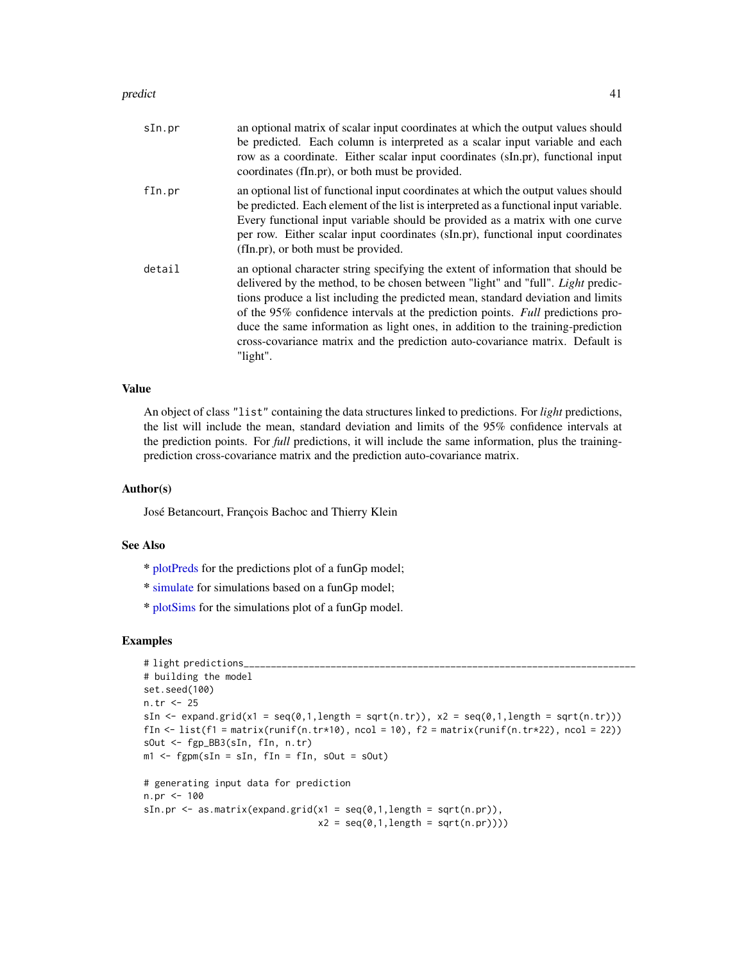#### <span id="page-40-0"></span>predict the contract of the contract of the contract of the contract of the contract of the contract of the contract of the contract of the contract of the contract of the contract of the contract of the contract of the co

| sIn.pr | an optional matrix of scalar input coordinates at which the output values should<br>be predicted. Each column is interpreted as a scalar input variable and each<br>row as a coordinate. Either scalar input coordinates (sIn.pr), functional input<br>coordinates (fIn.pr), or both must be provided.                                                                                                                                                                                                                            |
|--------|-----------------------------------------------------------------------------------------------------------------------------------------------------------------------------------------------------------------------------------------------------------------------------------------------------------------------------------------------------------------------------------------------------------------------------------------------------------------------------------------------------------------------------------|
| fin.pr | an optional list of functional input coordinates at which the output values should<br>be predicted. Each element of the list is interpreted as a functional input variable.<br>Every functional input variable should be provided as a matrix with one curve<br>per row. Either scalar input coordinates (sIn.pr), functional input coordinates<br>(fIn.pr), or both must be provided.                                                                                                                                            |
| detail | an optional character string specifying the extent of information that should be<br>delivered by the method, to be chosen between "light" and "full". <i>Light</i> predic-<br>tions produce a list including the predicted mean, standard deviation and limits<br>of the 95% confidence intervals at the prediction points. Full predictions pro-<br>duce the same information as light ones, in addition to the training-prediction<br>cross-covariance matrix and the prediction auto-covariance matrix. Default is<br>"light". |

## Value

An object of class "list" containing the data structures linked to predictions. For *light* predictions, the list will include the mean, standard deviation and limits of the 95% confidence intervals at the prediction points. For *full* predictions, it will include the same information, plus the trainingprediction cross-covariance matrix and the prediction auto-covariance matrix.

## Author(s)

José Betancourt, François Bachoc and Thierry Klein

## See Also

- \* [plotPreds](#page-31-1) for the predictions plot of a funGp model;
- \* [simulate](#page-43-1) for simulations based on a funGp model;
- \* [plotSims](#page-34-1) for the simulations plot of a funGp model.

## Examples

```
# light predictions_
# building the model
set.seed(100)
n.tr <- 25
sIn \leq expand.grid(x1 = seq(0,1,length = sqrt(n.tr)), x2 = seq(0,1,length = sqrt(n.tr)))
fIn \text{K} = \text{list}(f_1 = \text{matrix}(\text{runit}_0, \text{tr} \cdot \text{10}), \text{ncol} = 10), f_2 = \text{matrix}(\text{runit}_0, \text{tr} \cdot \text{22}), \text{ncol} = 22)sOut <- fgp_BB3(sIn, fIn, n.tr)
m1 <- fgpm(sIn = sIn, fIn = fIn, sOut = sOut)
# generating input data for prediction
n.pr <- 100
sIn.pr \leq as.matrix(expand.grid(x1 = seq(0,1,length = sqrt(n.pr)),
                                       x2 = seq(0,1, length = sqrt(n.pr))))
```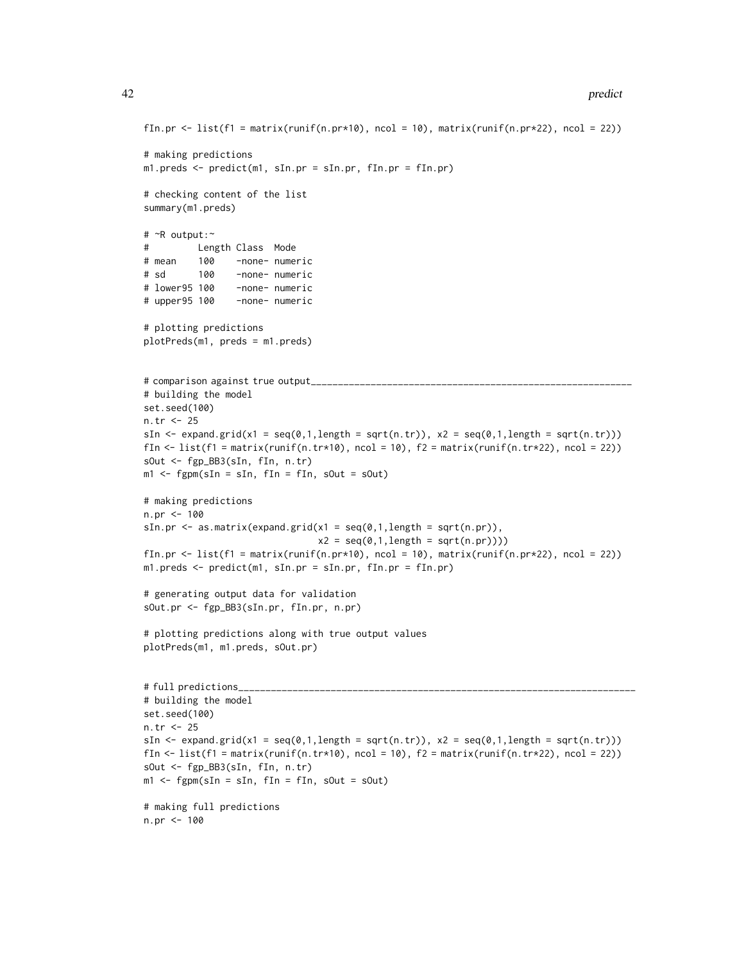```
fIn.pr \le list(f1 = matrix(runif(n.pr*10), ncol = 10), matrix(runif(n.pr*22), ncol = 22))
# making predictions
m1.preds <- predict(m1, sIn.pr = sIn.pr, fIn.pr = fIn.pr)
# checking content of the list
summary(m1.preds)
# ~R output:~
# Length Class Mode
# mean 100 -none- numeric
# sd 100 -none- numeric
# lower95 100 -none- numeric
# upper95 100 -none- numeric
# plotting predictions
plotPreds(m1, preds = m1.preds)
# comparison against true output_____________
# building the model
set.seed(100)
n.tr <- 25
sIn \leq expand.grid(x1 = seq(0,1,length = sqrt(n.tr)), x2 = seq(0,1,length = sqrt(n.tr)))
fIn \leftarrow list(f1 = matrix(runif(n.tr*10), ncol = 10), f2 = matrix(runif(n.tr*22), ncol = 22))
sOut <- fgp_BB3(sIn, fIn, n.tr)
m1 <- fgpm(sIn = sIn, fIn = fIn, sOut = sOut)
# making predictions
n.pr <- 100
sIn.pr \leftarrow as.matrix(expand.grid(x1 = seq(0,1, length = sqrt(n.pr)),x2 = seq(0,1, length = sqrt(n.pr))))fIn.pr \le list(f1 = matrix(runif(n.pr*10), ncol = 10), matrix(runif(n.pr*22), ncol = 22))
m1.preds <- predict(m1, sIn.pr = sIn.pr, fIn.pr = fIn.pr)
# generating output data for validation
sOut.pr <- fgp_BB3(sIn.pr, fIn.pr, n.pr)
# plotting predictions along with true output values
plotPreds(m1, m1.preds, sOut.pr)
# full predictions_
# building the model
set.seed(100)
n.tr <- 25
sIn \leq expand.grid(x1 = seq(0,1,length = sqrt(n.tr)), x2 = seq(0,1,length = sqrt(n.tr)))
fIn \text{lt}-\text{list}(\text{f1} = \text{matrix}(\text{runit}(\text{n}.\text{tr}*\text{10}), \text{ncol} = 10), \text{f2} = \text{matrix}(\text{runit}(\text{n}.\text{tr}*\text{22}), \text{ncol} = 22))sOut <- fgp_BB3(sIn, fIn, n.tr)
m1 <- fgpm(sIn = sIn, fIn = fIn, sOut = sOut)
# making full predictions
n.pr <- 100
```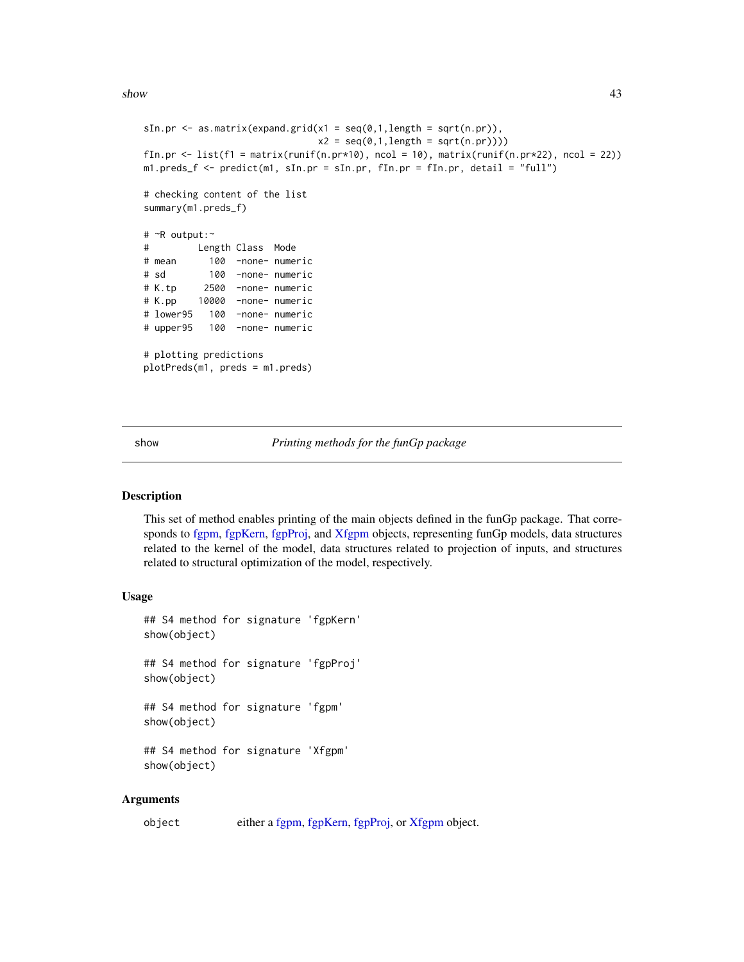<span id="page-42-0"></span> $s$ how  $43$ 

```
sIn.pr \leq as.matrix(expand.grid(x1 = seq(0,1,length = sqrt(n.pr)),
                              x2 = seq(0, 1, length = sqrt(n, pr))))fIn.pr \leftarrow list(f1 = matrix(runif(n.pr*10), ncol = 10), matrix(runif(n.pr*22), ncol = 22))
m1.preds_f <- predict(m1, sIn.pr = sIn.pr, fIn.pr = fIn.pr, detail = "full")
# checking content of the list
summary(m1.preds_f)
# ~R output:~
# Length Class Mode
# mean 100 -none- numeric
# sd 100 -none- numeric
# K.tp 2500 -none- numeric
# K.pp 10000 -none- numeric
# lower95 100 -none- numeric
# upper95 100 -none- numeric
# plotting predictions
plotPreds(m1, preds = m1.preds)
```
show *Printing methods for the funGp package*

## Description

This set of method enables printing of the main objects defined in the funGp package. That corresponds to [fgpm,](#page-16-1) [fgpKern,](#page-10-2) [fgpProj,](#page-25-1) and [Xfgpm](#page-49-1) objects, representing funGp models, data structures related to the kernel of the model, data structures related to projection of inputs, and structures related to structural optimization of the model, respectively.

## Usage

```
## S4 method for signature 'fgpKern'
show(object)
## S4 method for signature 'fgpProj'
show(object)
## S4 method for signature 'fgpm'
show(object)
## S4 method for signature 'Xfgpm'
show(object)
```
## Arguments

object either a [fgpm,](#page-16-1) [fgpKern,](#page-10-2) [fgpProj,](#page-25-1) or [Xfgpm](#page-49-1) object.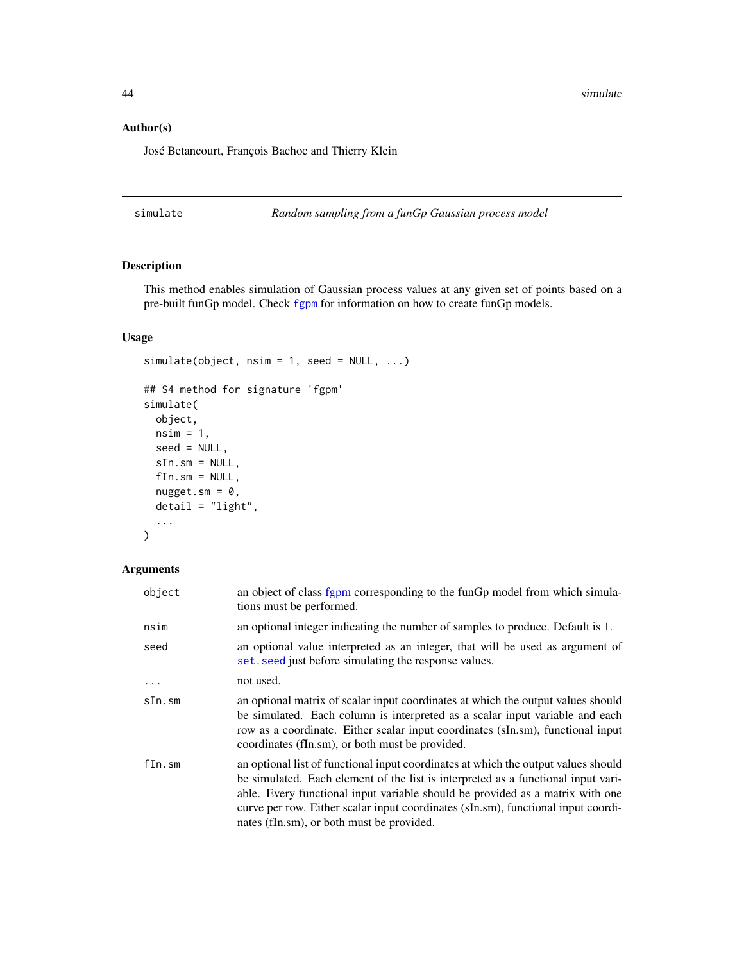<span id="page-43-0"></span>44 simulate the state of the state of the state of the state of the state of the state of the state of the state of the state of the state of the state of the state of the state of the state of the state of the state of th

## Author(s)

José Betancourt, François Bachoc and Thierry Klein

<span id="page-43-1"></span>simulate *Random sampling from a funGp Gaussian process model*

## Description

This method enables simulation of Gaussian process values at any given set of points based on a pre-built funGp model. Check [fgpm](#page-10-1) for information on how to create funGp models.

## Usage

```
simulate(object, nsim = 1, seed = NULL, ...)## S4 method for signature 'fgpm'
simulate(
 object,
 nsim = 1,
 seed = NULL,
 sIn.sm = NULL,
 fIn.sm = NULL,
 nugget.m = 0,detail = "light",
  ...
)
```
## Arguments

| object   | an object of class fgpm corresponding to the funGp model from which simula-<br>tions must be performed.                                                                                                                                                                                                                                                                                    |
|----------|--------------------------------------------------------------------------------------------------------------------------------------------------------------------------------------------------------------------------------------------------------------------------------------------------------------------------------------------------------------------------------------------|
| nsim     | an optional integer indicating the number of samples to produce. Default is 1.                                                                                                                                                                                                                                                                                                             |
| seed     | an optional value interpreted as an integer, that will be used as argument of<br>set. seed just before simulating the response values.                                                                                                                                                                                                                                                     |
| $\cdots$ | not used.                                                                                                                                                                                                                                                                                                                                                                                  |
| sIn.sm   | an optional matrix of scalar input coordinates at which the output values should<br>be simulated. Each column is interpreted as a scalar input variable and each<br>row as a coordinate. Either scalar input coordinates (sIn.sm), functional input<br>coordinates (fIn.sm), or both must be provided.                                                                                     |
| fIn.sm   | an optional list of functional input coordinates at which the output values should<br>be simulated. Each element of the list is interpreted as a functional input vari-<br>able. Every functional input variable should be provided as a matrix with one<br>curve per row. Either scalar input coordinates (sIn.sm), functional input coordi-<br>nates (fIn.sm), or both must be provided. |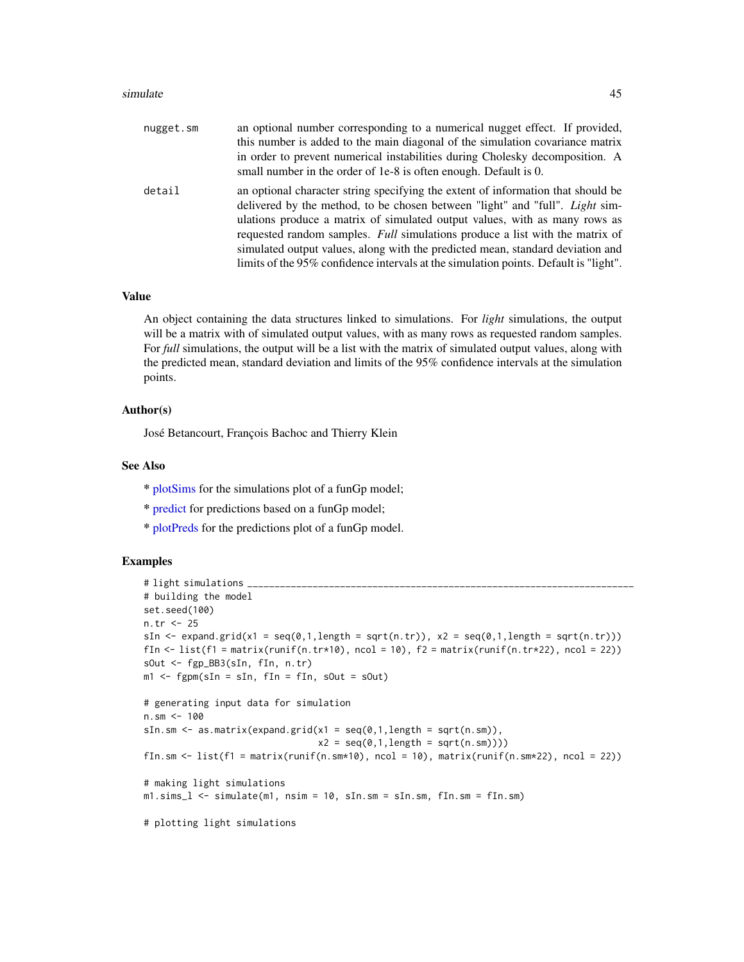#### <span id="page-44-0"></span>simulate 45

| nugget.sm | an optional number corresponding to a numerical nugget effect. If provided,<br>this number is added to the main diagonal of the simulation covariance matrix<br>in order to prevent numerical instabilities during Cholesky decomposition. A<br>small number in the order of 1e-8 is often enough. Default is 0.                                                                                                                                                                                                |
|-----------|-----------------------------------------------------------------------------------------------------------------------------------------------------------------------------------------------------------------------------------------------------------------------------------------------------------------------------------------------------------------------------------------------------------------------------------------------------------------------------------------------------------------|
| detail    | an optional character string specifying the extent of information that should be<br>delivered by the method, to be chosen between "light" and "full". <i>Light</i> sim-<br>ulations produce a matrix of simulated output values, with as many rows as<br>requested random samples. Full simulations produce a list with the matrix of<br>simulated output values, along with the predicted mean, standard deviation and<br>limits of the 95% confidence intervals at the simulation points. Default is "light". |

## Value

An object containing the data structures linked to simulations. For *light* simulations, the output will be a matrix with of simulated output values, with as many rows as requested random samples. For *full* simulations, the output will be a list with the matrix of simulated output values, along with the predicted mean, standard deviation and limits of the 95% confidence intervals at the simulation points.

## Author(s)

José Betancourt, François Bachoc and Thierry Klein

## See Also

- \* [plotSims](#page-34-1) for the simulations plot of a funGp model;
- \* [predict](#page-39-1) for predictions based on a funGp model;
- \* [plotPreds](#page-31-1) for the predictions plot of a funGp model.

## Examples

```
# light simulations
# building the model
set.seed(100)
n.tr <- 25
sIn \leq expand.grid(x1 = seq(0,1,length = sqrt(n.tr)), x2 = seq(0,1,length = sqrt(n.tr)))
fIn \text{K} = \text{list}(f_1 = \text{matrix}(\text{runit}_0, \text{tr} \cdot \text{10}), \text{ncol} = 10), f_2 = \text{matrix}(\text{runit}_0, \text{tr} \cdot \text{22}), \text{ncol} = 22)sOut <- fgp_BB3(sIn, fIn, n.tr)
m1 <- fgpm(sIn = sIn, fIn = fIn, sOut = sOut)
# generating input data for simulation
n.sm \leq -100sIn.sm \leq as.matrix(expand.grid(x1 = seq(0,1,length = sqrt(n.sm)),
                                     x2 = seq(0, 1, length = sqrt(n, sm)))fIn.sm \le list(f1 = matrix(runif(n.sm*10), ncol = 10), matrix(runif(n.sm*22), ncol = 22))
# making light simulations
m1.sims_l <- simulate(m1, nsim = 10, sIn.sm = sIn.sm, fIn.sm = fIn.sm)
# plotting light simulations
```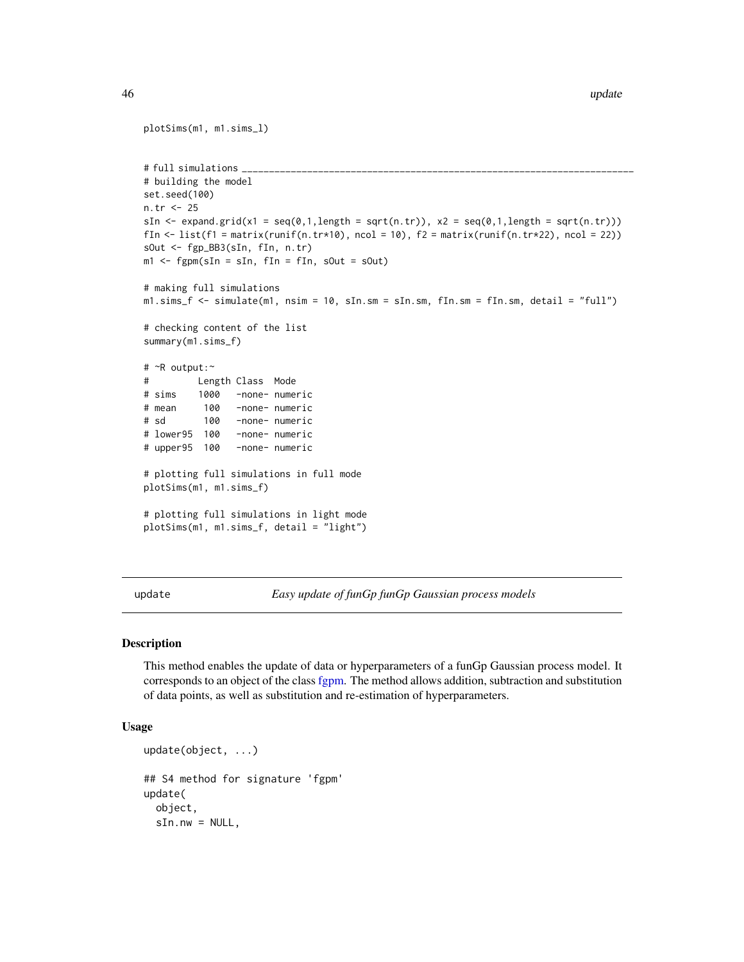```
plotSims(m1, m1.sims_l)
# full simulations
# building the model
set.seed(100)
n.tr <- 25
sIn \le expand.grid(x1 = seq(0,1,length = sqrt(n.tr)), x2 = seq(0,1,length = sqrt(n.tr)))
fIn \leftarrow list(f1 = matrix(runif(n.tr*10), ncol = 10), f2 = matrix(runif(n.tr*22), ncol = 22))
sOut <- fgp_BB3(sIn, fIn, n.tr)
m1 <- fgpm(sIn = sIn, fIn = fIn, sOut = sOut)
# making full simulations
m1.sims_f <- simulate(m1, nsim = 10, sIn.sm = sIn.sm, fIn.sm = fIn.sm, detail = "full")
# checking content of the list
summary(m1.sims_f)
# ~R output:~
# Length Class Mode
# sims 1000 -none- numeric
# mean 100 -none- numeric
# sd 100 -none- numeric
# lower95 100 -none- numeric
# upper95 100 -none- numeric
# plotting full simulations in full mode
plotSims(m1, m1.sims_f)
# plotting full simulations in light mode
plotSims(m1, m1.sims_f, detail = "light")
```
<span id="page-45-1"></span>update *Easy update of funGp funGp Gaussian process models*

#### Description

This method enables the update of data or hyperparameters of a funGp Gaussian process model. It corresponds to an object of the class [fgpm.](#page-16-1) The method allows addition, subtraction and substitution of data points, as well as substitution and re-estimation of hyperparameters.

## Usage

```
update(object, ...)
## S4 method for signature 'fgpm'
update(
  object,
  sIn.nw = NULL,
```
<span id="page-45-0"></span>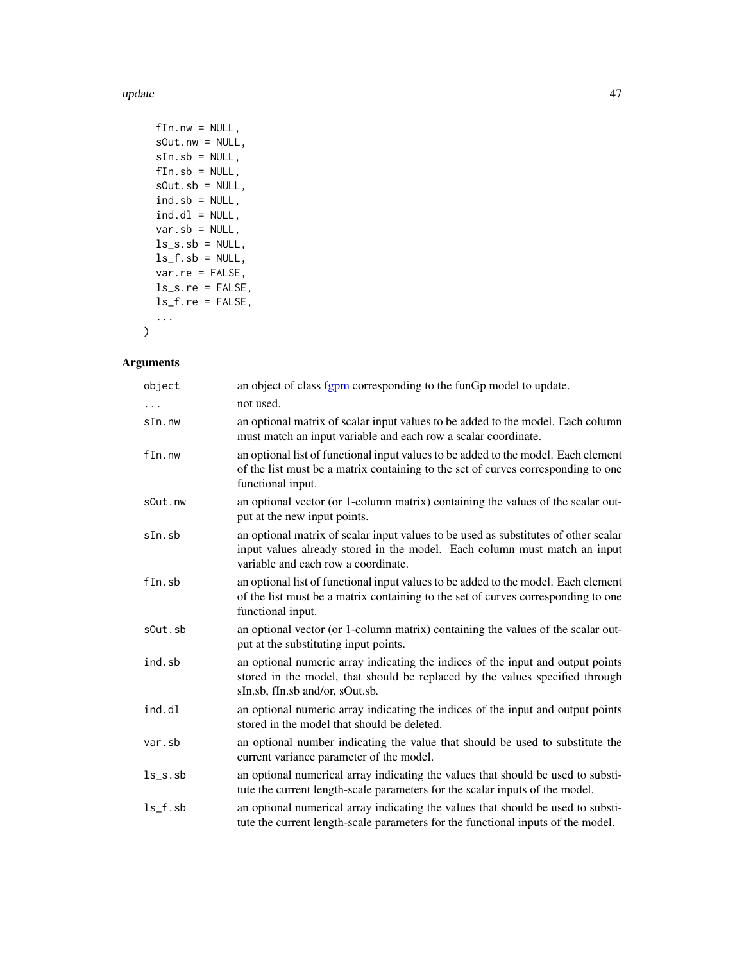update and the set of the set of the set of the set of the set of the set of the set of the set of the set of the set of the set of the set of the set of the set of the set of the set of the set of the set of the set of th

| $fin.nw = NULL,$     |
|----------------------|
| $sOut.nw = NULL$ ,   |
| $sIn.sb = NULL,$     |
| $fin.sb = NULL,$     |
| $sOut.sh = NULL$ ,   |
| $ind.sh = NULL,$     |
| $ind.d1 = NULL,$     |
| $var.sh = NULL$ ,    |
| $ls\_s.sb = NULL$    |
| $ls_f.sh = NULL,$    |
| $var.re = FALSE$ .   |
| $ls\_s.re = FALSE$ , |
| $ls_f.re = FALSE,$   |
|                      |

 $\lambda$ 

## Arguments

| object     | an object of class fgpm corresponding to the funGp model to update.                                                                                                                                     |
|------------|---------------------------------------------------------------------------------------------------------------------------------------------------------------------------------------------------------|
|            | not used.                                                                                                                                                                                               |
| sIn.nw     | an optional matrix of scalar input values to be added to the model. Each column<br>must match an input variable and each row a scalar coordinate.                                                       |
| fin.nw     | an optional list of functional input values to be added to the model. Each element<br>of the list must be a matrix containing to the set of curves corresponding to one<br>functional input.            |
| sOut.nw    | an optional vector (or 1-column matrix) containing the values of the scalar out-<br>put at the new input points.                                                                                        |
| $sIn.$ sb  | an optional matrix of scalar input values to be used as substitutes of other scalar<br>input values already stored in the model. Each column must match an input<br>variable and each row a coordinate. |
| $fin$ .sb  | an optional list of functional input values to be added to the model. Each element<br>of the list must be a matrix containing to the set of curves corresponding to one<br>functional input.            |
| sOut.sb    | an optional vector (or 1-column matrix) containing the values of the scalar out-<br>put at the substituting input points.                                                                               |
| ind.sb     | an optional numeric array indicating the indices of the input and output points<br>stored in the model, that should be replaced by the values specified through<br>sIn.sb, fIn.sb and/or, sOut.sb.      |
| ind.dl     | an optional numeric array indicating the indices of the input and output points<br>stored in the model that should be deleted.                                                                          |
| var.sb     | an optional number indicating the value that should be used to substitute the<br>current variance parameter of the model.                                                                               |
| $ls$ _s.sb | an optional numerical array indicating the values that should be used to substi-<br>tute the current length-scale parameters for the scalar inputs of the model.                                        |
| $ls_f.sh$  | an optional numerical array indicating the values that should be used to substi-<br>tute the current length-scale parameters for the functional inputs of the model.                                    |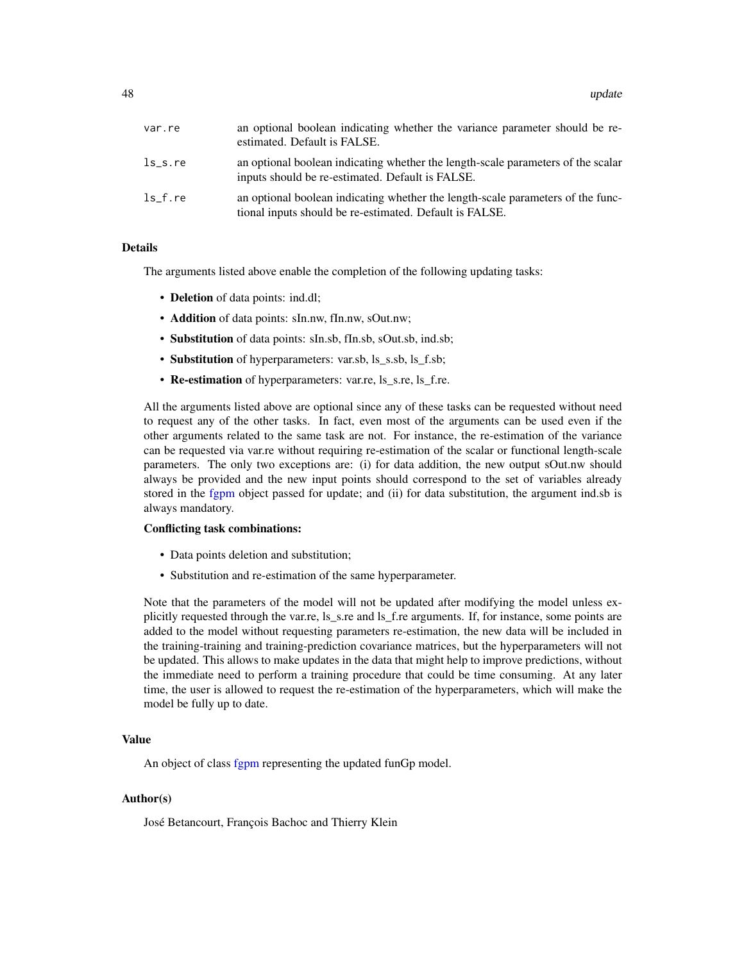| var.re  | an optional boolean indicating whether the variance parameter should be re-<br>estimated. Default is FALSE.                                |
|---------|--------------------------------------------------------------------------------------------------------------------------------------------|
| ls s.re | an optional boolean indicating whether the length-scale parameters of the scalar<br>inputs should be re-estimated. Default is FALSE.       |
| ls f.re | an optional boolean indicating whether the length-scale parameters of the func-<br>tional inputs should be re-estimated. Default is FALSE. |

## Details

The arguments listed above enable the completion of the following updating tasks:

- Deletion of data points: ind.dl;
- Addition of data points: sIn.nw, fIn.nw, sOut.nw;
- Substitution of data points: sIn.sb, fIn.sb, sOut.sb, ind.sb;
- Substitution of hyperparameters: var.sb, ls\_s.sb, ls\_f.sb;
- Re-estimation of hyperparameters: var.re, ls\_s.re, ls\_f.re.

All the arguments listed above are optional since any of these tasks can be requested without need to request any of the other tasks. In fact, even most of the arguments can be used even if the other arguments related to the same task are not. For instance, the re-estimation of the variance can be requested via var.re without requiring re-estimation of the scalar or functional length-scale parameters. The only two exceptions are: (i) for data addition, the new output sOut.nw should always be provided and the new input points should correspond to the set of variables already stored in the [fgpm](#page-16-1) object passed for update; and (ii) for data substitution, the argument ind.sb is always mandatory.

## Conflicting task combinations:

- Data points deletion and substitution;
- Substitution and re-estimation of the same hyperparameter.

Note that the parameters of the model will not be updated after modifying the model unless explicitly requested through the var.re, ls\_s.re and ls\_f.re arguments. If, for instance, some points are added to the model without requesting parameters re-estimation, the new data will be included in the training-training and training-prediction covariance matrices, but the hyperparameters will not be updated. This allows to make updates in the data that might help to improve predictions, without the immediate need to perform a training procedure that could be time consuming. At any later time, the user is allowed to request the re-estimation of the hyperparameters, which will make the model be fully up to date.

## Value

An object of class [fgpm](#page-16-1) representing the updated funGp model.

## Author(s)

José Betancourt, François Bachoc and Thierry Klein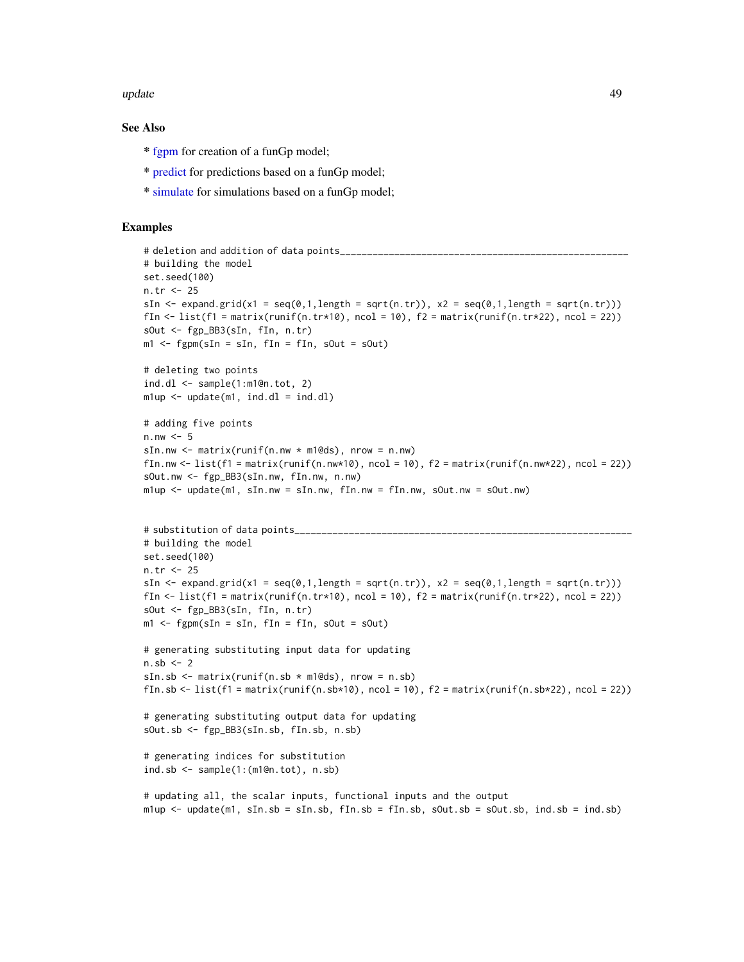#### <span id="page-48-0"></span>update and the set of the set of the set of the set of the set of the set of the set of the set of the set of the set of the set of the set of the set of the set of the set of the set of the set of the set of the set of th

## See Also

- \* [fgpm](#page-10-1) for creation of a funGp model;
- \* [predict](#page-39-1) for predictions based on a funGp model;
- \* [simulate](#page-43-1) for simulations based on a funGp model;

## Examples

```
# deletion and addition of data points_
# building the model
set.seed(100)
n.tr <- 25
sIn \leq expand.grid(x1 = seq(0,1,length = sqrt(n.tr)), x2 = seq(0,1,length = sqrt(n.tr)))
fIn \leftarrow list(f1 = matrix(runif(n.tr*10), ncol = 10), f2 = matrix(runif(n.tr*22), ncol = 22))
sOut <- fgp_BB3(sIn, fIn, n.tr)
m1 <- fgpm(sIn = sIn, fIn = fIn, sOut = sOut)
# deleting two points
ind.dl \leq sample(1:m1@n.tot, 2)
m1up < - update(m1, ind.dl = ind.dl)
# adding five points
n.nw < -5sIn.nw \leq matrix(runif(n.nw \star m1@ds), nrow = n.nw)
fIn.nw \le list(f1 = matrix(runif(n.nw*10), ncol = 10), f2 = matrix(runif(n.nw*22), ncol = 22))
sOut.nw <- fgp_BB3(sIn.nw, fIn.nw, n.nw)
m1up \leq update(m1, sIn.nw = sIn.nw, fIn.nw = fIn.nw, sOut.nw = sOut.nw)
# substitution of data points_
# building the model
set.seed(100)
n.tr <- 25
sIn \leq expand.grid(x1 = seq(0,1,length = sqrt(n.tr)), x2 = seq(0,1,length = sqrt(n.tr)))
fIn \leftarrow list(f1 = matrix(runif(n.tr*10), ncol = 10), f2 = matrix(runif(n.tr*22), ncol = 22))
sOut <- fgp_BB3(sIn, fIn, n.tr)
m1 <- fgpm(sIn = sIn, fIn = fIn, sOut = sOut)
# generating substituting input data for updating
n.sb <-2sIn.sb \leq matrix(runif(n.sb \star m1@ds), nrow = n.sb)
fIn.sb <- list(f1 = matrix(runif(n.sb*10), ncol = 10), f2 = matrix(runif(n.sb*22), ncol = 22))
# generating substituting output data for updating
sOut.sb <- fgp_BB3(sIn.sb, fIn.sb, n.sb)
# generating indices for substitution
ind.sb \leq sample(1:(m1@n.tot), n.sb)
# updating all, the scalar inputs, functional inputs and the output
mlup \le - update(m1, sIn.sb = sIn.sb, fIn.sb = fIn.sb, sOut.sb = sOut.sb, ind.sb = ind.sb)
```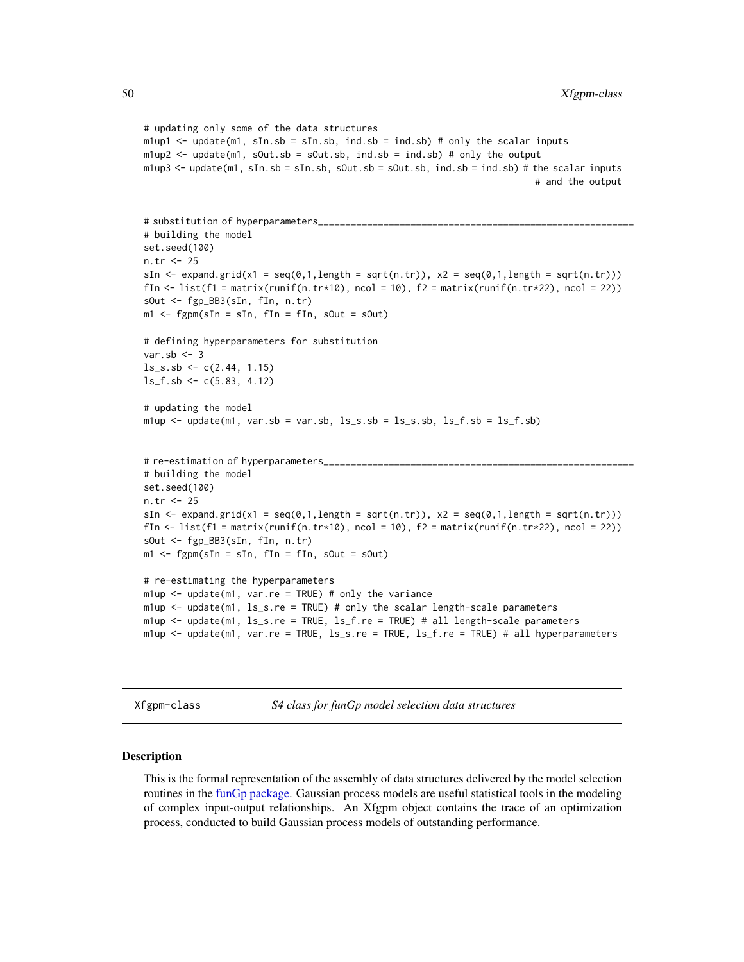```
# updating only some of the data structures
m1up1 \le- update(m1, sIn.sb = sIn.sb, ind.sb = ind.sb) # only the scalar inputs
mlup2 < - update(m1, sOut.sb = sOut.sb, ind.sb = ind.sb) # only the output
m1up3 <- update(m1, sIn.sb = sIn.sb, sOut.sb = sOut.sb, ind.sb = ind.sb) # the scalar inputs
                                                                           # and the output
# substitution of hyperparameters_
# building the model
set.seed(100)
n.tr <- 25
sIn \le expand.grid(x1 = seq(0,1,length = sqrt(n.tr)), x2 = seq(0,1,length = sqrt(n.tr)))
fIn \text{K} list(f1 = matrix(runif(n.tr*10), ncol = 10), f2 = matrix(runif(n.tr*22), ncol = 22))
sOut <- fgp_BB3(sIn, fIn, n.tr)
m1 <- fgpm(sIn = sIn, fIn = fIn, sOut = sOut)
# defining hyperparameters for substitution
var.sb <-3ls<sub>-</sub>s.sb <- c(2.44, 1.15)
ls_f.sb \leftarrow c(5.83, 4.12)# updating the model
m1up \leftarrow update(m1, var.sh = var.sh, ls_s.sh = ls_s.sh, ls_f.sh = ls_f.sh)# re-estimation of hyperparameters_________________
# building the model
set.seed(100)
n.tr <- 25
sIn \le expand.grid(x1 = seq(0,1,length = sqrt(n.tr)), x2 = seq(0,1,length = sqrt(n.tr)))
fIn \leftarrow list(f1 = matrix(runif(n.tr*10), ncol = 10), f2 = matrix(runif(n.tr*22), ncol = 22))
sOut <- fgp_BB3(sIn, fIn, n.tr)
m1 <- fgpm(sIn = sIn, fIn = fIn, sOut = sOut)
# re-estimating the hyperparameters
mlup <- update(m1, var.re = TRUE) # only the variance
m1up <- update(m1, ls_s.re = TRUE) # only the scalar length-scale parameters
m1up <- update(m1, ls_s.re = TRUE, ls_f.re = TRUE) # all length-scale parameters
m1up <- update(m1, var.re = TRUE, ls_s.re = TRUE, ls_f.re = TRUE) # all hyperparameters
```
<span id="page-49-1"></span>Xfgpm-class *S4 class for funGp model selection data structures*

#### Description

This is the formal representation of the assembly of data structures delivered by the model selection routines in the [funGp package.](#page-2-1) Gaussian process models are useful statistical tools in the modeling of complex input-output relationships. An Xfgpm object contains the trace of an optimization process, conducted to build Gaussian process models of outstanding performance.

<span id="page-49-0"></span>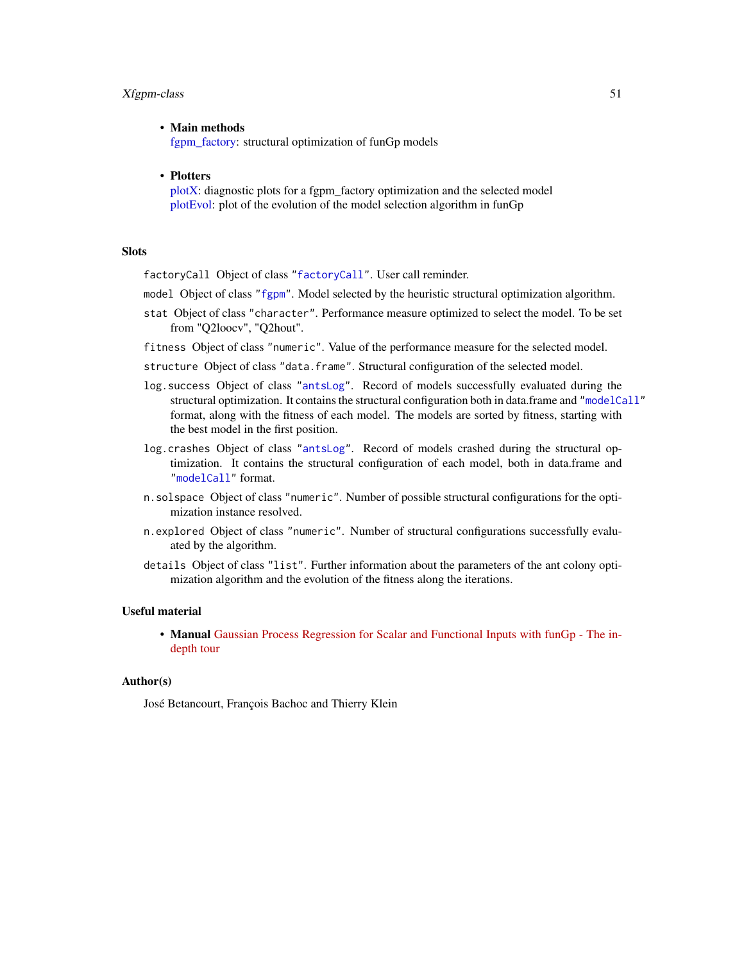#### <span id="page-50-0"></span>Xfgpm-class 51

## • Main methods

[fgpm\\_factory:](#page-17-1) structural optimization of funGp models

#### • Plotters

[plotX:](#page-37-1) diagnostic plots for a fgpm\_factory optimization and the selected model [plotEvol:](#page-27-1) plot of the evolution of the model selection algorithm in funGp

#### Slots

factoryCall Object of class ["factoryCall"](#page-9-1). User call reminder.

- model Object of class ["fgpm"](#page-16-1). Model selected by the heuristic structural optimization algorithm.
- stat Object of class "character". Performance measure optimized to select the model. To be set from "Q2loocv", "Q2hout".
- fitness Object of class "numeric". Value of the performance measure for the selected model.
- structure Object of class "data.frame". Structural configuration of the selected model.
- log.success Object of class ["antsLog"](#page-3-1). Record of models successfully evaluated during the structural optimization. It contains the structural configuration both in data.frame and ["modelCall"](#page-26-1) format, along with the fitness of each model. The models are sorted by fitness, starting with the best model in the first position.
- log.crashes Object of class ["antsLog"](#page-3-1). Record of models crashed during the structural optimization. It contains the structural configuration of each model, both in data.frame and ["modelCall"](#page-26-1) format.
- n.solspace Object of class "numeric". Number of possible structural configurations for the optimization instance resolved.
- n.explored Object of class "numeric". Number of structural configurations successfully evaluated by the algorithm.
- details Object of class "list". Further information about the parameters of the ant colony optimization algorithm and the evolution of the fitness along the iterations.

#### Useful material

• Manual [Gaussian Process Regression for Scalar and Functional Inputs with funGp - The in](https://hal.archives-ouvertes.fr/hal-02536624)[depth tour](https://hal.archives-ouvertes.fr/hal-02536624)

## Author(s)

José Betancourt, François Bachoc and Thierry Klein